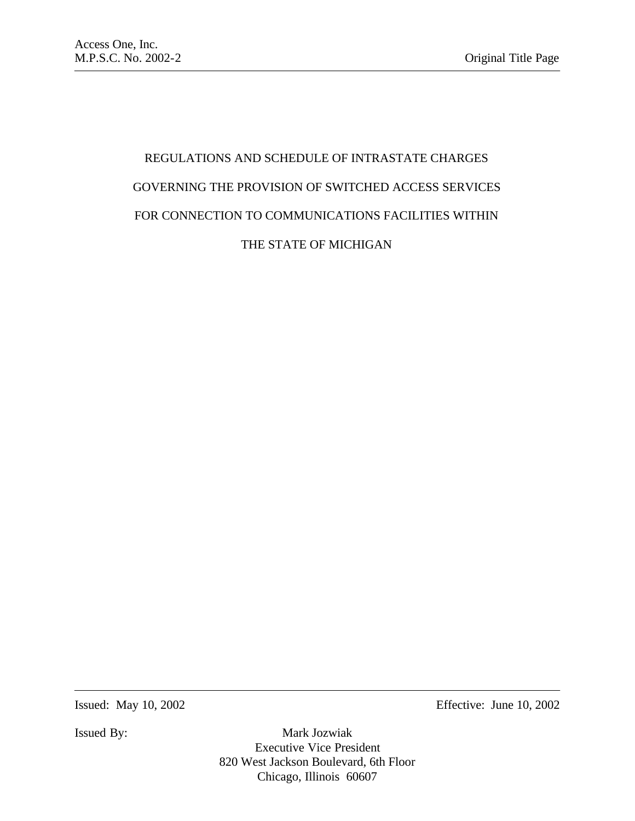# REGULATIONS AND SCHEDULE OF INTRASTATE CHARGES GOVERNING THE PROVISION OF SWITCHED ACCESS SERVICES FOR CONNECTION TO COMMUNICATIONS FACILITIES WITHIN THE STATE OF MICHIGAN

Issued: May 10, 2002 Effective: June 10, 2002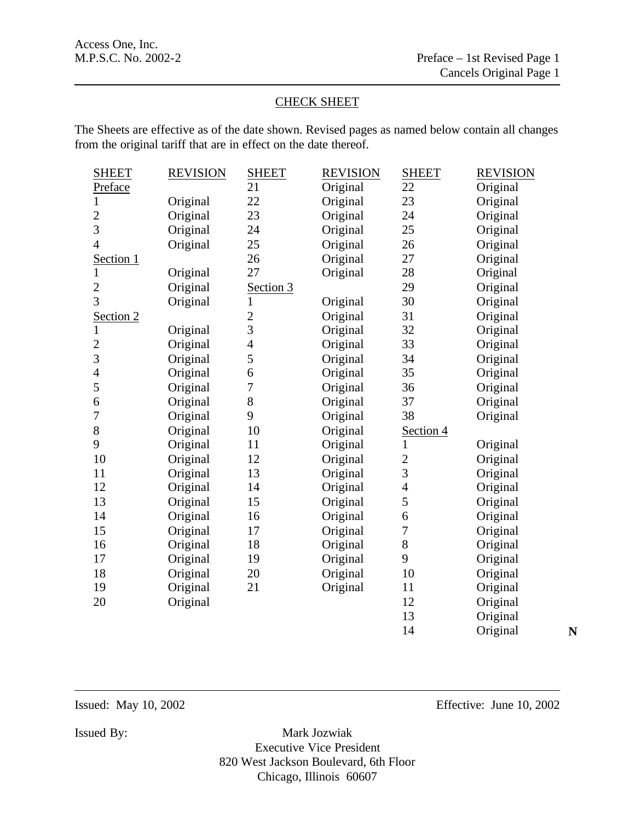# CHECK SHEET

The Sheets are effective as of the date shown. Revised pages as named below contain all changes from the original tariff that are in effect on the date thereof.

| <b>SHEET</b>             | <b>REVISION</b> | <b>SHEET</b>   | <b>REVISION</b> | <b>SHEET</b>   | <b>REVISION</b> |   |
|--------------------------|-----------------|----------------|-----------------|----------------|-----------------|---|
| Preface                  |                 | 21             | Original        | 22             | Original        |   |
| $\mathbf{1}$             | Original        | 22             | Original        | 23             | Original        |   |
| $\overline{c}$           | Original        | 23             | Original        | 24             | Original        |   |
| $\overline{3}$           | Original        | 24             | Original        | 25             | Original        |   |
| $\overline{\mathcal{L}}$ | Original        | 25             | Original        | 26             | Original        |   |
| Section 1                |                 | 26             | Original        | 27             | Original        |   |
| $\mathbf{1}$             | Original        | 27             | Original        | 28             | Original        |   |
| $\overline{2}$           | Original        | Section 3      |                 | 29             | Original        |   |
| $\overline{3}$           | Original        | 1              | Original        | 30             | Original        |   |
| Section 2                |                 | $\overline{c}$ | Original        | 31             | Original        |   |
| $\mathbf{1}$             | Original        | 3              | Original        | 32             | Original        |   |
| $\overline{2}$           | Original        | 4              | Original        | 33             | Original        |   |
| 3                        | Original        | 5              | Original        | 34             | Original        |   |
| $\overline{4}$           | Original        | 6              | Original        | 35             | Original        |   |
| 5                        | Original        | 7              | Original        | 36             | Original        |   |
| 6                        | Original        | 8              | Original        | 37             | Original        |   |
| 7                        | Original        | 9              | Original        | 38             | Original        |   |
| $8\,$                    | Original        | 10             | Original        | Section 4      |                 |   |
| 9                        | Original        | 11             | Original        | 1              | Original        |   |
| 10                       | Original        | 12             | Original        | $\overline{c}$ | Original        |   |
| 11                       | Original        | 13             | Original        | 3              | Original        |   |
| 12                       | Original        | 14             | Original        | $\overline{4}$ | Original        |   |
| 13                       | Original        | 15             | Original        | 5              | Original        |   |
| 14                       | Original        | 16             | Original        | 6              | Original        |   |
| 15                       | Original        | 17             | Original        | $\overline{7}$ | Original        |   |
| 16                       | Original        | 18             | Original        | 8              | Original        |   |
| 17                       | Original        | 19             | Original        | 9              | Original        |   |
| 18                       | Original        | 20             | Original        | 10             | Original        |   |
| 19                       | Original        | 21             | Original        | 11             | Original        |   |
| 20                       | Original        |                |                 | 12             | Original        |   |
|                          |                 |                |                 | 13             | Original        |   |
|                          |                 |                |                 | 14             | Original        | N |

Issued: May 10, 2002 Effective: June 10, 2002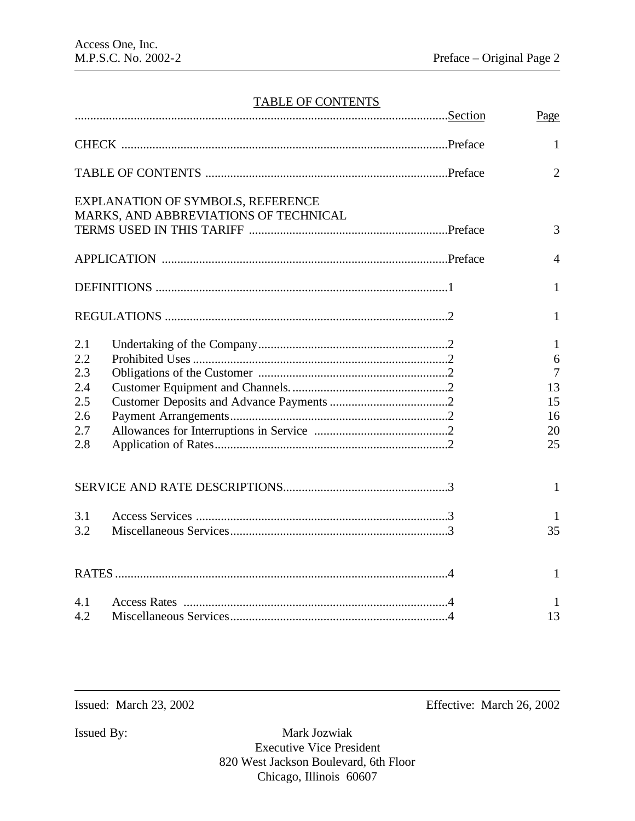# TABLE OF CONTENTS

|            |                                       | Page           |
|------------|---------------------------------------|----------------|
|            |                                       | $\mathbf{1}$   |
|            |                                       | $\overline{2}$ |
|            | EXPLANATION OF SYMBOLS, REFERENCE     |                |
|            | MARKS, AND ABBREVIATIONS OF TECHNICAL | 3              |
|            |                                       | $\overline{4}$ |
|            |                                       | $\mathbf{1}$   |
|            |                                       | $\mathbf{1}$   |
| 2.1<br>2.2 |                                       | 1<br>6         |
| 2.3        |                                       | $\overline{7}$ |
| 2.4        |                                       | 13             |
| 2.5        |                                       | 15             |
| 2.6        |                                       | 16             |
| 2.7        |                                       | 20             |
| 2.8        |                                       | 25             |
|            |                                       | 1              |
| 3.1        |                                       | 1              |
| 3.2        |                                       | 35             |
|            |                                       | $\mathbf{1}$   |
| 4.1        |                                       | 1              |
| 4.2        |                                       | 13             |

Issued: March 23, 2002 Effective: March 26, 2002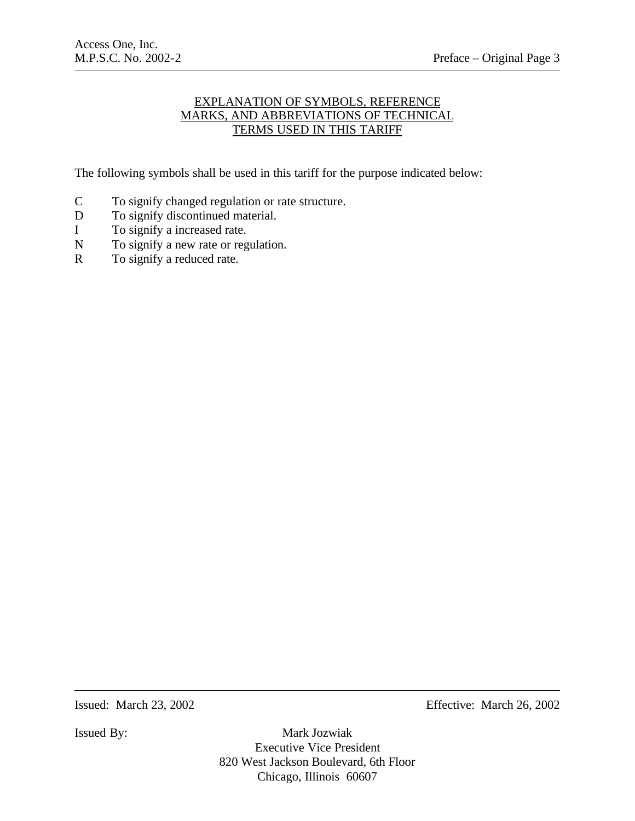# EXPLANATION OF SYMBOLS, REFERENCE MARKS, AND ABBREVIATIONS OF TECHNICAL TERMS USED IN THIS TARIFF

The following symbols shall be used in this tariff for the purpose indicated below:

- C To signify changed regulation or rate structure.
- D To signify discontinued material.
- I To signify a increased rate.
- N To signify a new rate or regulation.
- R To signify a reduced rate.

Issued: March 23, 2002 Effective: March 26, 2002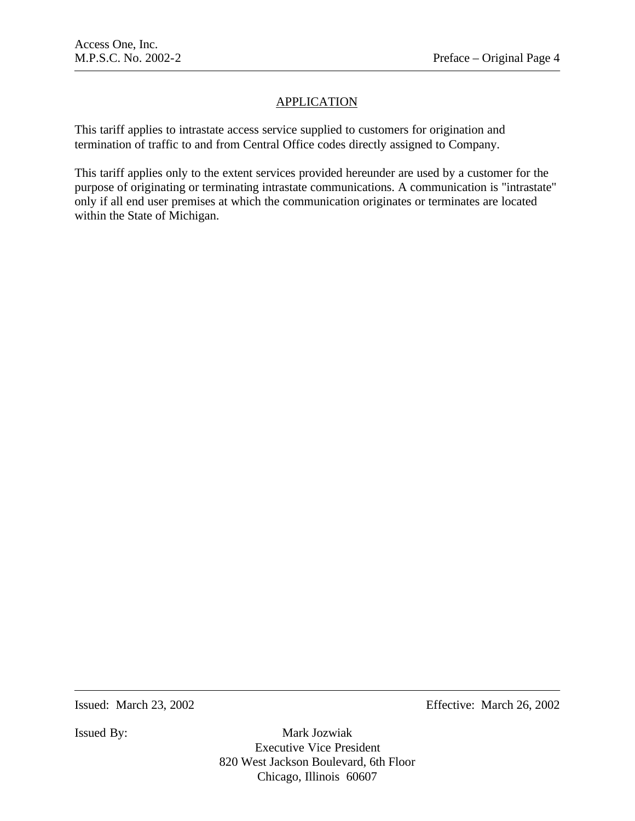# **APPLICATION**

This tariff applies to intrastate access service supplied to customers for origination and termination of traffic to and from Central Office codes directly assigned to Company.

This tariff applies only to the extent services provided hereunder are used by a customer for the purpose of originating or terminating intrastate communications. A communication is "intrastate" only if all end user premises at which the communication originates or terminates are located within the State of Michigan.

Issued: March 23, 2002 Effective: March 26, 2002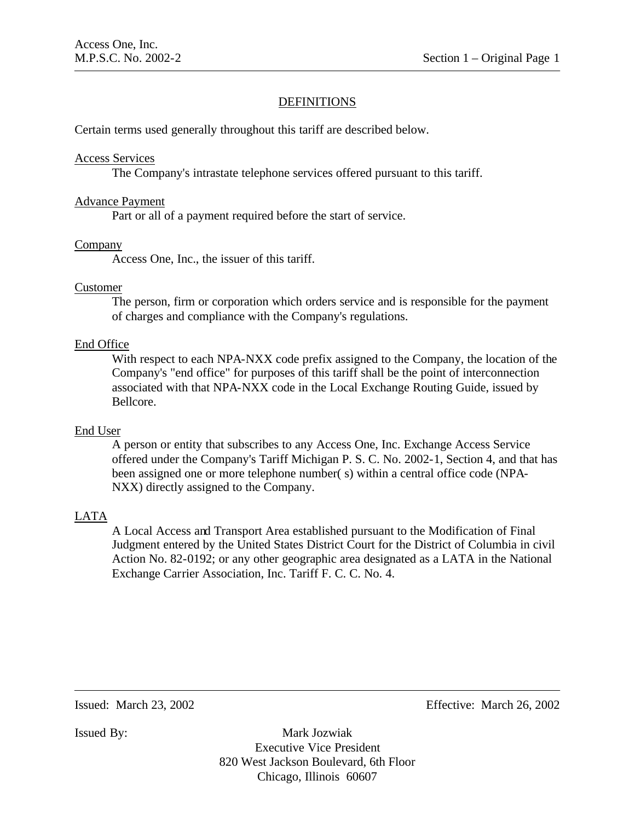# **DEFINITIONS**

Certain terms used generally throughout this tariff are described below.

#### Access Services

The Company's intrastate telephone services offered pursuant to this tariff.

#### Advance Payment

Part or all of a payment required before the start of service.

#### Company

Access One, Inc., the issuer of this tariff.

# Customer

The person, firm or corporation which orders service and is responsible for the payment of charges and compliance with the Company's regulations.

# End Office

With respect to each NPA-NXX code prefix assigned to the Company, the location of the Company's "end office" for purposes of this tariff shall be the point of interconnection associated with that NPA-NXX code in the Local Exchange Routing Guide, issued by Bellcore.

#### End User

A person or entity that subscribes to any Access One, Inc. Exchange Access Service offered under the Company's Tariff Michigan P. S. C. No. 2002-1, Section 4, and that has been assigned one or more telephone number( s) within a central office code (NPA-NXX) directly assigned to the Company.

# LATA

A Local Access and Transport Area established pursuant to the Modification of Final Judgment entered by the United States District Court for the District of Columbia in civil Action No. 82-0192; or any other geographic area designated as a LATA in the National Exchange Carrier Association, Inc. Tariff F. C. C. No. 4.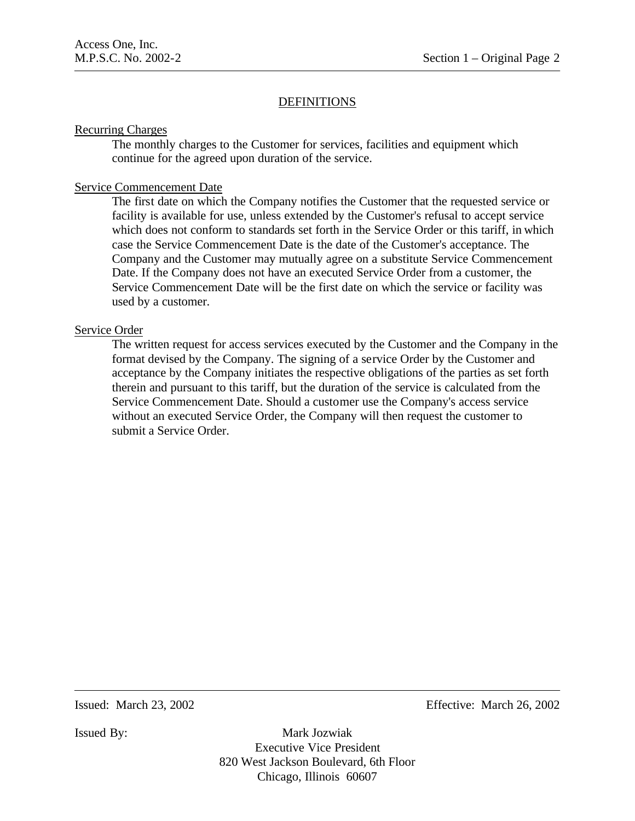# **DEFINITIONS**

### Recurring Charges

The monthly charges to the Customer for services, facilities and equipment which continue for the agreed upon duration of the service.

# Service Commencement Date

The first date on which the Company notifies the Customer that the requested service or facility is available for use, unless extended by the Customer's refusal to accept service which does not conform to standards set forth in the Service Order or this tariff, in which case the Service Commencement Date is the date of the Customer's acceptance. The Company and the Customer may mutually agree on a substitute Service Commencement Date. If the Company does not have an executed Service Order from a customer, the Service Commencement Date will be the first date on which the service or facility was used by a customer.

# Service Order

The written request for access services executed by the Customer and the Company in the format devised by the Company. The signing of a service Order by the Customer and acceptance by the Company initiates the respective obligations of the parties as set forth therein and pursuant to this tariff, but the duration of the service is calculated from the Service Commencement Date. Should a customer use the Company's access service without an executed Service Order, the Company will then request the customer to submit a Service Order.

Issued: March 23, 2002 Effective: March 26, 2002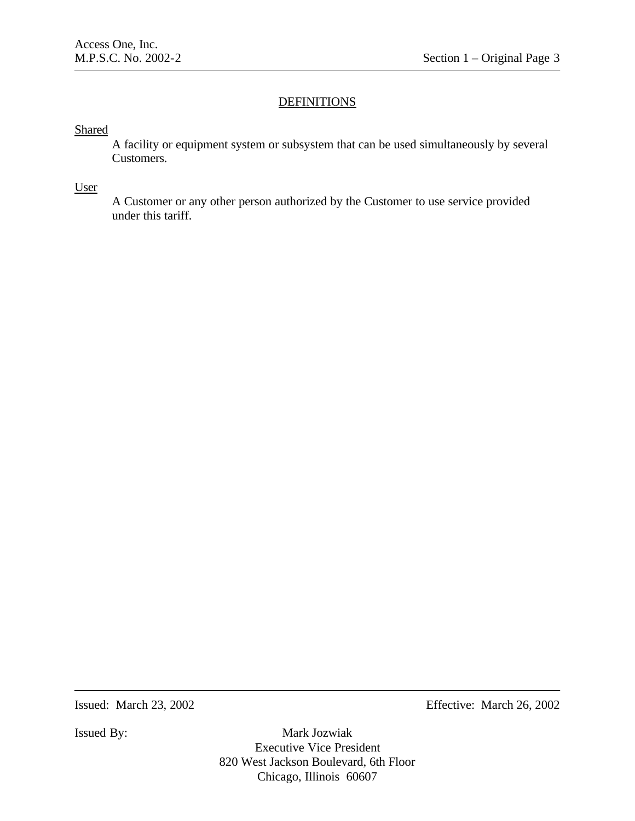# **DEFINITIONS**

### Shared

A facility or equipment system or subsystem that can be used simultaneously by several Customers.

# User

A Customer or any other person authorized by the Customer to use service provided under this tariff.

Issued: March 23, 2002 Effective: March 26, 2002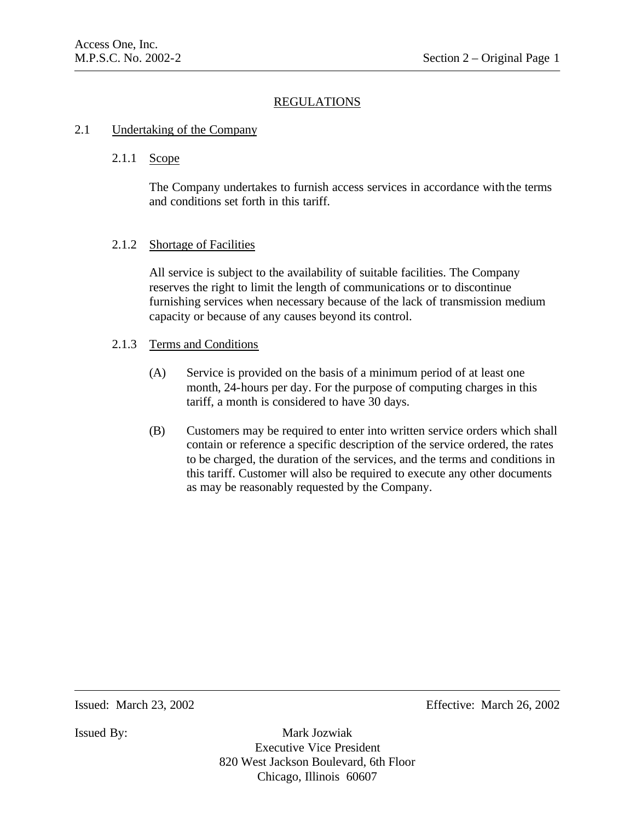# 2.1 Undertaking of the Company

# 2.1.1 Scope

The Company undertakes to furnish access services in accordance with the terms and conditions set forth in this tariff.

# 2.1.2 Shortage of Facilities

All service is subject to the availability of suitable facilities. The Company reserves the right to limit the length of communications or to discontinue furnishing services when necessary because of the lack of transmission medium capacity or because of any causes beyond its control.

#### 2.1.3 Terms and Conditions

- (A) Service is provided on the basis of a minimum period of at least one month, 24-hours per day. For the purpose of computing charges in this tariff, a month is considered to have 30 days.
- (B) Customers may be required to enter into written service orders which shall contain or reference a specific description of the service ordered, the rates to be charged, the duration of the services, and the terms and conditions in this tariff. Customer will also be required to execute any other documents as may be reasonably requested by the Company.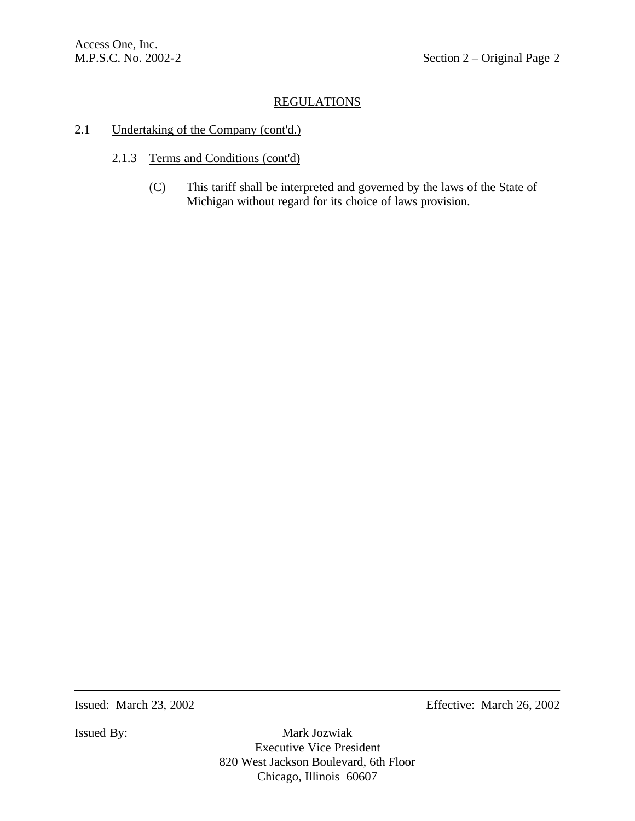# 2.1 Undertaking of the Company (cont'd.)

- 2.1.3 Terms and Conditions (cont'd)
	- (C) This tariff shall be interpreted and governed by the laws of the State of Michigan without regard for its choice of laws provision.

Issued: March 23, 2002 Effective: March 26, 2002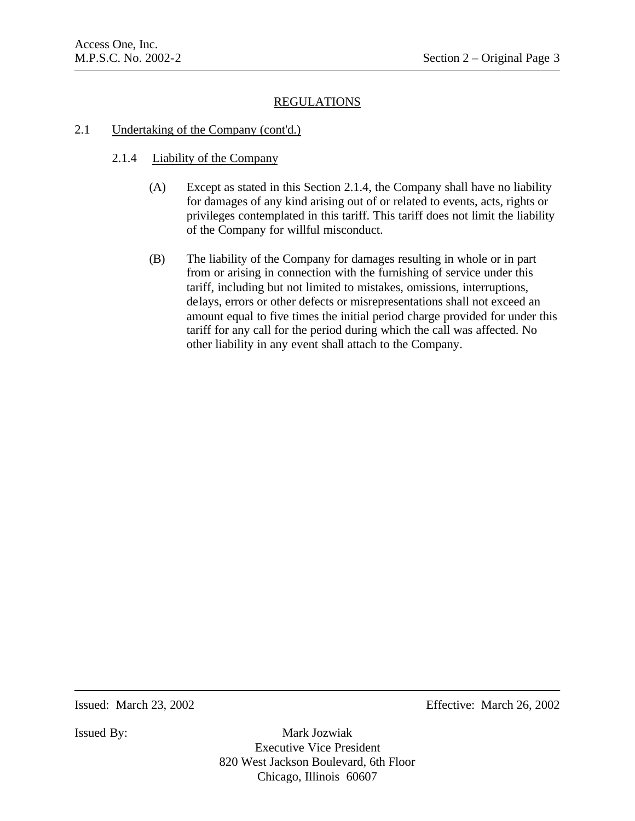### 2.1 Undertaking of the Company (cont'd.)

- 2.1.4 Liability of the Company
	- (A) Except as stated in this Section 2.1.4, the Company shall have no liability for damages of any kind arising out of or related to events, acts, rights or privileges contemplated in this tariff. This tariff does not limit the liability of the Company for willful misconduct.
	- (B) The liability of the Company for damages resulting in whole or in part from or arising in connection with the furnishing of service under this tariff, including but not limited to mistakes, omissions, interruptions, delays, errors or other defects or misrepresentations shall not exceed an amount equal to five times the initial period charge provided for under this tariff for any call for the period during which the call was affected. No other liability in any event shall attach to the Company.

Issued: March 23, 2002 Effective: March 26, 2002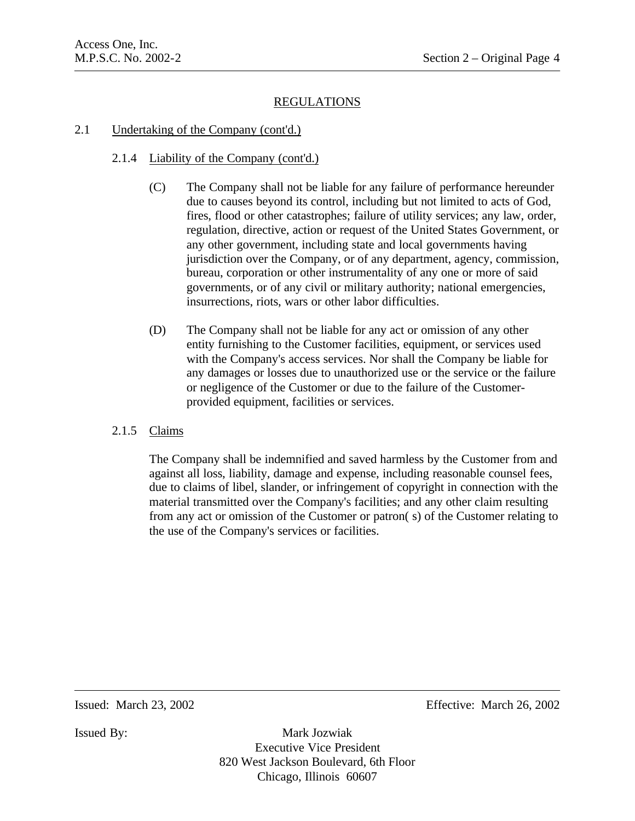# 2.1 Undertaking of the Company (cont'd.)

# 2.1.4 Liability of the Company (cont'd.)

- (C) The Company shall not be liable for any failure of performance hereunder due to causes beyond its control, including but not limited to acts of God, fires, flood or other catastrophes; failure of utility services; any law, order, regulation, directive, action or request of the United States Government, or any other government, including state and local governments having jurisdiction over the Company, or of any department, agency, commission, bureau, corporation or other instrumentality of any one or more of said governments, or of any civil or military authority; national emergencies, insurrections, riots, wars or other labor difficulties.
- (D) The Company shall not be liable for any act or omission of any other entity furnishing to the Customer facilities, equipment, or services used with the Company's access services. Nor shall the Company be liable for any damages or losses due to unauthorized use or the service or the failure or negligence of the Customer or due to the failure of the Customerprovided equipment, facilities or services.

# 2.1.5 Claims

The Company shall be indemnified and saved harmless by the Customer from and against all loss, liability, damage and expense, including reasonable counsel fees, due to claims of libel, slander, or infringement of copyright in connection with the material transmitted over the Company's facilities; and any other claim resulting from any act or omission of the Customer or patron( s) of the Customer relating to the use of the Company's services or facilities.

Issued: March 23, 2002 Effective: March 26, 2002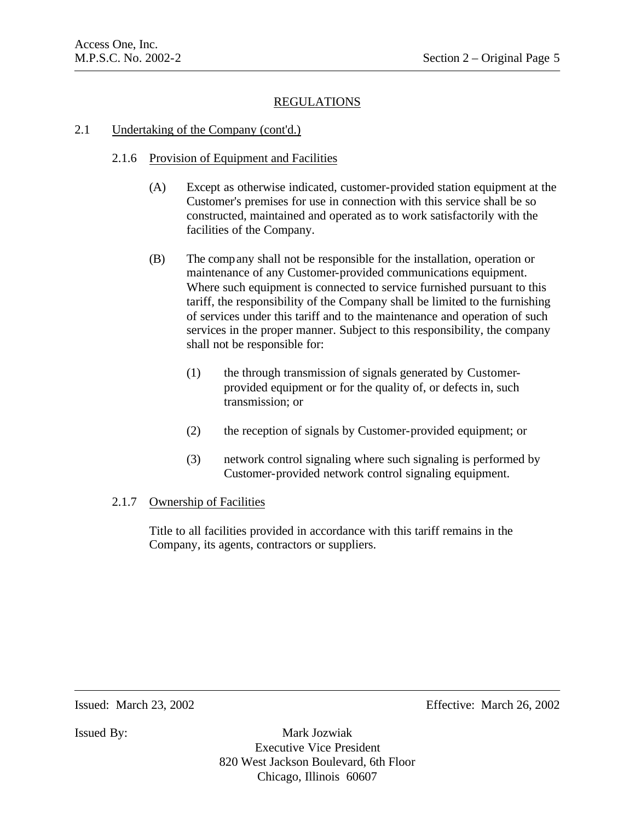# 2.1 Undertaking of the Company (cont'd.)

# 2.1.6 Provision of Equipment and Facilities

- (A) Except as otherwise indicated, customer-provided station equipment at the Customer's premises for use in connection with this service shall be so constructed, maintained and operated as to work satisfactorily with the facilities of the Company.
- (B) The company shall not be responsible for the installation, operation or maintenance of any Customer-provided communications equipment. Where such equipment is connected to service furnished pursuant to this tariff, the responsibility of the Company shall be limited to the furnishing of services under this tariff and to the maintenance and operation of such services in the proper manner. Subject to this responsibility, the company shall not be responsible for:
	- (1) the through transmission of signals generated by Customerprovided equipment or for the quality of, or defects in, such transmission; or
	- (2) the reception of signals by Customer-provided equipment; or
	- (3) network control signaling where such signaling is performed by Customer-provided network control signaling equipment.

# 2.1.7 Ownership of Facilities

Title to all facilities provided in accordance with this tariff remains in the Company, its agents, contractors or suppliers.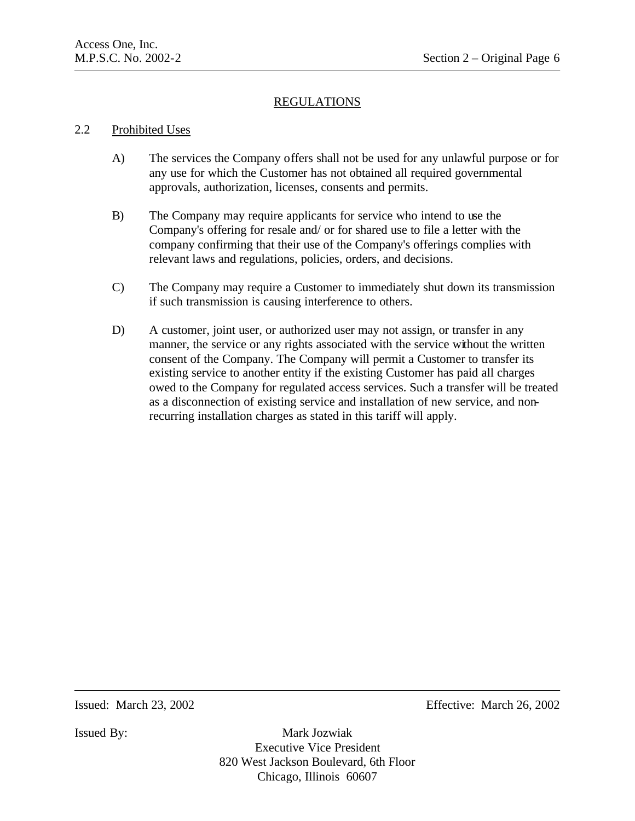# 2.2 Prohibited Uses

- A) The services the Company offers shall not be used for any unlawful purpose or for any use for which the Customer has not obtained all required governmental approvals, authorization, licenses, consents and permits.
- B) The Company may require applicants for service who intend to use the Company's offering for resale and/ or for shared use to file a letter with the company confirming that their use of the Company's offerings complies with relevant laws and regulations, policies, orders, and decisions.
- C) The Company may require a Customer to immediately shut down its transmission if such transmission is causing interference to others.
- D) A customer, joint user, or authorized user may not assign, or transfer in any manner, the service or any rights associated with the service without the written consent of the Company. The Company will permit a Customer to transfer its existing service to another entity if the existing Customer has paid all charges owed to the Company for regulated access services. Such a transfer will be treated as a disconnection of existing service and installation of new service, and nonrecurring installation charges as stated in this tariff will apply.

Issued: March 23, 2002 Effective: March 26, 2002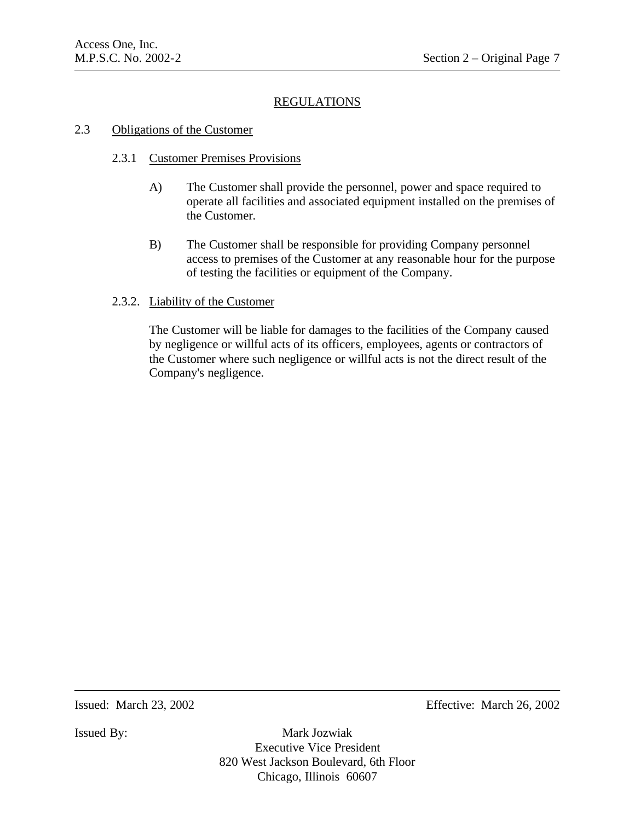# 2.3 Obligations of the Customer

# 2.3.1 Customer Premises Provisions

- A) The Customer shall provide the personnel, power and space required to operate all facilities and associated equipment installed on the premises of the Customer.
- B) The Customer shall be responsible for providing Company personnel access to premises of the Customer at any reasonable hour for the purpose of testing the facilities or equipment of the Company.

# 2.3.2. Liability of the Customer

The Customer will be liable for damages to the facilities of the Company caused by negligence or willful acts of its officers, employees, agents or contractors of the Customer where such negligence or willful acts is not the direct result of the Company's negligence.

Issued: March 23, 2002 Effective: March 26, 2002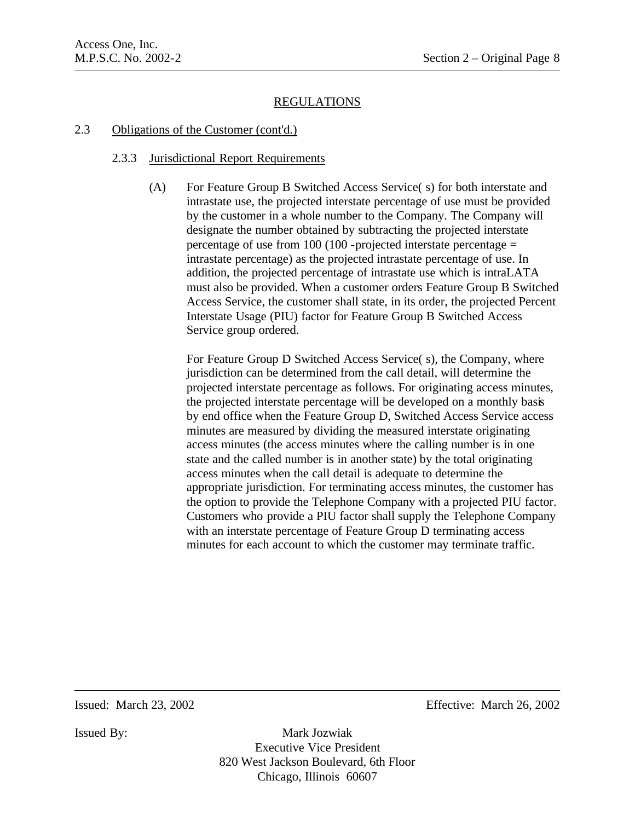### 2.3 Obligations of the Customer (cont'd.)

# 2.3.3 Jurisdictional Report Requirements

(A) For Feature Group B Switched Access Service( s) for both interstate and intrastate use, the projected interstate percentage of use must be provided by the customer in a whole number to the Company. The Company will designate the number obtained by subtracting the projected interstate percentage of use from 100 (100 -projected interstate percentage = intrastate percentage) as the projected intrastate percentage of use. In addition, the projected percentage of intrastate use which is intraLATA must also be provided. When a customer orders Feature Group B Switched Access Service, the customer shall state, in its order, the projected Percent Interstate Usage (PIU) factor for Feature Group B Switched Access Service group ordered.

For Feature Group D Switched Access Service( s), the Company, where jurisdiction can be determined from the call detail, will determine the projected interstate percentage as follows. For originating access minutes, the projected interstate percentage will be developed on a monthly basis by end office when the Feature Group D, Switched Access Service access minutes are measured by dividing the measured interstate originating access minutes (the access minutes where the calling number is in one state and the called number is in another state) by the total originating access minutes when the call detail is adequate to determine the appropriate jurisdiction. For terminating access minutes, the customer has the option to provide the Telephone Company with a projected PIU factor. Customers who provide a PIU factor shall supply the Telephone Company with an interstate percentage of Feature Group D terminating access minutes for each account to which the customer may terminate traffic.

Issued: March 23, 2002 Effective: March 26, 2002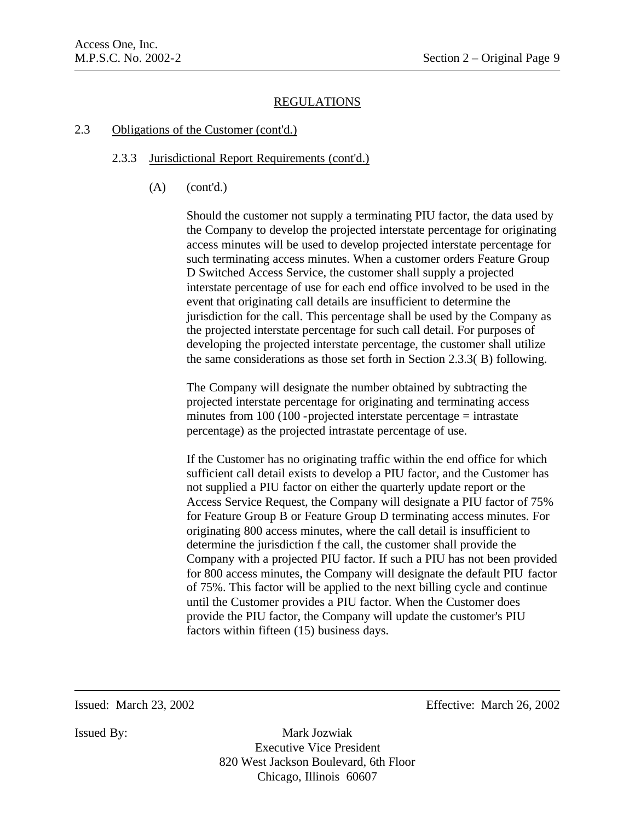# 2.3 Obligations of the Customer (cont'd.)

# 2.3.3 Jurisdictional Report Requirements (cont'd.)

(A) (cont'd.)

Should the customer not supply a terminating PIU factor, the data used by the Company to develop the projected interstate percentage for originating access minutes will be used to develop projected interstate percentage for such terminating access minutes. When a customer orders Feature Group D Switched Access Service, the customer shall supply a projected interstate percentage of use for each end office involved to be used in the event that originating call details are insufficient to determine the jurisdiction for the call. This percentage shall be used by the Company as the projected interstate percentage for such call detail. For purposes of developing the projected interstate percentage, the customer shall utilize the same considerations as those set forth in Section 2.3.3( B) following.

The Company will designate the number obtained by subtracting the projected interstate percentage for originating and terminating access minutes from  $100$  ( $100$  -projected interstate percentage = intrastate percentage) as the projected intrastate percentage of use.

If the Customer has no originating traffic within the end office for which sufficient call detail exists to develop a PIU factor, and the Customer has not supplied a PIU factor on either the quarterly update report or the Access Service Request, the Company will designate a PIU factor of 75% for Feature Group B or Feature Group D terminating access minutes. For originating 800 access minutes, where the call detail is insufficient to determine the jurisdiction f the call, the customer shall provide the Company with a projected PIU factor. If such a PIU has not been provided for 800 access minutes, the Company will designate the default PIU factor of 75%. This factor will be applied to the next billing cycle and continue until the Customer provides a PIU factor. When the Customer does provide the PIU factor, the Company will update the customer's PIU factors within fifteen (15) business days.

Issued: March 23, 2002 Effective: March 26, 2002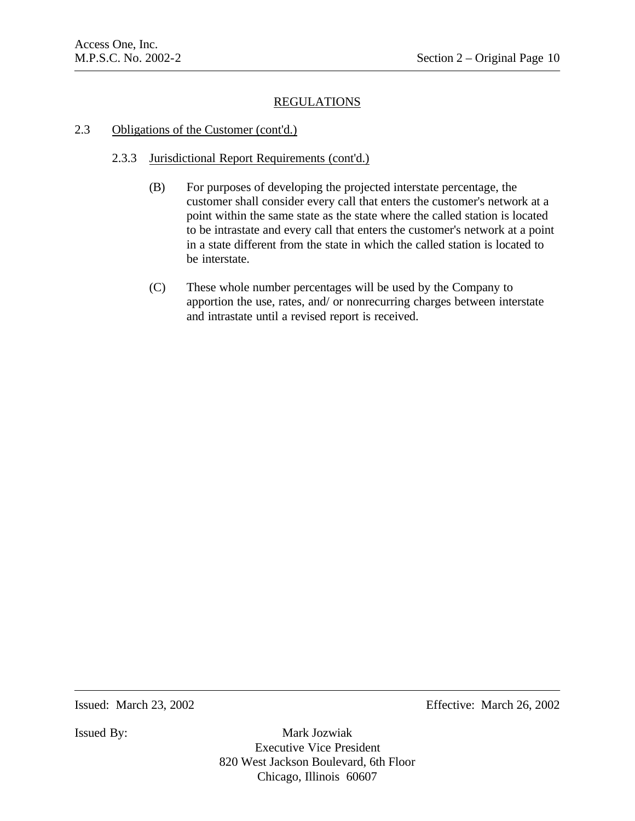### 2.3 Obligations of the Customer (cont'd.)

# 2.3.3 Jurisdictional Report Requirements (cont'd.)

- (B) For purposes of developing the projected interstate percentage, the customer shall consider every call that enters the customer's network at a point within the same state as the state where the called station is located to be intrastate and every call that enters the customer's network at a point in a state different from the state in which the called station is located to be interstate.
- (C) These whole number percentages will be used by the Company to apportion the use, rates, and/ or nonrecurring charges between interstate and intrastate until a revised report is received.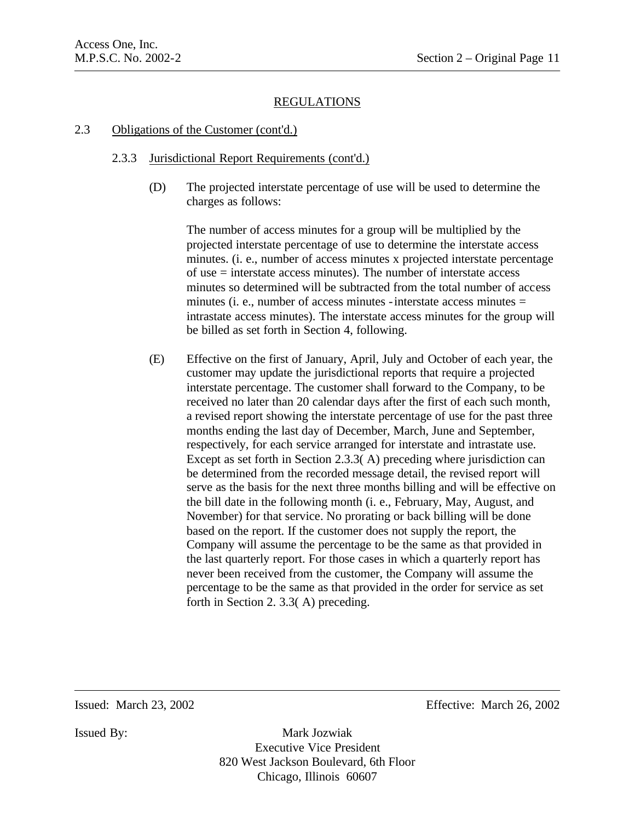#### 2.3 Obligations of the Customer (cont'd.)

#### 2.3.3 Jurisdictional Report Requirements (cont'd.)

(D) The projected interstate percentage of use will be used to determine the charges as follows:

The number of access minutes for a group will be multiplied by the projected interstate percentage of use to determine the interstate access minutes. (i. e., number of access minutes x projected interstate percentage of use = interstate access minutes). The number of interstate access minutes so determined will be subtracted from the total number of access minutes (i. e., number of access minutes - interstate access minutes  $=$ intrastate access minutes). The interstate access minutes for the group will be billed as set forth in Section 4, following.

(E) Effective on the first of January, April, July and October of each year, the customer may update the jurisdictional reports that require a projected interstate percentage. The customer shall forward to the Company, to be received no later than 20 calendar days after the first of each such month, a revised report showing the interstate percentage of use for the past three months ending the last day of December, March, June and September, respectively, for each service arranged for interstate and intrastate use. Except as set forth in Section 2.3.3( A) preceding where jurisdiction can be determined from the recorded message detail, the revised report will serve as the basis for the next three months billing and will be effective on the bill date in the following month (i. e., February, May, August, and November) for that service. No prorating or back billing will be done based on the report. If the customer does not supply the report, the Company will assume the percentage to be the same as that provided in the last quarterly report. For those cases in which a quarterly report has never been received from the customer, the Company will assume the percentage to be the same as that provided in the order for service as set forth in Section 2. 3.3( A) preceding.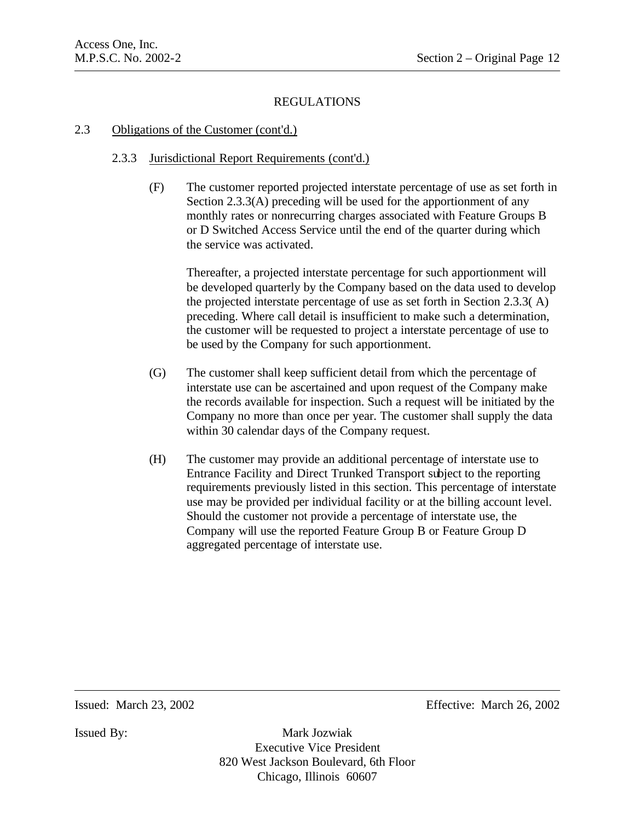### 2.3 Obligations of the Customer (cont'd.)

# 2.3.3 Jurisdictional Report Requirements (cont'd.)

(F) The customer reported projected interstate percentage of use as set forth in Section 2.3.3(A) preceding will be used for the apportionment of any monthly rates or nonrecurring charges associated with Feature Groups B or D Switched Access Service until the end of the quarter during which the service was activated.

Thereafter, a projected interstate percentage for such apportionment will be developed quarterly by the Company based on the data used to develop the projected interstate percentage of use as set forth in Section 2.3.3( A) preceding. Where call detail is insufficient to make such a determination, the customer will be requested to project a interstate percentage of use to be used by the Company for such apportionment.

- (G) The customer shall keep sufficient detail from which the percentage of interstate use can be ascertained and upon request of the Company make the records available for inspection. Such a request will be initiated by the Company no more than once per year. The customer shall supply the data within 30 calendar days of the Company request.
- (H) The customer may provide an additional percentage of interstate use to Entrance Facility and Direct Trunked Transport subject to the reporting requirements previously listed in this section. This percentage of interstate use may be provided per individual facility or at the billing account level. Should the customer not provide a percentage of interstate use, the Company will use the reported Feature Group B or Feature Group D aggregated percentage of interstate use.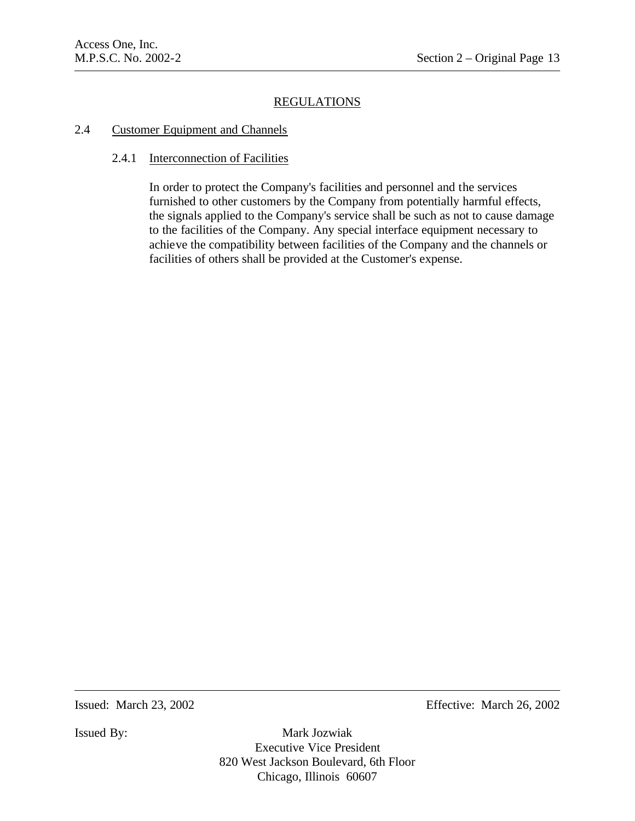#### 2.4 Customer Equipment and Channels

#### 2.4.1 Interconnection of Facilities

In order to protect the Company's facilities and personnel and the services furnished to other customers by the Company from potentially harmful effects, the signals applied to the Company's service shall be such as not to cause damage to the facilities of the Company. Any special interface equipment necessary to achieve the compatibility between facilities of the Company and the channels or facilities of others shall be provided at the Customer's expense.

Issued: March 23, 2002 Effective: March 26, 2002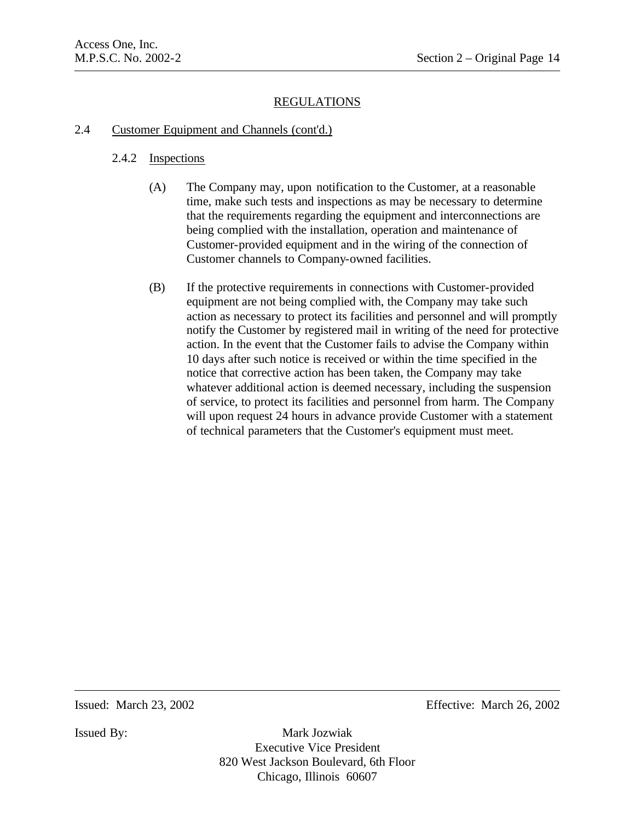# 2.4 Customer Equipment and Channels (cont'd.)

# 2.4.2 Inspections

- (A) The Company may, upon notification to the Customer, at a reasonable time, make such tests and inspections as may be necessary to determine that the requirements regarding the equipment and interconnections are being complied with the installation, operation and maintenance of Customer-provided equipment and in the wiring of the connection of Customer channels to Company-owned facilities.
- (B) If the protective requirements in connections with Customer-provided equipment are not being complied with, the Company may take such action as necessary to protect its facilities and personnel and will promptly notify the Customer by registered mail in writing of the need for protective action. In the event that the Customer fails to advise the Company within 10 days after such notice is received or within the time specified in the notice that corrective action has been taken, the Company may take whatever additional action is deemed necessary, including the suspension of service, to protect its facilities and personnel from harm. The Company will upon request 24 hours in advance provide Customer with a statement of technical parameters that the Customer's equipment must meet.

Issued: March 23, 2002 Effective: March 26, 2002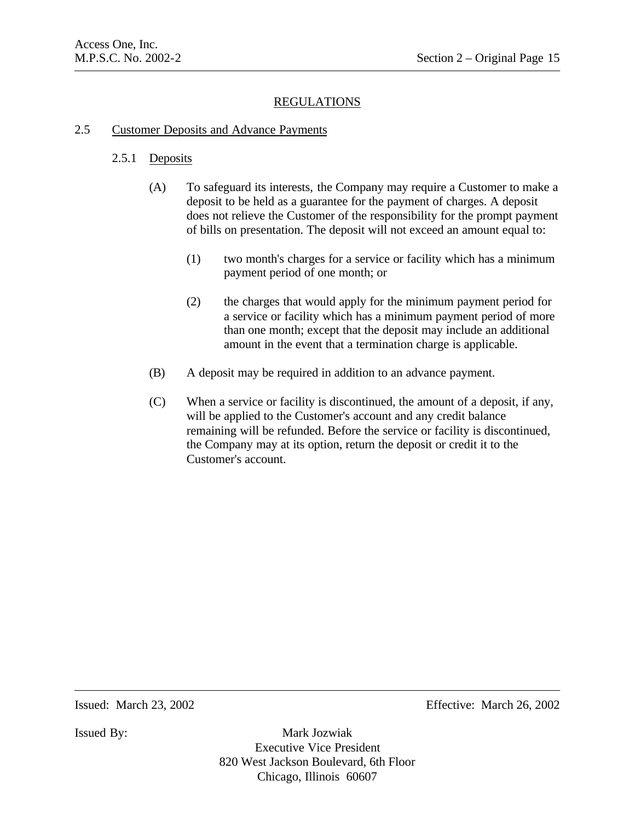#### 2.5 Customer Deposits and Advance Payments

#### 2.5.1 Deposits

- (A) To safeguard its interests, the Company may require a Customer to make a deposit to be held as a guarantee for the payment of charges. A deposit does not relieve the Customer of the responsibility for the prompt payment of bills on presentation. The deposit will not exceed an amount equal to:
	- (1) two month's charges for a service or facility which has a minimum payment period of one month; or
	- (2) the charges that would apply for the minimum payment period for a service or facility which has a minimum payment period of more than one month; except that the deposit may include an additional amount in the event that a termination charge is applicable.
- (B) A deposit may be required in addition to an advance payment.
- (C) When a service or facility is discontinued, the amount of a deposit, if any, will be applied to the Customer's account and any credit balance remaining will be refunded. Before the service or facility is discontinued, the Company may at its option, return the deposit or credit it to the Customer's account.

Issued: March 23, 2002 Effective: March 26, 2002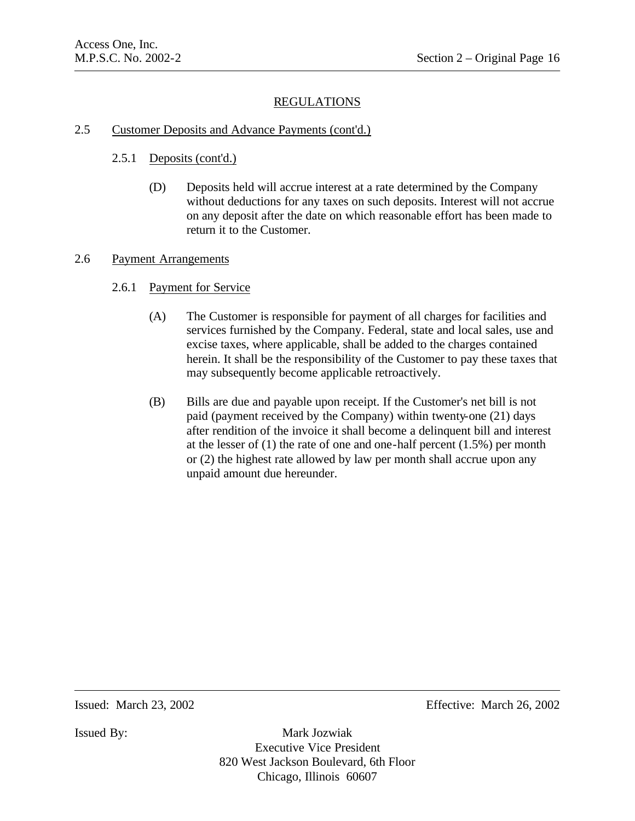# 2.5 Customer Deposits and Advance Payments (cont'd.)

# 2.5.1 Deposits (cont'd.)

(D) Deposits held will accrue interest at a rate determined by the Company without deductions for any taxes on such deposits. Interest will not accrue on any deposit after the date on which reasonable effort has been made to return it to the Customer.

#### 2.6 Payment Arrangements

- 2.6.1 Payment for Service
	- (A) The Customer is responsible for payment of all charges for facilities and services furnished by the Company. Federal, state and local sales, use and excise taxes, where applicable, shall be added to the charges contained herein. It shall be the responsibility of the Customer to pay these taxes that may subsequently become applicable retroactively.
	- (B) Bills are due and payable upon receipt. If the Customer's net bill is not paid (payment received by the Company) within twenty-one (21) days after rendition of the invoice it shall become a delinquent bill and interest at the lesser of (1) the rate of one and one-half percent (1.5%) per month or (2) the highest rate allowed by law per month shall accrue upon any unpaid amount due hereunder.

Issued: March 23, 2002 Effective: March 26, 2002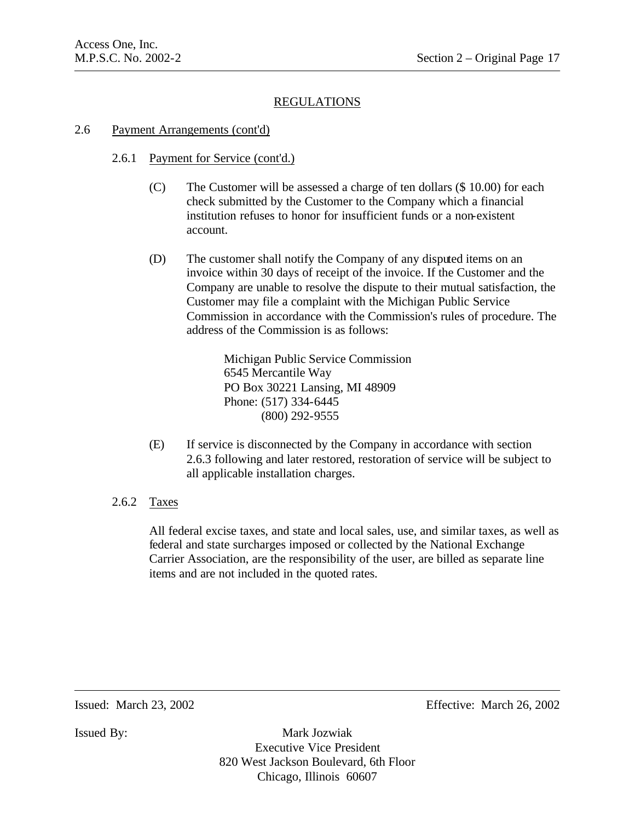#### 2.6 Payment Arrangements (cont'd)

# 2.6.1 Payment for Service (cont'd.)

- (C) The Customer will be assessed a charge of ten dollars (\$ 10.00) for each check submitted by the Customer to the Company which a financial institution refuses to honor for insufficient funds or a non-existent account.
- (D) The customer shall notify the Company of any disputed items on an invoice within 30 days of receipt of the invoice. If the Customer and the Company are unable to resolve the dispute to their mutual satisfaction, the Customer may file a complaint with the Michigan Public Service Commission in accordance with the Commission's rules of procedure. The address of the Commission is as follows:

Michigan Public Service Commission 6545 Mercantile Way PO Box 30221 Lansing, MI 48909 Phone: (517) 334-6445 (800) 292-9555

- (E) If service is disconnected by the Company in accordance with section 2.6.3 following and later restored, restoration of service will be subject to all applicable installation charges.
- 2.6.2 Taxes

All federal excise taxes, and state and local sales, use, and similar taxes, as well as federal and state surcharges imposed or collected by the National Exchange Carrier Association, are the responsibility of the user, are billed as separate line items and are not included in the quoted rates.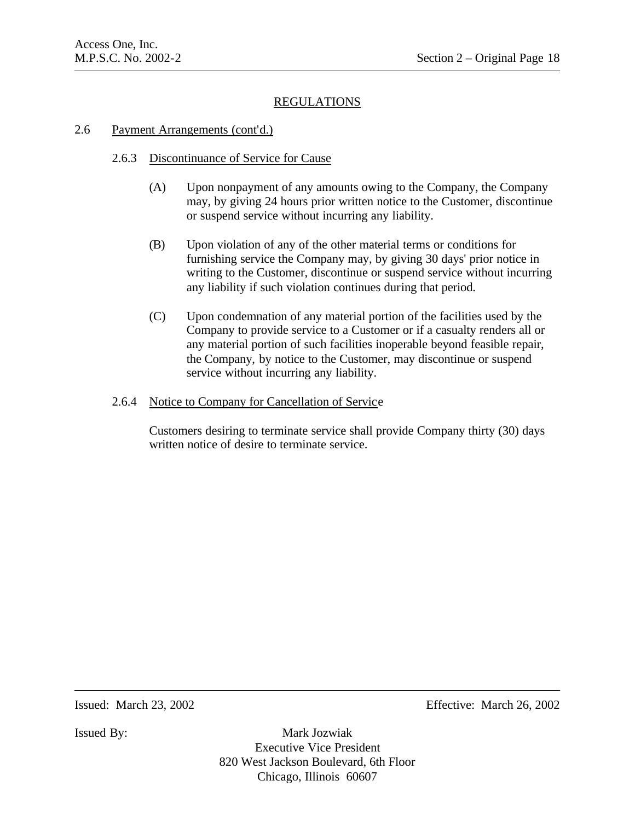### 2.6 Payment Arrangements (cont'd.)

# 2.6.3 Discontinuance of Service for Cause

- (A) Upon nonpayment of any amounts owing to the Company, the Company may, by giving 24 hours prior written notice to the Customer, discontinue or suspend service without incurring any liability.
- (B) Upon violation of any of the other material terms or conditions for furnishing service the Company may, by giving 30 days' prior notice in writing to the Customer, discontinue or suspend service without incurring any liability if such violation continues during that period.
- (C) Upon condemnation of any material portion of the facilities used by the Company to provide service to a Customer or if a casualty renders all or any material portion of such facilities inoperable beyond feasible repair, the Company, by notice to the Customer, may discontinue or suspend service without incurring any liability.

# 2.6.4 Notice to Company for Cancellation of Service

Customers desiring to terminate service shall provide Company thirty (30) days written notice of desire to terminate service.

Issued: March 23, 2002 Effective: March 26, 2002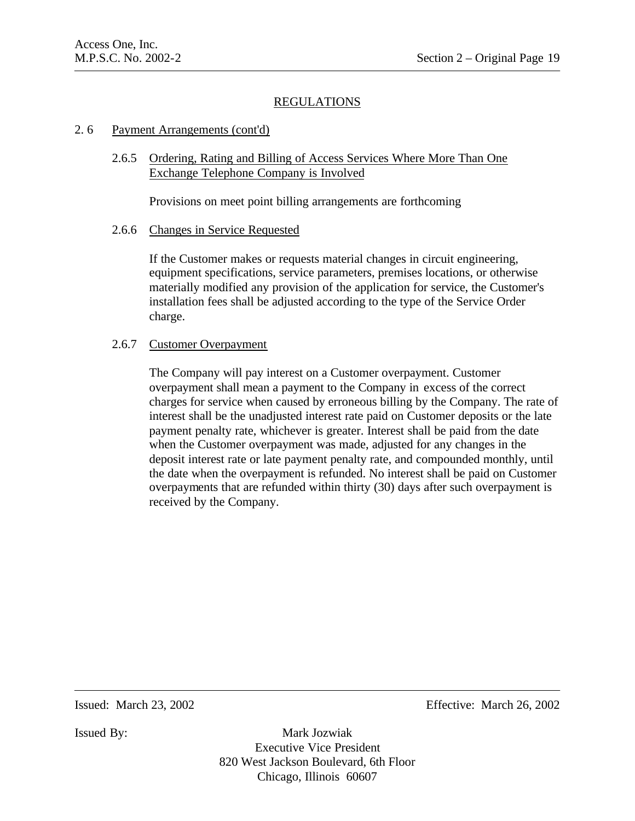#### 2. 6 Payment Arrangements (cont'd)

2.6.5 Ordering, Rating and Billing of Access Services Where More Than One Exchange Telephone Company is Involved

Provisions on meet point billing arrangements are forthcoming

#### 2.6.6 Changes in Service Requested

If the Customer makes or requests material changes in circuit engineering, equipment specifications, service parameters, premises locations, or otherwise materially modified any provision of the application for service, the Customer's installation fees shall be adjusted according to the type of the Service Order charge.

#### 2.6.7 Customer Overpayment

The Company will pay interest on a Customer overpayment. Customer overpayment shall mean a payment to the Company in excess of the correct charges for service when caused by erroneous billing by the Company. The rate of interest shall be the unadjusted interest rate paid on Customer deposits or the late payment penalty rate, whichever is greater. Interest shall be paid from the date when the Customer overpayment was made, adjusted for any changes in the deposit interest rate or late payment penalty rate, and compounded monthly, until the date when the overpayment is refunded. No interest shall be paid on Customer overpayments that are refunded within thirty (30) days after such overpayment is received by the Company.

Issued: March 23, 2002 Effective: March 26, 2002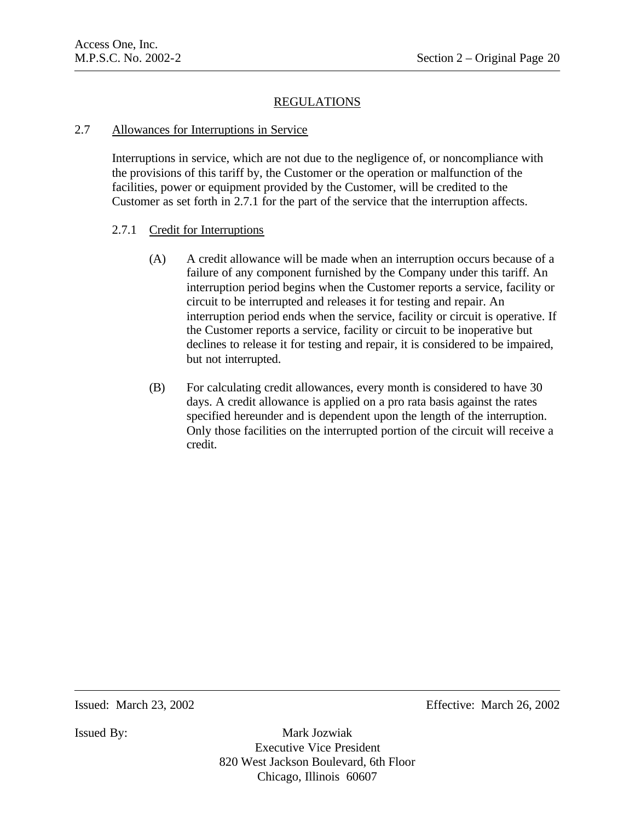# 2.7 Allowances for Interruptions in Service

Interruptions in service, which are not due to the negligence of, or noncompliance with the provisions of this tariff by, the Customer or the operation or malfunction of the facilities, power or equipment provided by the Customer, will be credited to the Customer as set forth in 2.7.1 for the part of the service that the interruption affects.

# 2.7.1 Credit for Interruptions

- (A) A credit allowance will be made when an interruption occurs because of a failure of any component furnished by the Company under this tariff. An interruption period begins when the Customer reports a service, facility or circuit to be interrupted and releases it for testing and repair. An interruption period ends when the service, facility or circuit is operative. If the Customer reports a service, facility or circuit to be inoperative but declines to release it for testing and repair, it is considered to be impaired, but not interrupted.
- (B) For calculating credit allowances, every month is considered to have 30 days. A credit allowance is applied on a pro rata basis against the rates specified hereunder and is dependent upon the length of the interruption. Only those facilities on the interrupted portion of the circuit will receive a credit.

Issued: March 23, 2002 Effective: March 26, 2002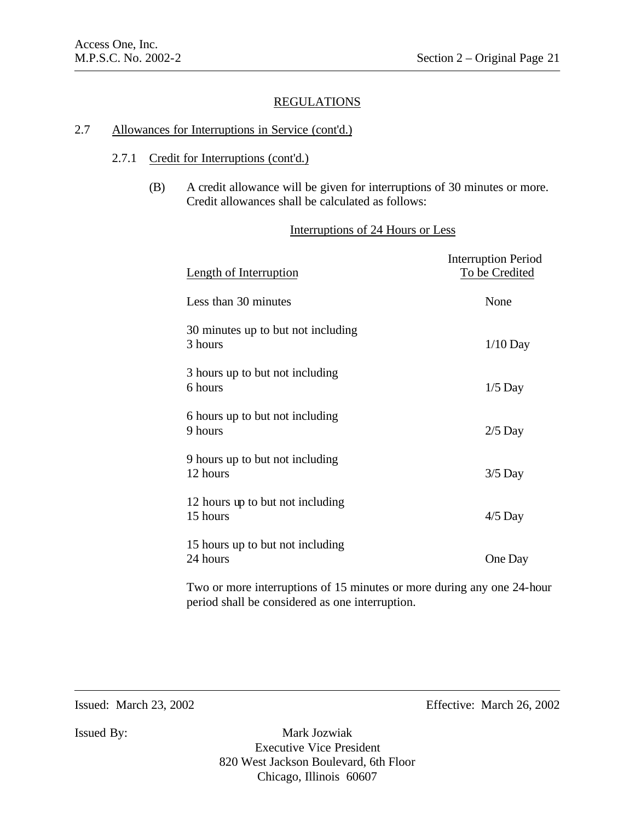### 2.7 Allowances for Interruptions in Service (cont'd.)

## 2.7.1 Credit for Interruptions (cont'd.)

(B) A credit allowance will be given for interruptions of 30 minutes or more. Credit allowances shall be calculated as follows:

## Interruptions of 24 Hours or Less

| <b>Length of Interruption</b>                 | <b>Interruption Period</b><br>To be Credited |
|-----------------------------------------------|----------------------------------------------|
| Less than 30 minutes                          | None                                         |
| 30 minutes up to but not including<br>3 hours | $1/10$ Day                                   |
| 3 hours up to but not including<br>6 hours    | $1/5$ Day                                    |
| 6 hours up to but not including<br>9 hours    | $2/5$ Day                                    |
| 9 hours up to but not including<br>12 hours   | $3/5$ Day                                    |
| 12 hours up to but not including<br>15 hours  | $4/5$ Day                                    |
| 15 hours up to but not including<br>24 hours  | One Day                                      |

Two or more interruptions of 15 minutes or more during any one 24-hour period shall be considered as one interruption.

Issued: March 23, 2002 Effective: March 26, 2002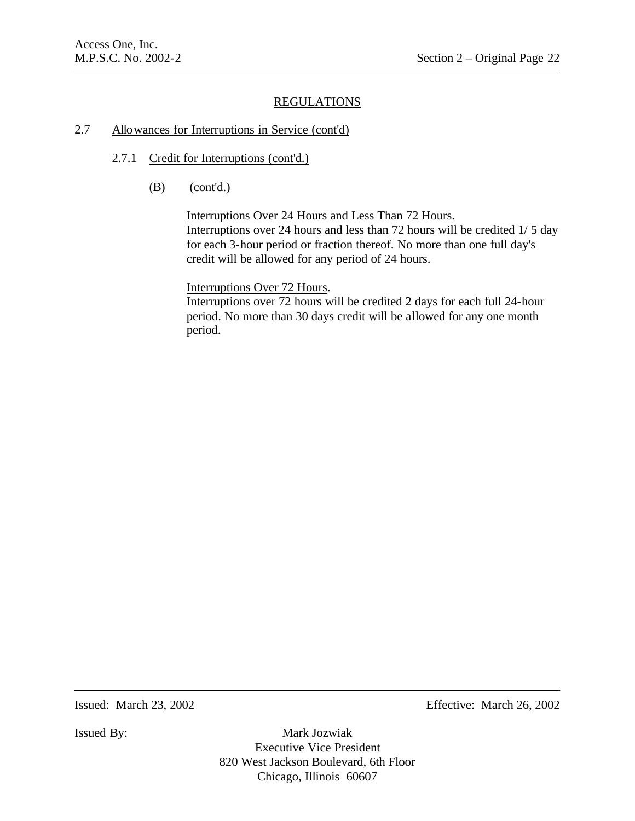# 2.7 Allowances for Interruptions in Service (cont'd)

- 2.7.1 Credit for Interruptions (cont'd.)
	- (B) (cont'd.)

Interruptions Over 24 Hours and Less Than 72 Hours. Interruptions over 24 hours and less than 72 hours will be credited 1/ 5 day for each 3-hour period or fraction thereof. No more than one full day's credit will be allowed for any period of 24 hours.

Interruptions Over 72 Hours.

Interruptions over 72 hours will be credited 2 days for each full 24-hour period. No more than 30 days credit will be allowed for any one month period.

Issued: March 23, 2002 Effective: March 26, 2002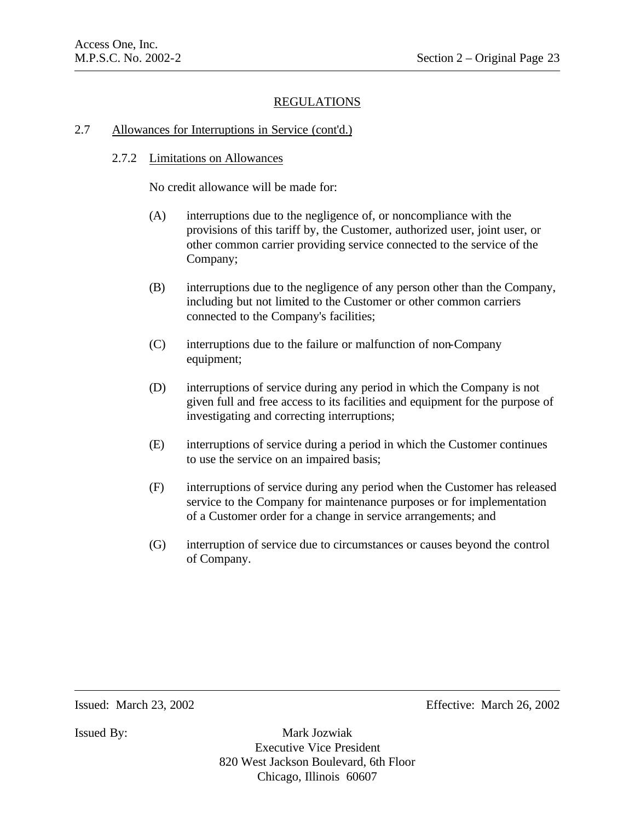### 2.7 Allowances for Interruptions in Service (cont'd.)

# 2.7.2 Limitations on Allowances

No credit allowance will be made for:

- (A) interruptions due to the negligence of, or noncompliance with the provisions of this tariff by, the Customer, authorized user, joint user, or other common carrier providing service connected to the service of the Company;
- (B) interruptions due to the negligence of any person other than the Company, including but not limited to the Customer or other common carriers connected to the Company's facilities;
- (C) interruptions due to the failure or malfunction of non-Company equipment;
- (D) interruptions of service during any period in which the Company is not given full and free access to its facilities and equipment for the purpose of investigating and correcting interruptions;
- (E) interruptions of service during a period in which the Customer continues to use the service on an impaired basis;
- (F) interruptions of service during any period when the Customer has released service to the Company for maintenance purposes or for implementation of a Customer order for a change in service arrangements; and
- (G) interruption of service due to circumstances or causes beyond the control of Company.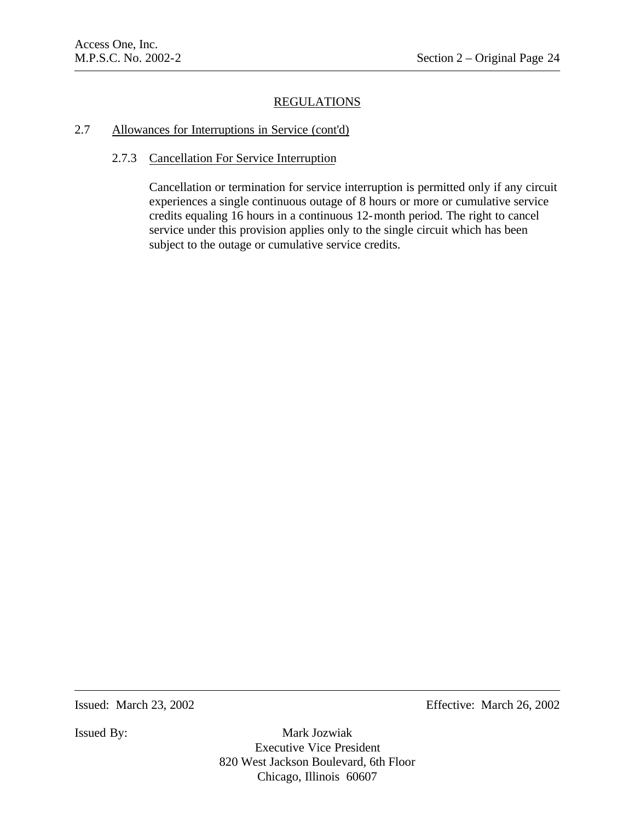### 2.7 Allowances for Interruptions in Service (cont'd)

### 2.7.3 Cancellation For Service Interruption

Cancellation or termination for service interruption is permitted only if any circuit experiences a single continuous outage of 8 hours or more or cumulative service credits equaling 16 hours in a continuous 12-month period. The right to cancel service under this provision applies only to the single circuit which has been subject to the outage or cumulative service credits.

Issued: March 23, 2002 Effective: March 26, 2002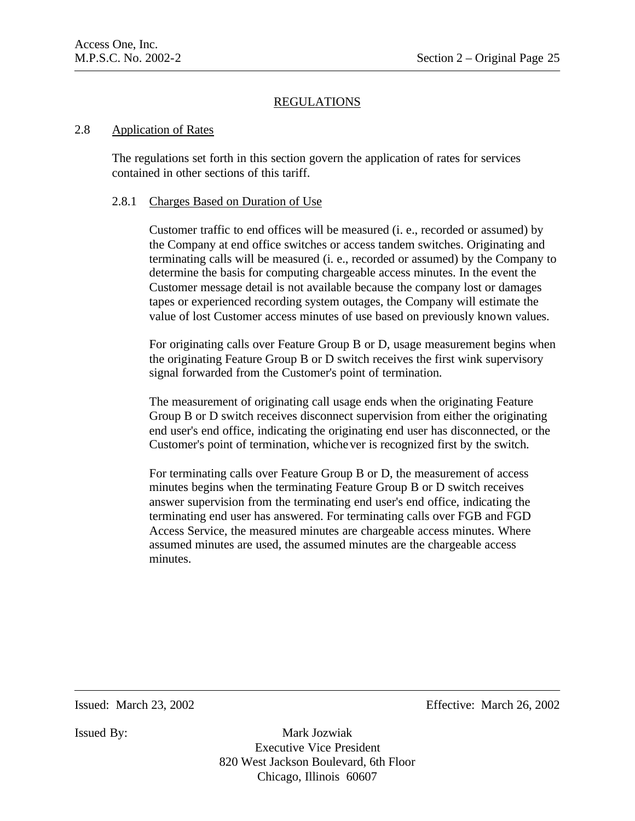### 2.8 Application of Rates

The regulations set forth in this section govern the application of rates for services contained in other sections of this tariff.

## 2.8.1 Charges Based on Duration of Use

Customer traffic to end offices will be measured (i. e., recorded or assumed) by the Company at end office switches or access tandem switches. Originating and terminating calls will be measured (i. e., recorded or assumed) by the Company to determine the basis for computing chargeable access minutes. In the event the Customer message detail is not available because the company lost or damages tapes or experienced recording system outages, the Company will estimate the value of lost Customer access minutes of use based on previously known values.

For originating calls over Feature Group B or D, usage measurement begins when the originating Feature Group B or D switch receives the first wink supervisory signal forwarded from the Customer's point of termination.

The measurement of originating call usage ends when the originating Feature Group B or D switch receives disconnect supervision from either the originating end user's end office, indicating the originating end user has disconnected, or the Customer's point of termination, whichever is recognized first by the switch.

For terminating calls over Feature Group B or D, the measurement of access minutes begins when the terminating Feature Group B or D switch receives answer supervision from the terminating end user's end office, indicating the terminating end user has answered. For terminating calls over FGB and FGD Access Service, the measured minutes are chargeable access minutes. Where assumed minutes are used, the assumed minutes are the chargeable access minutes.

Issued: March 23, 2002 Effective: March 26, 2002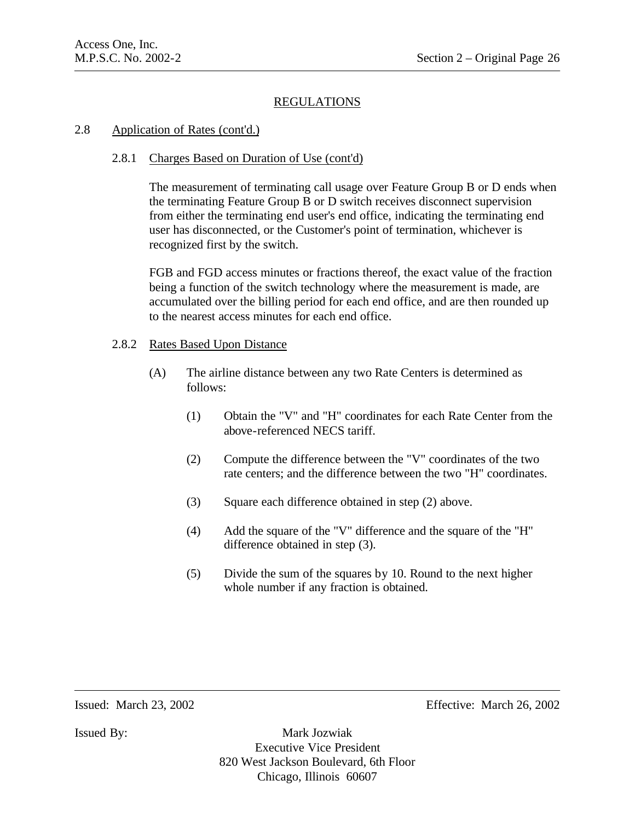# 2.8 Application of Rates (cont'd.)

# 2.8.1 Charges Based on Duration of Use (cont'd)

The measurement of terminating call usage over Feature Group B or D ends when the terminating Feature Group B or D switch receives disconnect supervision from either the terminating end user's end office, indicating the terminating end user has disconnected, or the Customer's point of termination, whichever is recognized first by the switch.

FGB and FGD access minutes or fractions thereof, the exact value of the fraction being a function of the switch technology where the measurement is made, are accumulated over the billing period for each end office, and are then rounded up to the nearest access minutes for each end office.

#### 2.8.2 Rates Based Upon Distance

- (A) The airline distance between any two Rate Centers is determined as follows:
	- (1) Obtain the "V" and "H" coordinates for each Rate Center from the above-referenced NECS tariff.
	- (2) Compute the difference between the "V" coordinates of the two rate centers; and the difference between the two "H" coordinates.
	- (3) Square each difference obtained in step (2) above.
	- (4) Add the square of the "V" difference and the square of the "H" difference obtained in step (3).
	- (5) Divide the sum of the squares by 10. Round to the next higher whole number if any fraction is obtained.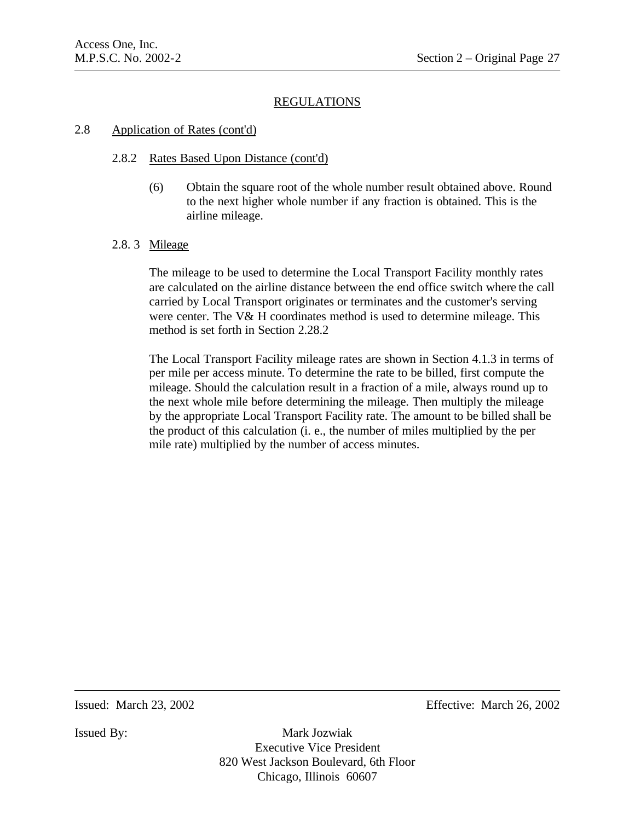# 2.8 Application of Rates (cont'd)

# 2.8.2 Rates Based Upon Distance (cont'd)

(6) Obtain the square root of the whole number result obtained above. Round to the next higher whole number if any fraction is obtained. This is the airline mileage.

# 2.8. 3 Mileage

The mileage to be used to determine the Local Transport Facility monthly rates are calculated on the airline distance between the end office switch where the call carried by Local Transport originates or terminates and the customer's serving were center. The V& H coordinates method is used to determine mileage. This method is set forth in Section 2.28.2

The Local Transport Facility mileage rates are shown in Section 4.1.3 in terms of per mile per access minute. To determine the rate to be billed, first compute the mileage. Should the calculation result in a fraction of a mile, always round up to the next whole mile before determining the mileage. Then multiply the mileage by the appropriate Local Transport Facility rate. The amount to be billed shall be the product of this calculation (i. e., the number of miles multiplied by the per mile rate) multiplied by the number of access minutes.

Issued: March 23, 2002 Effective: March 26, 2002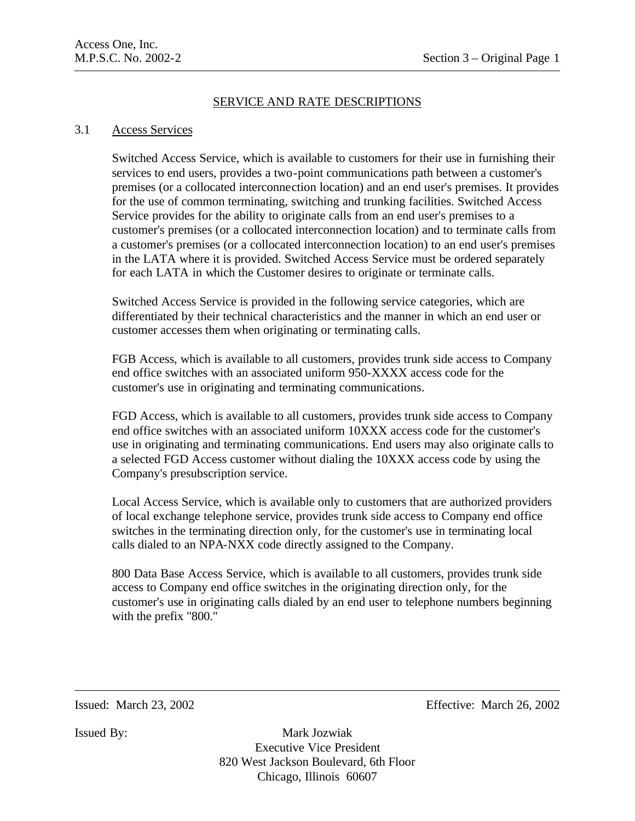# SERVICE AND RATE DESCRIPTIONS

### 3.1 Access Services

Switched Access Service, which is available to customers for their use in furnishing their services to end users, provides a two-point communications path between a customer's premises (or a collocated interconnection location) and an end user's premises. It provides for the use of common terminating, switching and trunking facilities. Switched Access Service provides for the ability to originate calls from an end user's premises to a customer's premises (or a collocated interconnection location) and to terminate calls from a customer's premises (or a collocated interconnection location) to an end user's premises in the LATA where it is provided. Switched Access Service must be ordered separately for each LATA in which the Customer desires to originate or terminate calls.

Switched Access Service is provided in the following service categories, which are differentiated by their technical characteristics and the manner in which an end user or customer accesses them when originating or terminating calls.

FGB Access, which is available to all customers, provides trunk side access to Company end office switches with an associated uniform 950-XXXX access code for the customer's use in originating and terminating communications.

FGD Access, which is available to all customers, provides trunk side access to Company end office switches with an associated uniform 10XXX access code for the customer's use in originating and terminating communications. End users may also originate calls to a selected FGD Access customer without dialing the 10XXX access code by using the Company's presubscription service.

Local Access Service, which is available only to customers that are authorized providers of local exchange telephone service, provides trunk side access to Company end office switches in the terminating direction only, for the customer's use in terminating local calls dialed to an NPA-NXX code directly assigned to the Company.

800 Data Base Access Service, which is available to all customers, provides trunk side access to Company end office switches in the originating direction only, for the customer's use in originating calls dialed by an end user to telephone numbers beginning with the prefix "800."

Issued: March 23, 2002 Effective: March 26, 2002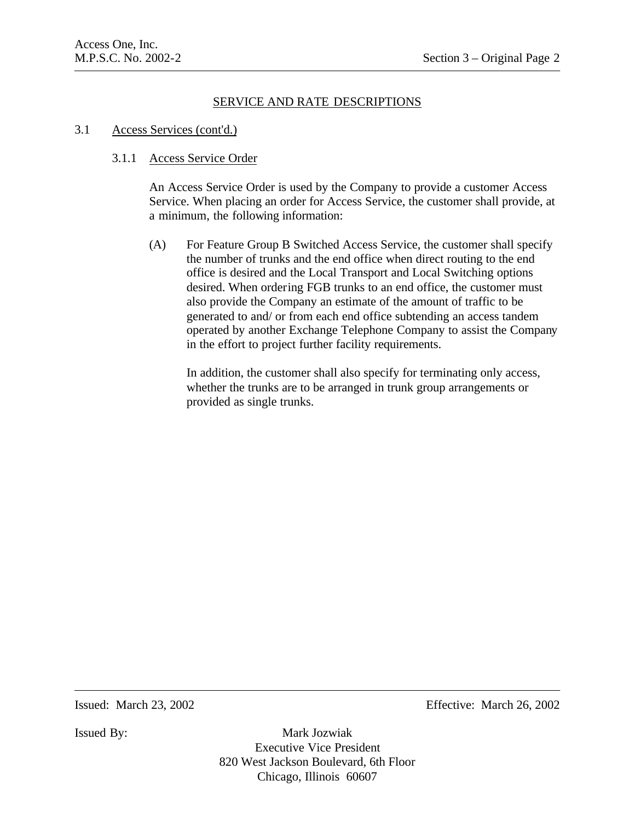#### 3.1 Access Services (cont'd.)

### 3.1.1 Access Service Order

An Access Service Order is used by the Company to provide a customer Access Service. When placing an order for Access Service, the customer shall provide, at a minimum, the following information:

(A) For Feature Group B Switched Access Service, the customer shall specify the number of trunks and the end office when direct routing to the end office is desired and the Local Transport and Local Switching options desired. When ordering FGB trunks to an end office, the customer must also provide the Company an estimate of the amount of traffic to be generated to and/ or from each end office subtending an access tandem operated by another Exchange Telephone Company to assist the Company in the effort to project further facility requirements.

In addition, the customer shall also specify for terminating only access, whether the trunks are to be arranged in trunk group arrangements or provided as single trunks.

Issued: March 23, 2002 Effective: March 26, 2002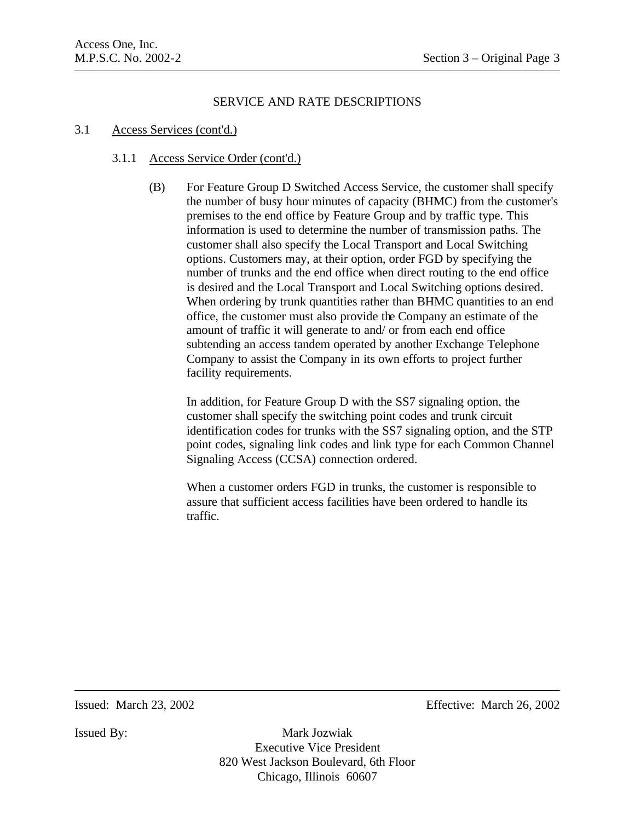### 3.1 Access Services (cont'd.)

## 3.1.1 Access Service Order (cont'd.)

(B) For Feature Group D Switched Access Service, the customer shall specify the number of busy hour minutes of capacity (BHMC) from the customer's premises to the end office by Feature Group and by traffic type. This information is used to determine the number of transmission paths. The customer shall also specify the Local Transport and Local Switching options. Customers may, at their option, order FGD by specifying the number of trunks and the end office when direct routing to the end office is desired and the Local Transport and Local Switching options desired. When ordering by trunk quantities rather than BHMC quantities to an end office, the customer must also provide the Company an estimate of the amount of traffic it will generate to and/ or from each end office subtending an access tandem operated by another Exchange Telephone Company to assist the Company in its own efforts to project further facility requirements.

In addition, for Feature Group D with the SS7 signaling option, the customer shall specify the switching point codes and trunk circuit identification codes for trunks with the SS7 signaling option, and the STP point codes, signaling link codes and link type for each Common Channel Signaling Access (CCSA) connection ordered.

When a customer orders FGD in trunks, the customer is responsible to assure that sufficient access facilities have been ordered to handle its traffic.

Issued: March 23, 2002 Effective: March 26, 2002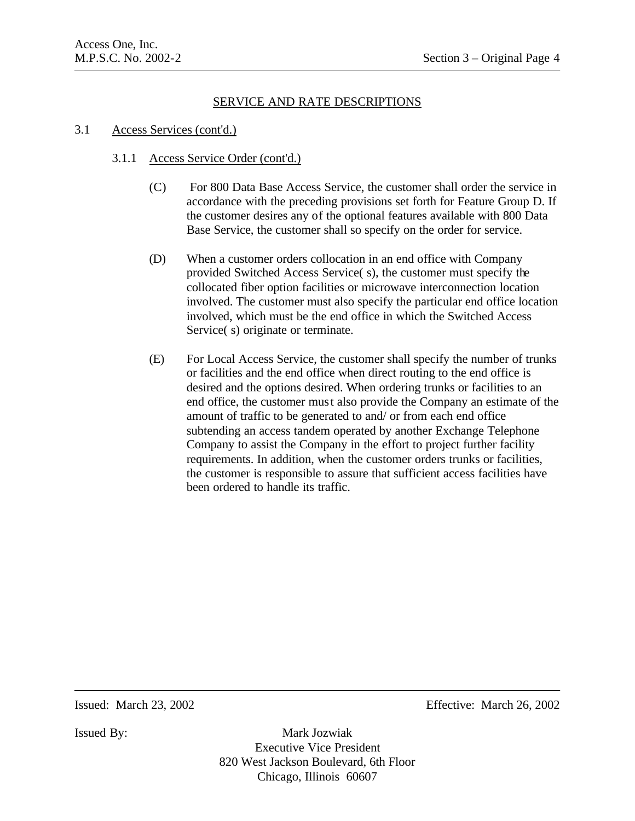## 3.1 Access Services (cont'd.)

## 3.1.1 Access Service Order (cont'd.)

- (C) For 800 Data Base Access Service, the customer shall order the service in accordance with the preceding provisions set forth for Feature Group D. If the customer desires any of the optional features available with 800 Data Base Service, the customer shall so specify on the order for service.
- (D) When a customer orders collocation in an end office with Company provided Switched Access Service( s), the customer must specify the collocated fiber option facilities or microwave interconnection location involved. The customer must also specify the particular end office location involved, which must be the end office in which the Switched Access Service(s) originate or terminate.
- (E) For Local Access Service, the customer shall specify the number of trunks or facilities and the end office when direct routing to the end office is desired and the options desired. When ordering trunks or facilities to an end office, the customer must also provide the Company an estimate of the amount of traffic to be generated to and/ or from each end office subtending an access tandem operated by another Exchange Telephone Company to assist the Company in the effort to project further facility requirements. In addition, when the customer orders trunks or facilities, the customer is responsible to assure that sufficient access facilities have been ordered to handle its traffic.

Issued: March 23, 2002 Effective: March 26, 2002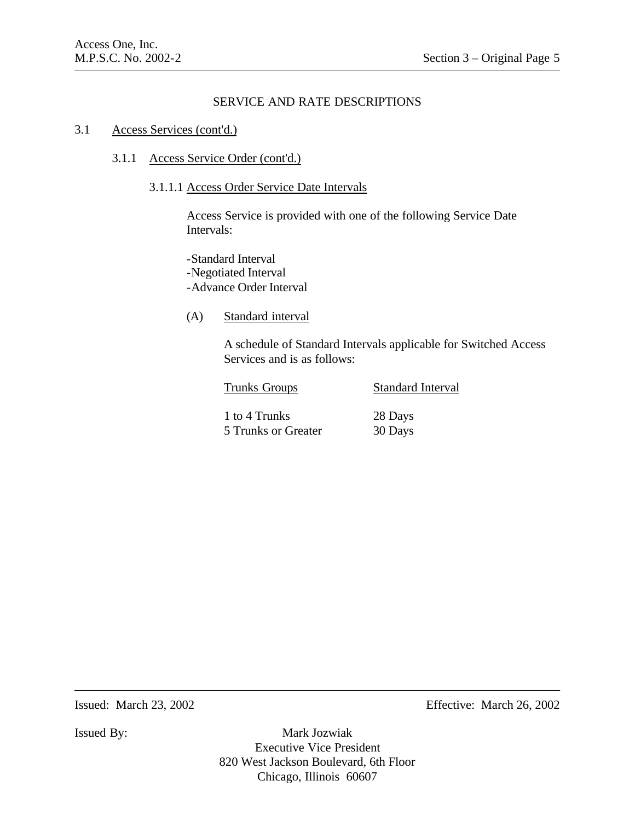#### 3.1 Access Services (cont'd.)

## 3.1.1 Access Service Order (cont'd.)

## 3.1.1.1 Access Order Service Date Intervals

Access Service is provided with one of the following Service Date Intervals:

-Standard Interval -Negotiated Interval -Advance Order Interval

## (A) Standard interval

A schedule of Standard Intervals applicable for Switched Access Services and is as follows:

| <b>Trunks Groups</b> | <b>Standard Interval</b> |  |
|----------------------|--------------------------|--|
| 1 to 4 Trunks        | 28 Days                  |  |
| 5 Trunks or Greater  | 30 Days                  |  |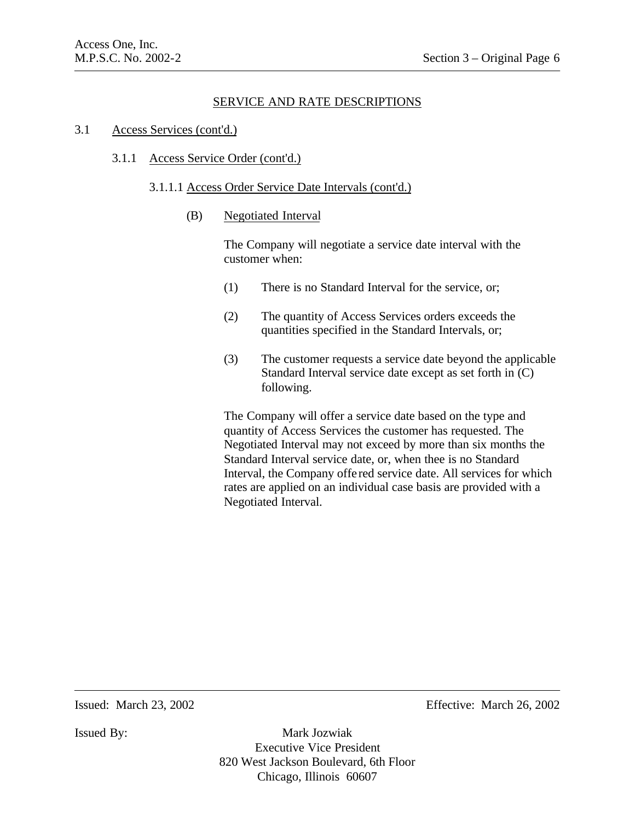#### 3.1 Access Services (cont'd.)

#### 3.1.1 Access Service Order (cont'd.)

#### 3.1.1.1 Access Order Service Date Intervals (cont'd.)

(B) Negotiated Interval

The Company will negotiate a service date interval with the customer when:

- (1) There is no Standard Interval for the service, or;
- (2) The quantity of Access Services orders exceeds the quantities specified in the Standard Intervals, or;
- (3) The customer requests a service date beyond the applicable Standard Interval service date except as set forth in (C) following.

The Company will offer a service date based on the type and quantity of Access Services the customer has requested. The Negotiated Interval may not exceed by more than six months the Standard Interval service date, or, when thee is no Standard Interval, the Company offe red service date. All services for which rates are applied on an individual case basis are provided with a Negotiated Interval.

Issued: March 23, 2002 Effective: March 26, 2002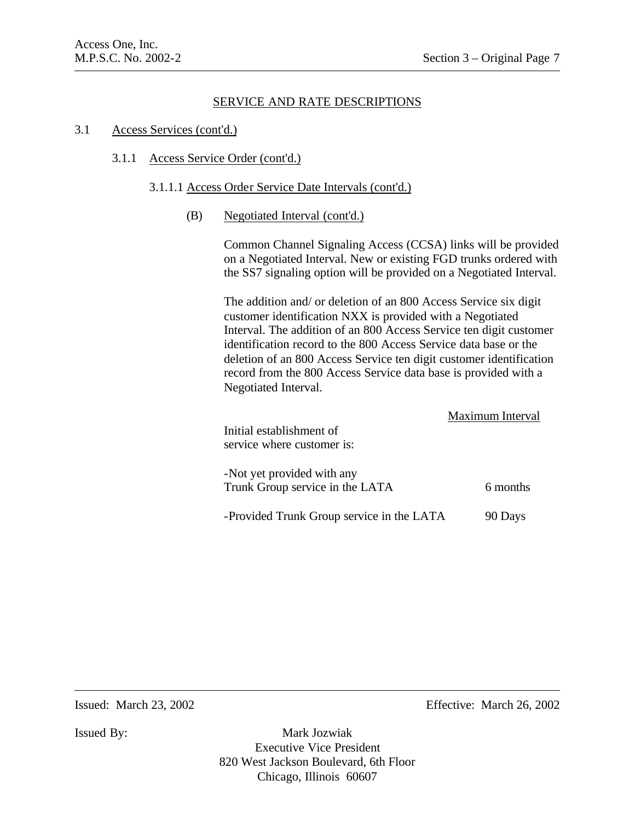#### 3.1 Access Services (cont'd.)

#### 3.1.1 Access Service Order (cont'd.)

#### 3.1.1.1 Access Order Service Date Intervals (cont'd.)

(B) Negotiated Interval (cont'd.)

Common Channel Signaling Access (CCSA) links will be provided on a Negotiated Interval. New or existing FGD trunks ordered with the SS7 signaling option will be provided on a Negotiated Interval.

The addition and/ or deletion of an 800 Access Service six digit customer identification NXX is provided with a Negotiated Interval. The addition of an 800 Access Service ten digit customer identification record to the 800 Access Service data base or the deletion of an 800 Access Service ten digit customer identification record from the 800 Access Service data base is provided with a Negotiated Interval.

| Initial establishment of<br>service where customer is:        | Maximum Interval |
|---------------------------------------------------------------|------------------|
| -Not yet provided with any<br>Trunk Group service in the LATA | 6 months         |
| -Provided Trunk Group service in the LATA                     | 90 Days          |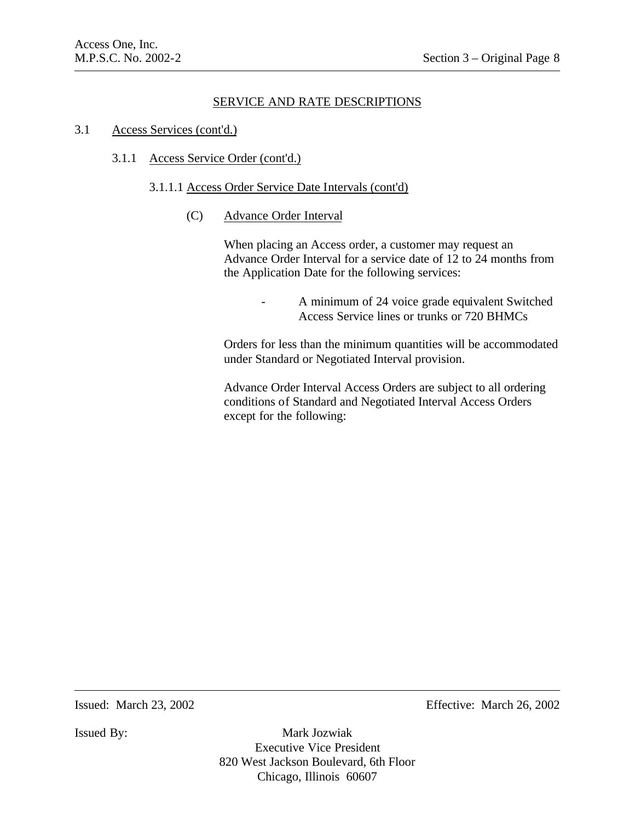#### 3.1 Access Services (cont'd.)

### 3.1.1 Access Service Order (cont'd.)

#### 3.1.1.1 Access Order Service Date Intervals (cont'd)

(C) Advance Order Interval

When placing an Access order, a customer may request an Advance Order Interval for a service date of 12 to 24 months from the Application Date for the following services:

> A minimum of 24 voice grade equivalent Switched Access Service lines or trunks or 720 BHMCs

Orders for less than the minimum quantities will be accommodated under Standard or Negotiated Interval provision.

Advance Order Interval Access Orders are subject to all ordering conditions of Standard and Negotiated Interval Access Orders except for the following:

Issued: March 23, 2002 Effective: March 26, 2002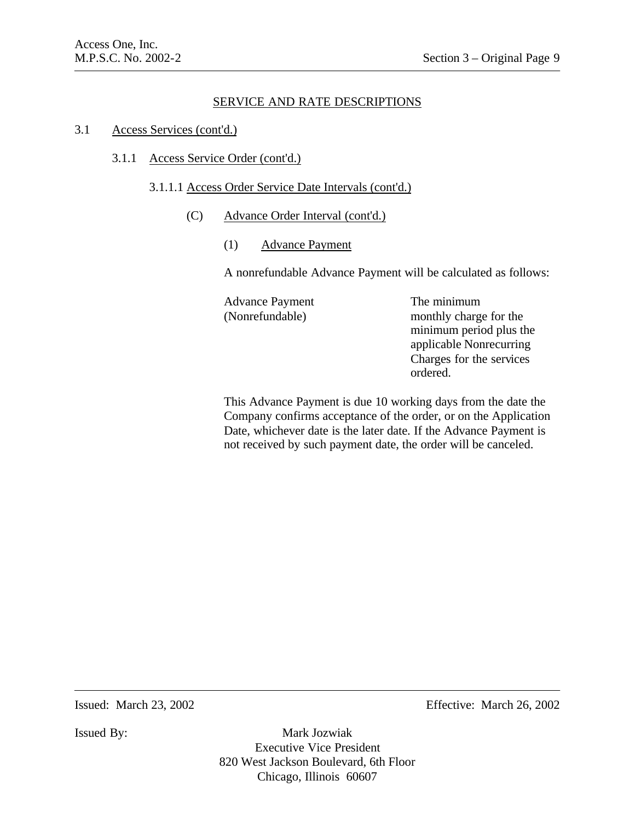#### 3.1 Access Services (cont'd.)

3.1.1 Access Service Order (cont'd.)

#### 3.1.1.1 Access Order Service Date Intervals (cont'd.)

- (C) Advance Order Interval (cont'd.)
	- (1) Advance Payment

A nonrefundable Advance Payment will be calculated as follows:

Advance Payment The minimum (Nonrefundable) monthly charge for the

minimum period plus the applicable Nonrecurring Charges for the services ordered.

This Advance Payment is due 10 working days from the date the Company confirms acceptance of the order, or on the Application Date, whichever date is the later date. If the Advance Payment is not received by such payment date, the order will be canceled.

Issued: March 23, 2002 Effective: March 26, 2002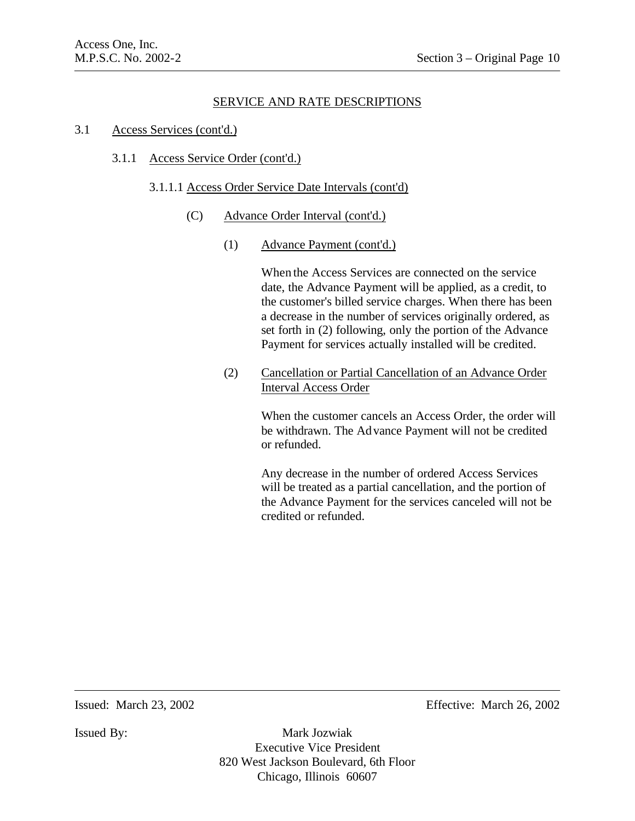#### 3.1 Access Services (cont'd.)

### 3.1.1 Access Service Order (cont'd.)

### 3.1.1.1 Access Order Service Date Intervals (cont'd)

- (C) Advance Order Interval (cont'd.)
	- (1) Advance Payment (cont'd.)

When the Access Services are connected on the service date, the Advance Payment will be applied, as a credit, to the customer's billed service charges. When there has been a decrease in the number of services originally ordered, as set forth in (2) following, only the portion of the Advance Payment for services actually installed will be credited.

(2) Cancellation or Partial Cancellation of an Advance Order Interval Access Order

> When the customer cancels an Access Order, the order will be withdrawn. The Advance Payment will not be credited or refunded.

Any decrease in the number of ordered Access Services will be treated as a partial cancellation, and the portion of the Advance Payment for the services canceled will not be credited or refunded.

Issued: March 23, 2002 Effective: March 26, 2002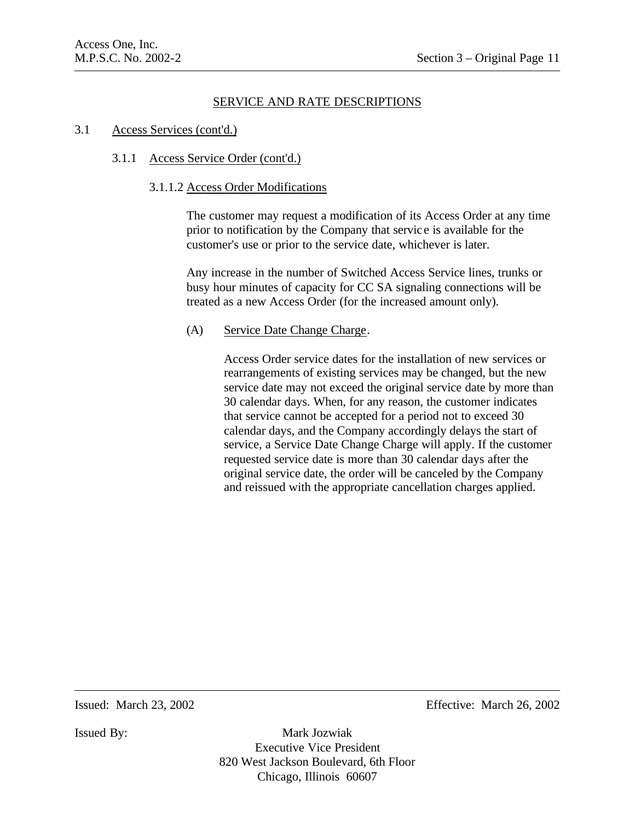#### 3.1 Access Services (cont'd.)

#### 3.1.1 Access Service Order (cont'd.)

### 3.1.1.2 Access Order Modifications

The customer may request a modification of its Access Order at any time prior to notification by the Company that servic e is available for the customer's use or prior to the service date, whichever is later.

Any increase in the number of Switched Access Service lines, trunks or busy hour minutes of capacity for CC SA signaling connections will be treated as a new Access Order (for the increased amount only).

### (A) Service Date Change Charge.

Access Order service dates for the installation of new services or rearrangements of existing services may be changed, but the new service date may not exceed the original service date by more than 30 calendar days. When, for any reason, the customer indicates that service cannot be accepted for a period not to exceed 30 calendar days, and the Company accordingly delays the start of service, a Service Date Change Charge will apply. If the customer requested service date is more than 30 calendar days after the original service date, the order will be canceled by the Company and reissued with the appropriate cancellation charges applied.

Issued: March 23, 2002 Effective: March 26, 2002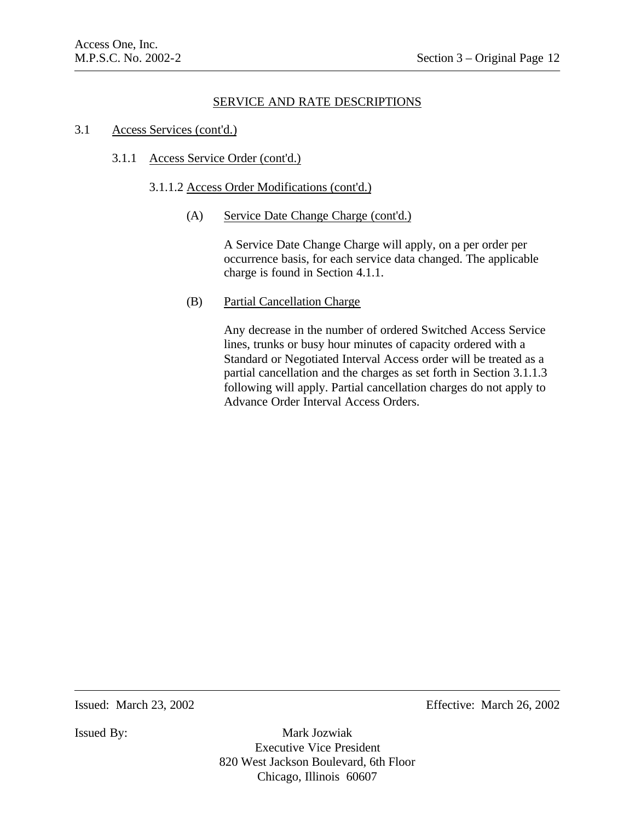## 3.1 Access Services (cont'd.)

## 3.1.1 Access Service Order (cont'd.)

## 3.1.1.2 Access Order Modifications (cont'd.)

(A) Service Date Change Charge (cont'd.)

A Service Date Change Charge will apply, on a per order per occurrence basis, for each service data changed. The applicable charge is found in Section 4.1.1.

## (B) Partial Cancellation Charge

Any decrease in the number of ordered Switched Access Service lines, trunks or busy hour minutes of capacity ordered with a Standard or Negotiated Interval Access order will be treated as a partial cancellation and the charges as set forth in Section 3.1.1.3 following will apply. Partial cancellation charges do not apply to Advance Order Interval Access Orders.

Issued: March 23, 2002 Effective: March 26, 2002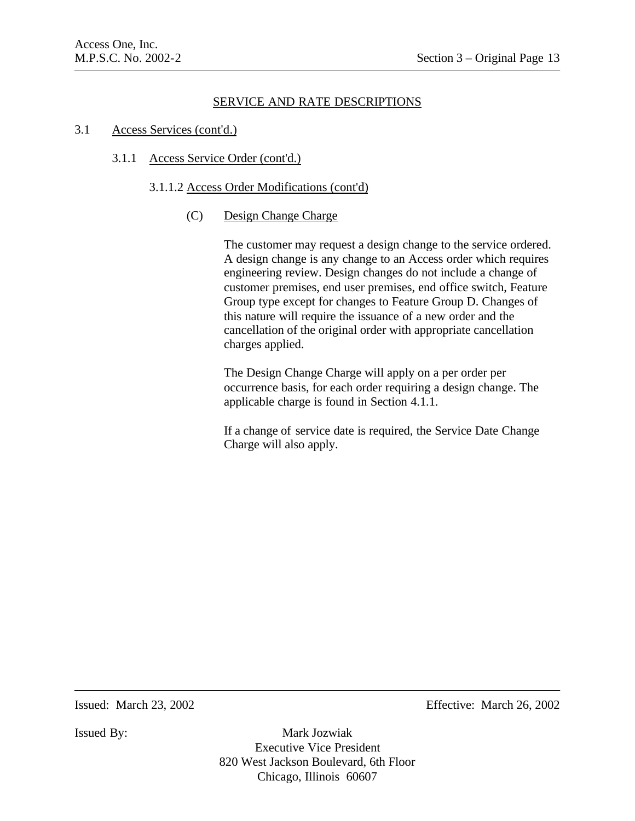### 3.1 Access Services (cont'd.)

## 3.1.1 Access Service Order (cont'd.)

### 3.1.1.2 Access Order Modifications (cont'd)

## (C) Design Change Charge

The customer may request a design change to the service ordered. A design change is any change to an Access order which requires engineering review. Design changes do not include a change of customer premises, end user premises, end office switch, Feature Group type except for changes to Feature Group D. Changes of this nature will require the issuance of a new order and the cancellation of the original order with appropriate cancellation charges applied.

The Design Change Charge will apply on a per order per occurrence basis, for each order requiring a design change. The applicable charge is found in Section 4.1.1.

If a change of service date is required, the Service Date Change Charge will also apply.

Issued: March 23, 2002 Effective: March 26, 2002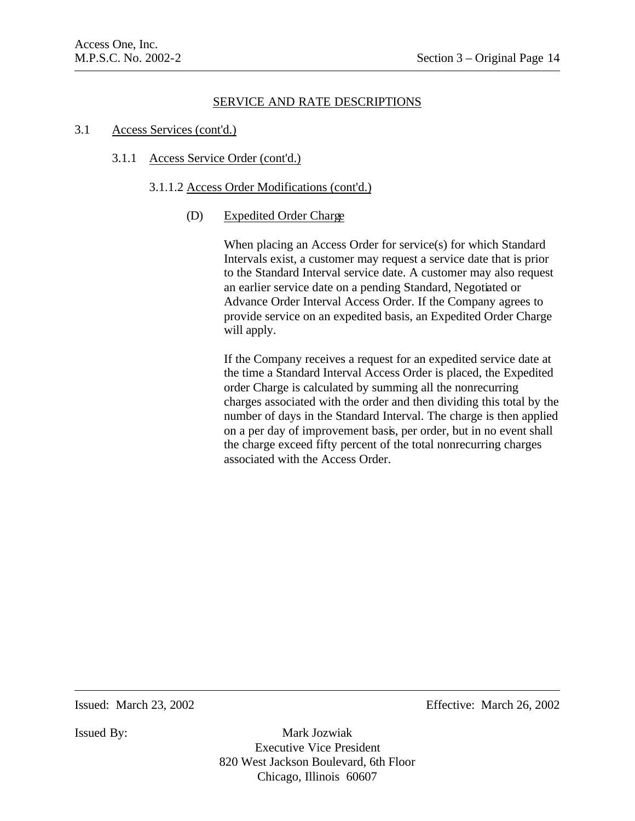#### 3.1 Access Services (cont'd.)

### 3.1.1 Access Service Order (cont'd.)

### 3.1.1.2 Access Order Modifications (cont'd.)

## (D) Expedited Order Charge

When placing an Access Order for service(s) for which Standard Intervals exist, a customer may request a service date that is prior to the Standard Interval service date. A customer may also request an earlier service date on a pending Standard, Negotiated or Advance Order Interval Access Order. If the Company agrees to provide service on an expedited basis, an Expedited Order Charge will apply.

If the Company receives a request for an expedited service date at the time a Standard Interval Access Order is placed, the Expedited order Charge is calculated by summing all the nonrecurring charges associated with the order and then dividing this total by the number of days in the Standard Interval. The charge is then applied on a per day of improvement basis, per order, but in no event shall the charge exceed fifty percent of the total nonrecurring charges associated with the Access Order.

Issued: March 23, 2002 Effective: March 26, 2002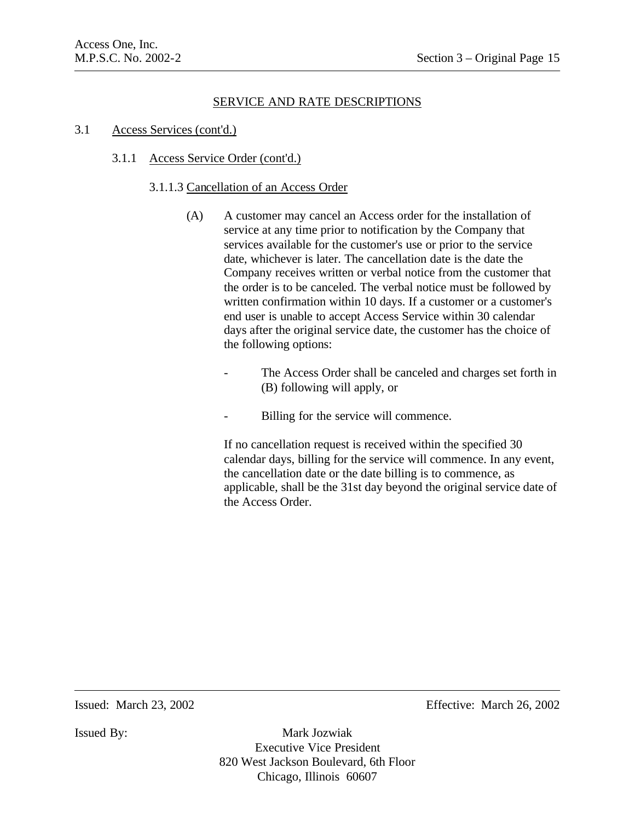#### 3.1 Access Services (cont'd.)

### 3.1.1 Access Service Order (cont'd.)

### 3.1.1.3 Cancellation of an Access Order

- (A) A customer may cancel an Access order for the installation of service at any time prior to notification by the Company that services available for the customer's use or prior to the service date, whichever is later. The cancellation date is the date the Company receives written or verbal notice from the customer that the order is to be canceled. The verbal notice must be followed by written confirmation within 10 days. If a customer or a customer's end user is unable to accept Access Service within 30 calendar days after the original service date, the customer has the choice of the following options:
	- The Access Order shall be canceled and charges set forth in (B) following will apply, or
	- Billing for the service will commence.

If no cancellation request is received within the specified 30 calendar days, billing for the service will commence. In any event, the cancellation date or the date billing is to commence, as applicable, shall be the 31st day beyond the original service date of the Access Order.

Issued: March 23, 2002 Effective: March 26, 2002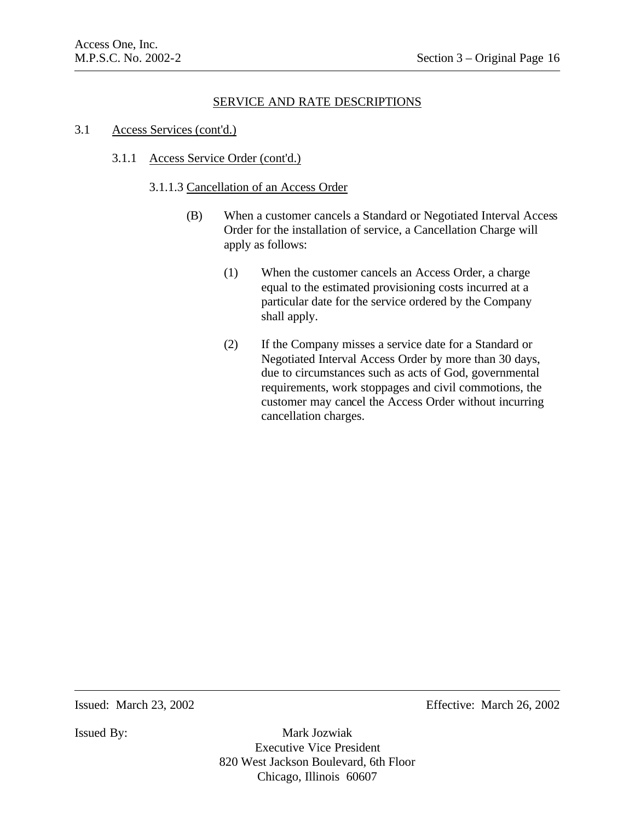#### 3.1 Access Services (cont'd.)

### 3.1.1 Access Service Order (cont'd.)

#### 3.1.1.3 Cancellation of an Access Order

- (B) When a customer cancels a Standard or Negotiated Interval Access Order for the installation of service, a Cancellation Charge will apply as follows:
	- (1) When the customer cancels an Access Order, a charge equal to the estimated provisioning costs incurred at a particular date for the service ordered by the Company shall apply.
	- (2) If the Company misses a service date for a Standard or Negotiated Interval Access Order by more than 30 days, due to circumstances such as acts of God, governmental requirements, work stoppages and civil commotions, the customer may cancel the Access Order without incurring cancellation charges.

Issued: March 23, 2002 Effective: March 26, 2002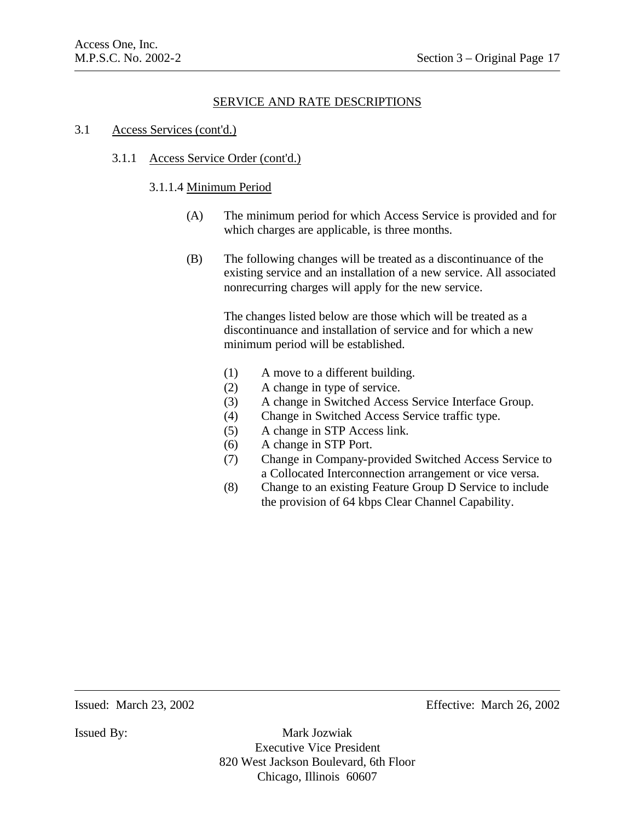#### 3.1 Access Services (cont'd.)

#### 3.1.1 Access Service Order (cont'd.)

#### 3.1.1.4 Minimum Period

- (A) The minimum period for which Access Service is provided and for which charges are applicable, is three months.
- (B) The following changes will be treated as a discontinuance of the existing service and an installation of a new service. All associated nonrecurring charges will apply for the new service.

The changes listed below are those which will be treated as a discontinuance and installation of service and for which a new minimum period will be established.

- (1) A move to a different building.
- (2) A change in type of service.
- (3) A change in Switched Access Service Interface Group.
- (4) Change in Switched Access Service traffic type.
- (5) A change in STP Access link.
- (6) A change in STP Port.
- (7) Change in Company-provided Switched Access Service to a Collocated Interconnection arrangement or vice versa.
- (8) Change to an existing Feature Group D Service to include the provision of 64 kbps Clear Channel Capability.

Issued: March 23, 2002 Effective: March 26, 2002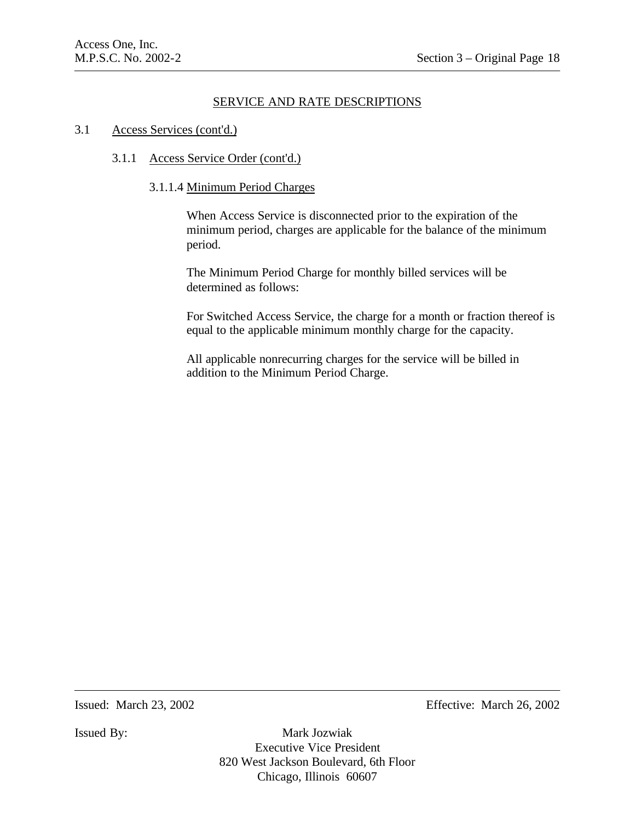#### 3.1 Access Services (cont'd.)

### 3.1.1 Access Service Order (cont'd.)

#### 3.1.1.4 Minimum Period Charges

When Access Service is disconnected prior to the expiration of the minimum period, charges are applicable for the balance of the minimum period.

The Minimum Period Charge for monthly billed services will be determined as follows:

For Switched Access Service, the charge for a month or fraction thereof is equal to the applicable minimum monthly charge for the capacity.

All applicable nonrecurring charges for the service will be billed in addition to the Minimum Period Charge.

Issued: March 23, 2002 Effective: March 26, 2002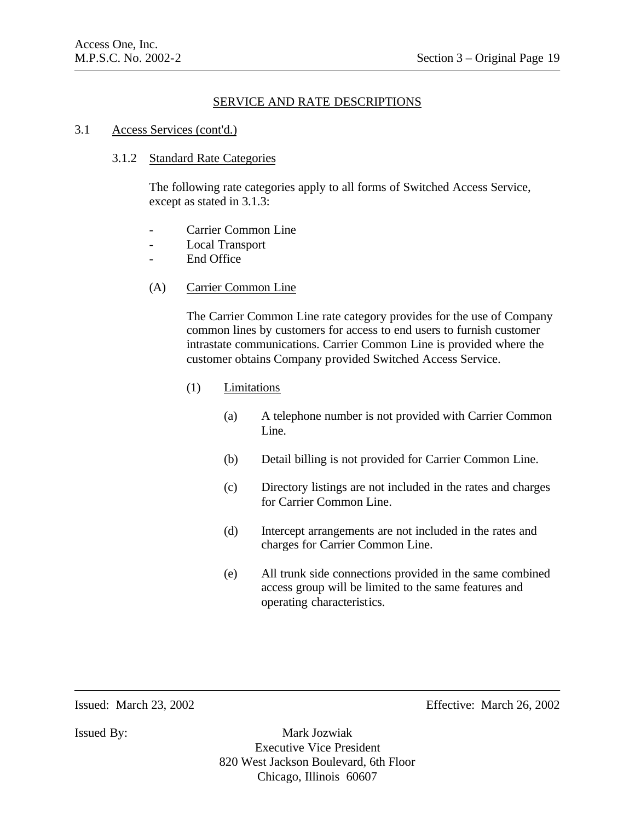#### 3.1 Access Services (cont'd.)

### 3.1.2 Standard Rate Categories

The following rate categories apply to all forms of Switched Access Service, except as stated in 3.1.3:

- Carrier Common Line
- Local Transport
- End Office
- (A) Carrier Common Line

The Carrier Common Line rate category provides for the use of Company common lines by customers for access to end users to furnish customer intrastate communications. Carrier Common Line is provided where the customer obtains Company provided Switched Access Service.

- (1) Limitations
	- (a) A telephone number is not provided with Carrier Common Line.
	- (b) Detail billing is not provided for Carrier Common Line.
	- (c) Directory listings are not included in the rates and charges for Carrier Common Line.
	- (d) Intercept arrangements are not included in the rates and charges for Carrier Common Line.
	- (e) All trunk side connections provided in the same combined access group will be limited to the same features and operating characteristics.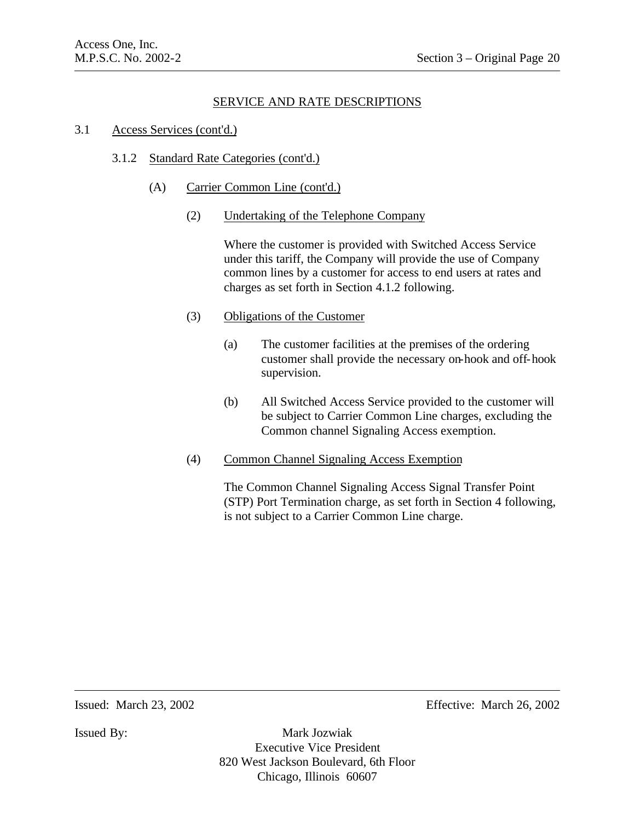#### 3.1 Access Services (cont'd.)

### 3.1.2 Standard Rate Categories (cont'd.)

- (A) Carrier Common Line (cont'd.)
	- (2) Undertaking of the Telephone Company

Where the customer is provided with Switched Access Service under this tariff, the Company will provide the use of Company common lines by a customer for access to end users at rates and charges as set forth in Section 4.1.2 following.

### (3) Obligations of the Customer

- (a) The customer facilities at the premises of the ordering customer shall provide the necessary on-hook and off-hook supervision.
- (b) All Switched Access Service provided to the customer will be subject to Carrier Common Line charges, excluding the Common channel Signaling Access exemption.
- (4) Common Channel Signaling Access Exemption

The Common Channel Signaling Access Signal Transfer Point (STP) Port Termination charge, as set forth in Section 4 following, is not subject to a Carrier Common Line charge.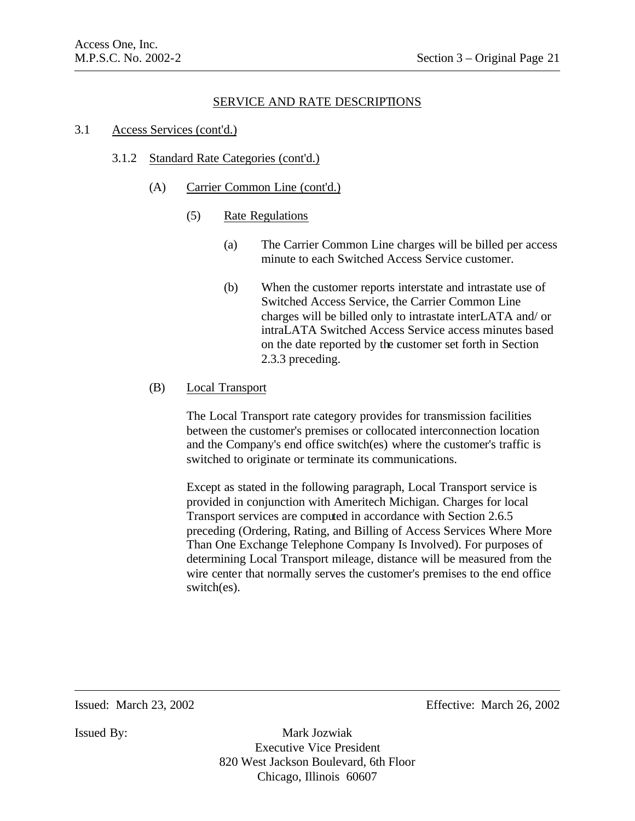#### 3.1 Access Services (cont'd.)

#### 3.1.2 Standard Rate Categories (cont'd.)

- (A) Carrier Common Line (cont'd.)
	- (5) Rate Regulations
		- (a) The Carrier Common Line charges will be billed per access minute to each Switched Access Service customer.
		- (b) When the customer reports interstate and intrastate use of Switched Access Service, the Carrier Common Line charges will be billed only to intrastate interLATA and/ or intraLATA Switched Access Service access minutes based on the date reported by the customer set forth in Section 2.3.3 preceding.

### (B) Local Transport

The Local Transport rate category provides for transmission facilities between the customer's premises or collocated interconnection location and the Company's end office switch(es) where the customer's traffic is switched to originate or terminate its communications.

Except as stated in the following paragraph, Local Transport service is provided in conjunction with Ameritech Michigan. Charges for local Transport services are computed in accordance with Section 2.6.5 preceding (Ordering, Rating, and Billing of Access Services Where More Than One Exchange Telephone Company Is Involved). For purposes of determining Local Transport mileage, distance will be measured from the wire center that normally serves the customer's premises to the end office switch(es).

Issued: March 23, 2002 Effective: March 26, 2002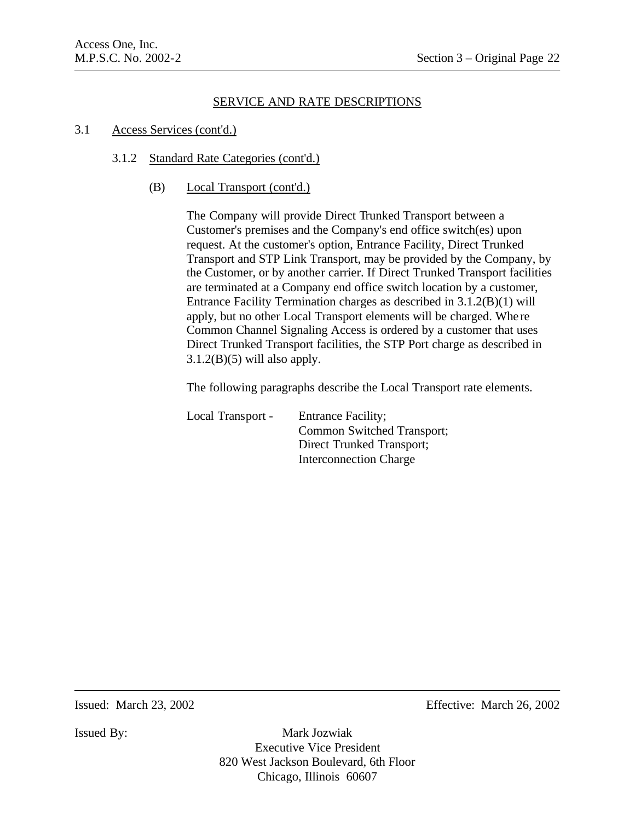#### 3.1 Access Services (cont'd.)

### 3.1.2 Standard Rate Categories (cont'd.)

(B) Local Transport (cont'd.)

The Company will provide Direct Trunked Transport between a Customer's premises and the Company's end office switch(es) upon request. At the customer's option, Entrance Facility, Direct Trunked Transport and STP Link Transport, may be provided by the Company, by the Customer, or by another carrier. If Direct Trunked Transport facilities are terminated at a Company end office switch location by a customer, Entrance Facility Termination charges as described in 3.1.2(B)(1) will apply, but no other Local Transport elements will be charged. Whe re Common Channel Signaling Access is ordered by a customer that uses Direct Trunked Transport facilities, the STP Port charge as described in  $3.1.2(B)(5)$  will also apply.

The following paragraphs describe the Local Transport rate elements.

| Local Transport - | <b>Entrance Facility;</b>     |
|-------------------|-------------------------------|
|                   | Common Switched Transport;    |
|                   | Direct Trunked Transport;     |
|                   | <b>Interconnection Charge</b> |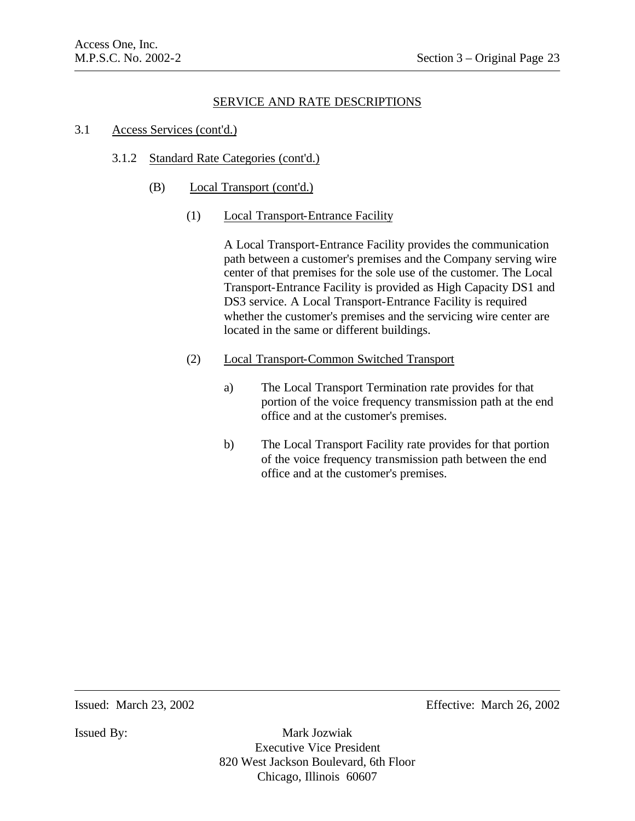### 3.1 Access Services (cont'd.)

## 3.1.2 Standard Rate Categories (cont'd.)

- (B) Local Transport (cont'd.)
	- (1) Local Transport-Entrance Facility

A Local Transport-Entrance Facility provides the communication path between a customer's premises and the Company serving wire center of that premises for the sole use of the customer. The Local Transport-Entrance Facility is provided as High Capacity DS1 and DS3 service. A Local Transport-Entrance Facility is required whether the customer's premises and the servicing wire center are located in the same or different buildings.

- (2) Local Transport-Common Switched Transport
	- a) The Local Transport Termination rate provides for that portion of the voice frequency transmission path at the end office and at the customer's premises.
	- b) The Local Transport Facility rate provides for that portion of the voice frequency transmission path between the end office and at the customer's premises.

Issued: March 23, 2002 Effective: March 26, 2002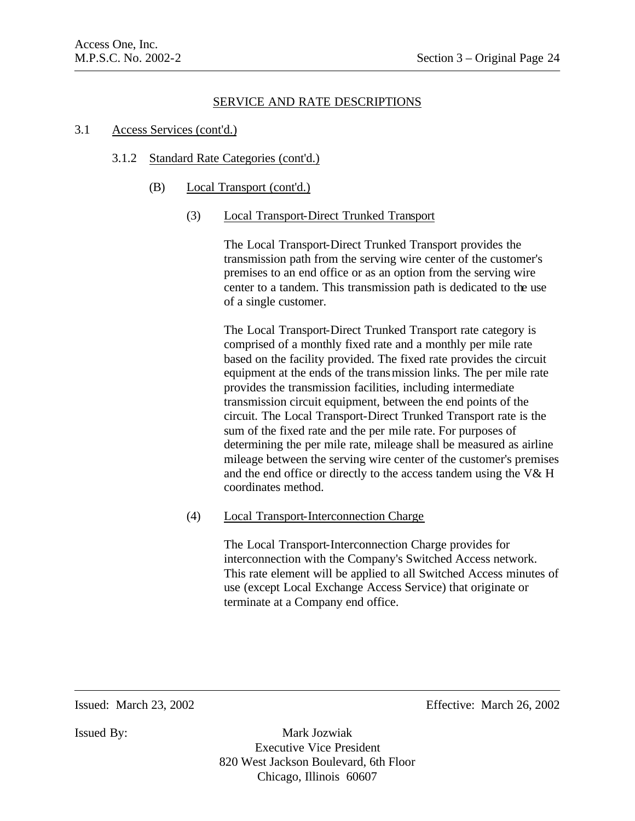#### 3.1 Access Services (cont'd.)

#### 3.1.2 Standard Rate Categories (cont'd.)

(B) Local Transport (cont'd.)

### (3) Local Transport-Direct Trunked Transport

The Local Transport-Direct Trunked Transport provides the transmission path from the serving wire center of the customer's premises to an end office or as an option from the serving wire center to a tandem. This transmission path is dedicated to the use of a single customer.

The Local Transport-Direct Trunked Transport rate category is comprised of a monthly fixed rate and a monthly per mile rate based on the facility provided. The fixed rate provides the circuit equipment at the ends of the transmission links. The per mile rate provides the transmission facilities, including intermediate transmission circuit equipment, between the end points of the circuit. The Local Transport-Direct Trunked Transport rate is the sum of the fixed rate and the per mile rate. For purposes of determining the per mile rate, mileage shall be measured as airline mileage between the serving wire center of the customer's premises and the end office or directly to the access tandem using the V& H coordinates method.

(4) Local Transport-Interconnection Charge

The Local Transport-Interconnection Charge provides for interconnection with the Company's Switched Access network. This rate element will be applied to all Switched Access minutes of use (except Local Exchange Access Service) that originate or terminate at a Company end office.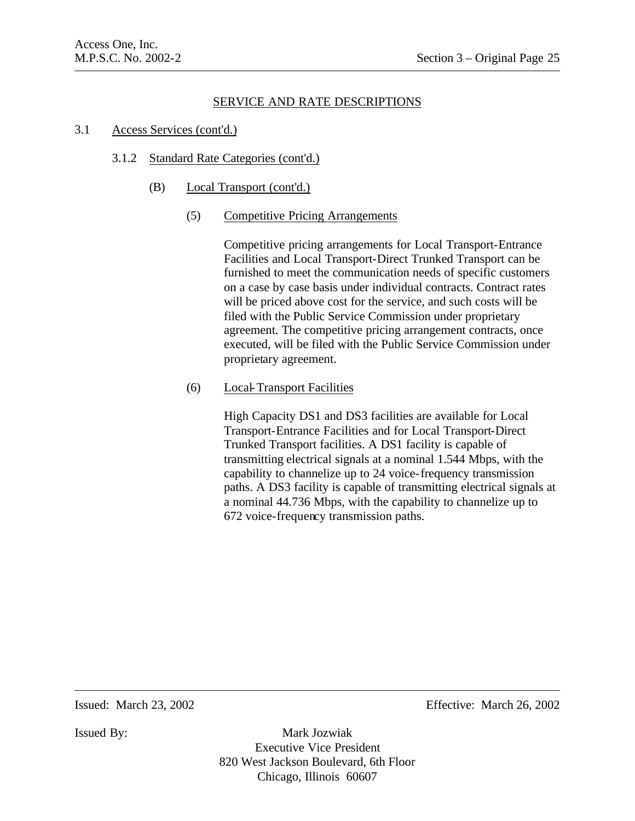#### 3.1 Access Services (cont'd.)

#### 3.1.2 Standard Rate Categories (cont'd.)

(B) Local Transport (cont'd.)

### (5) Competitive Pricing Arrangements

Competitive pricing arrangements for Local Transport-Entrance Facilities and Local Transport-Direct Trunked Transport can be furnished to meet the communication needs of specific customers on a case by case basis under individual contracts. Contract rates will be priced above cost for the service, and such costs will be filed with the Public Service Commission under proprietary agreement. The competitive pricing arrangement contracts, once executed, will be filed with the Public Service Commission under proprietary agreement.

## (6) Local-Transport Facilities

High Capacity DS1 and DS3 facilities are available for Local Transport-Entrance Facilities and for Local Transport-Direct Trunked Transport facilities. A DS1 facility is capable of transmitting electrical signals at a nominal 1.544 Mbps, with the capability to channelize up to 24 voice-frequency transmission paths. A DS3 facility is capable of transmitting electrical signals at a nominal 44.736 Mbps, with the capability to channelize up to 672 voice-frequency transmission paths.

Issued: March 23, 2002 Effective: March 26, 2002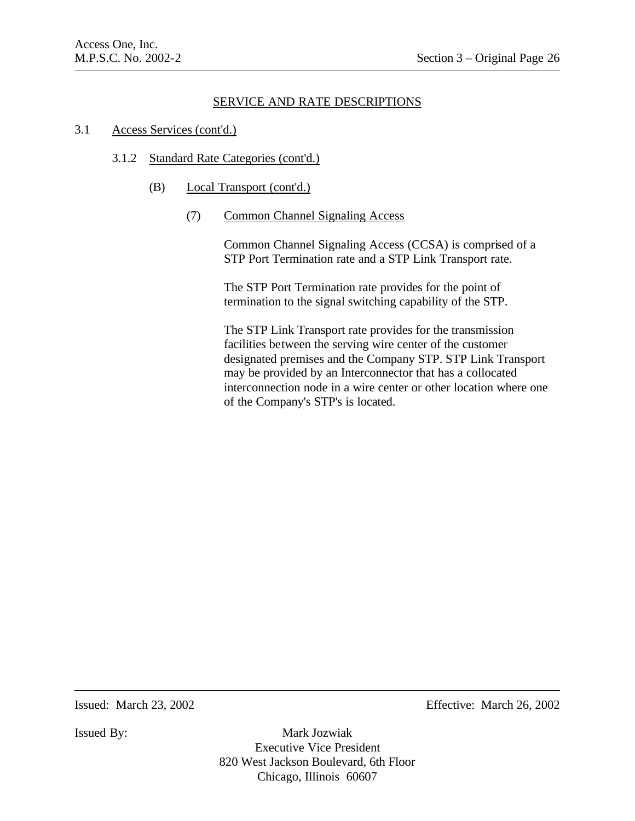#### 3.1 Access Services (cont'd.)

#### 3.1.2 Standard Rate Categories (cont'd.)

(B) Local Transport (cont'd.)

#### (7) Common Channel Signaling Access

Common Channel Signaling Access (CCSA) is comprised of a STP Port Termination rate and a STP Link Transport rate.

The STP Port Termination rate provides for the point of termination to the signal switching capability of the STP.

The STP Link Transport rate provides for the transmission facilities between the serving wire center of the customer designated premises and the Company STP. STP Link Transport may be provided by an Interconnector that has a collocated interconnection node in a wire center or other location where one of the Company's STP's is located.

Issued: March 23, 2002 Effective: March 26, 2002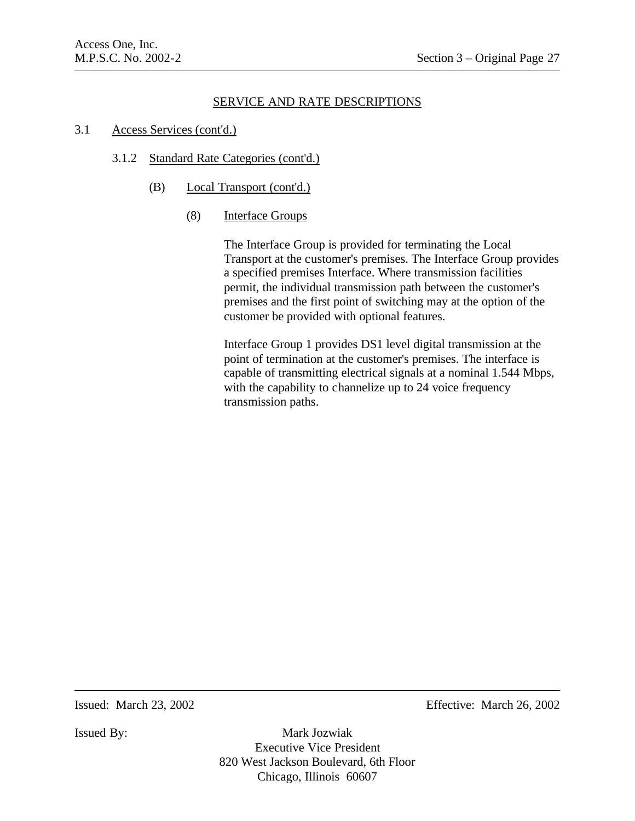#### 3.1 Access Services (cont'd.)

### 3.1.2 Standard Rate Categories (cont'd.)

- (B) Local Transport (cont'd.)
	- (8) Interface Groups

The Interface Group is provided for terminating the Local Transport at the customer's premises. The Interface Group provides a specified premises Interface. Where transmission facilities permit, the individual transmission path between the customer's premises and the first point of switching may at the option of the customer be provided with optional features.

Interface Group 1 provides DS1 level digital transmission at the point of termination at the customer's premises. The interface is capable of transmitting electrical signals at a nominal 1.544 Mbps, with the capability to channelize up to 24 voice frequency transmission paths.

Issued: March 23, 2002 Effective: March 26, 2002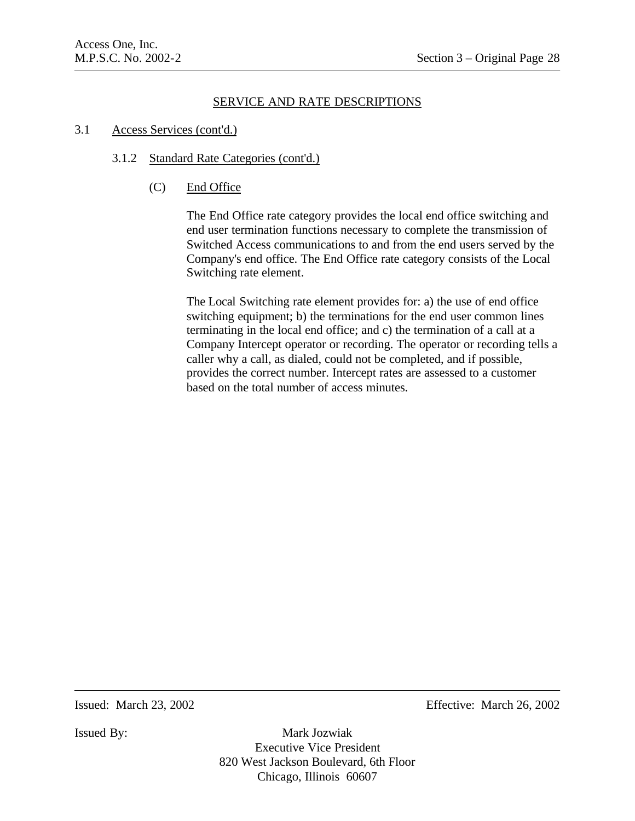### 3.1 Access Services (cont'd.)

## 3.1.2 Standard Rate Categories (cont'd.)

(C) End Office

The End Office rate category provides the local end office switching and end user termination functions necessary to complete the transmission of Switched Access communications to and from the end users served by the Company's end office. The End Office rate category consists of the Local Switching rate element.

The Local Switching rate element provides for: a) the use of end office switching equipment; b) the terminations for the end user common lines terminating in the local end office; and c) the termination of a call at a Company Intercept operator or recording. The operator or recording tells a caller why a call, as dialed, could not be completed, and if possible, provides the correct number. Intercept rates are assessed to a customer based on the total number of access minutes.

Issued: March 23, 2002 Effective: March 26, 2002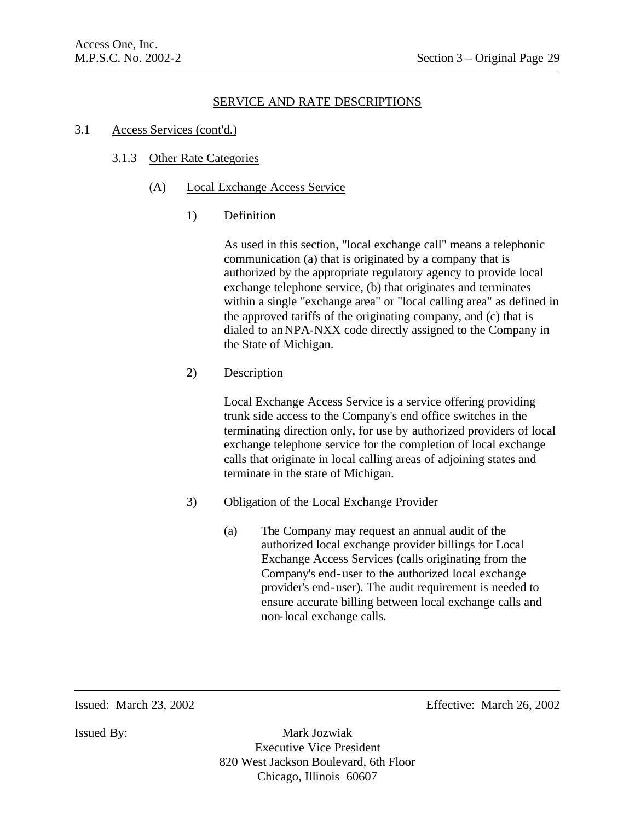### 3.1 Access Services (cont'd.)

## 3.1.3 Other Rate Categories

## (A) Local Exchange Access Service

## 1) Definition

As used in this section, "local exchange call" means a telephonic communication (a) that is originated by a company that is authorized by the appropriate regulatory agency to provide local exchange telephone service, (b) that originates and terminates within a single "exchange area" or "local calling area" as defined in the approved tariffs of the originating company, and (c) that is dialed to an NPA-NXX code directly assigned to the Company in the State of Michigan.

## 2) Description

Local Exchange Access Service is a service offering providing trunk side access to the Company's end office switches in the terminating direction only, for use by authorized providers of local exchange telephone service for the completion of local exchange calls that originate in local calling areas of adjoining states and terminate in the state of Michigan.

## 3) Obligation of the Local Exchange Provider

(a) The Company may request an annual audit of the authorized local exchange provider billings for Local Exchange Access Services (calls originating from the Company's end-user to the authorized local exchange provider's end-user). The audit requirement is needed to ensure accurate billing between local exchange calls and non-local exchange calls.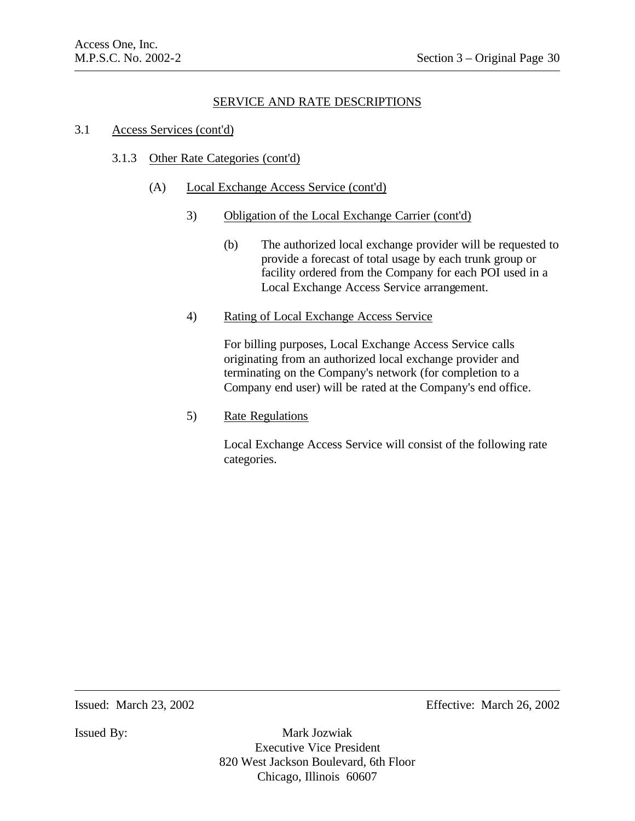### 3.1 Access Services (cont'd)

## 3.1.3 Other Rate Categories (cont'd)

- (A) Local Exchange Access Service (cont'd)
	- 3) Obligation of the Local Exchange Carrier (cont'd)
		- (b) The authorized local exchange provider will be requested to provide a forecast of total usage by each trunk group or facility ordered from the Company for each POI used in a Local Exchange Access Service arrangement.
	- 4) Rating of Local Exchange Access Service

For billing purposes, Local Exchange Access Service calls originating from an authorized local exchange provider and terminating on the Company's network (for completion to a Company end user) will be rated at the Company's end office.

5) Rate Regulations

Local Exchange Access Service will consist of the following rate categories.

Issued: March 23, 2002 Effective: March 26, 2002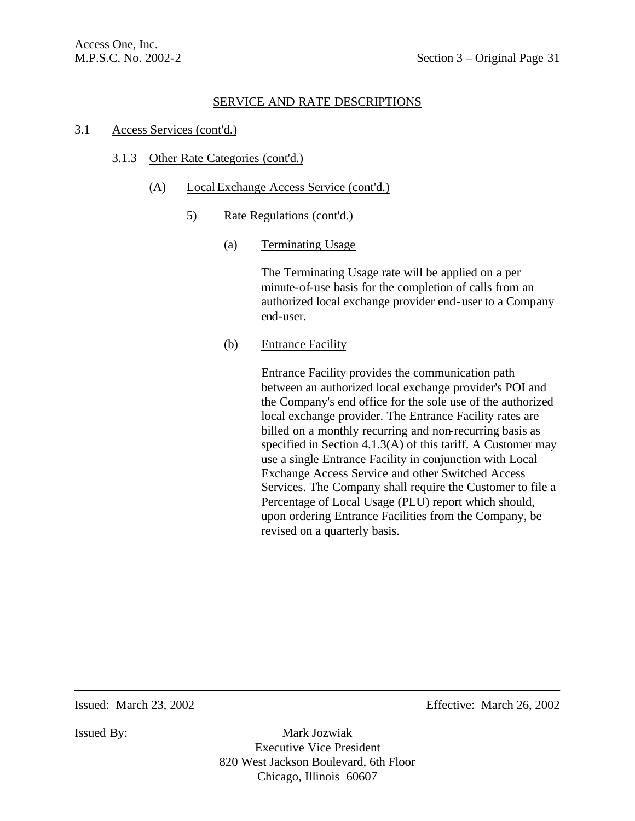#### 3.1 Access Services (cont'd.)

#### 3.1.3 Other Rate Categories (cont'd.)

- (A) Local Exchange Access Service (cont'd.)
	- 5) Rate Regulations (cont'd.)
		- (a) Terminating Usage

The Terminating Usage rate will be applied on a per minute-of-use basis for the completion of calls from an authorized local exchange provider end-user to a Company end-user.

(b) Entrance Facility

Entrance Facility provides the communication path between an authorized local exchange provider's POI and the Company's end office for the sole use of the authorized local exchange provider. The Entrance Facility rates are billed on a monthly recurring and non-recurring basis as specified in Section 4.1.3(A) of this tariff. A Customer may use a single Entrance Facility in conjunction with Local Exchange Access Service and other Switched Access Services. The Company shall require the Customer to file a Percentage of Local Usage (PLU) report which should, upon ordering Entrance Facilities from the Company, be revised on a quarterly basis.

Issued: March 23, 2002 Effective: March 26, 2002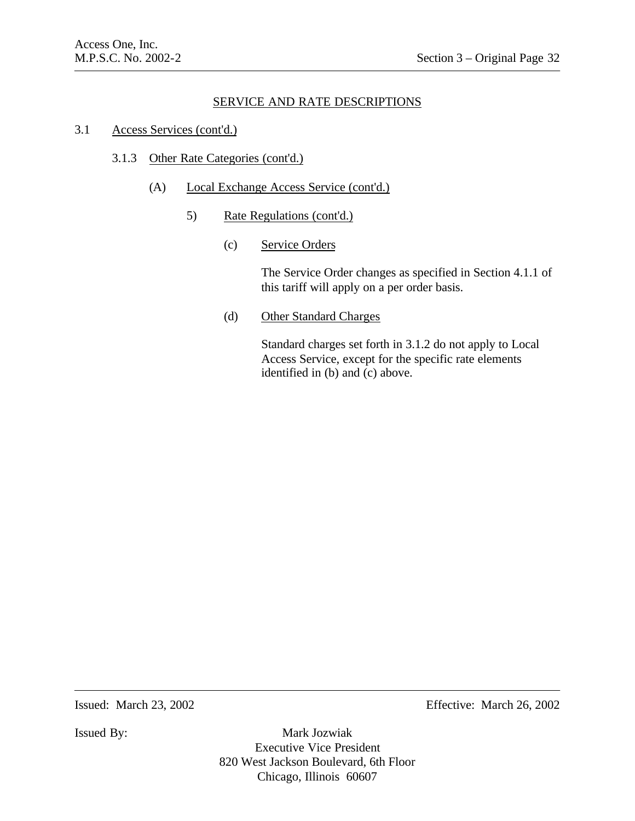## 3.1 Access Services (cont'd.)

## 3.1.3 Other Rate Categories (cont'd.)

- (A) Local Exchange Access Service (cont'd.)
	- 5) Rate Regulations (cont'd.)
		- (c) Service Orders

The Service Order changes as specified in Section 4.1.1 of this tariff will apply on a per order basis.

(d) Other Standard Charges

Standard charges set forth in 3.1.2 do not apply to Local Access Service, except for the specific rate elements identified in (b) and (c) above.

Issued: March 23, 2002 Effective: March 26, 2002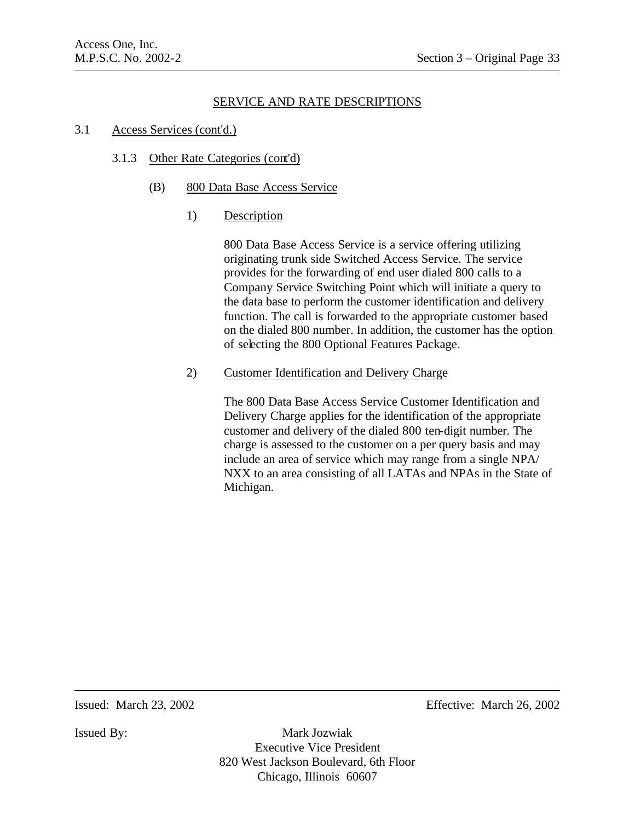#### 3.1 Access Services (cont'd.)

#### 3.1.3 Other Rate Categories (cont'd)

- (B) 800 Data Base Access Service
	- 1) Description

800 Data Base Access Service is a service offering utilizing originating trunk side Switched Access Service. The service provides for the forwarding of end user dialed 800 calls to a Company Service Switching Point which will initiate a query to the data base to perform the customer identification and delivery function. The call is forwarded to the appropriate customer based on the dialed 800 number. In addition, the customer has the option of selecting the 800 Optional Features Package.

2) Customer Identification and Delivery Charge

The 800 Data Base Access Service Customer Identification and Delivery Charge applies for the identification of the appropriate customer and delivery of the dialed 800 ten-digit number. The charge is assessed to the customer on a per query basis and may include an area of service which may range from a single NPA/ NXX to an area consisting of all LATAs and NPAs in the State of Michigan.

Issued: March 23, 2002 Effective: March 26, 2002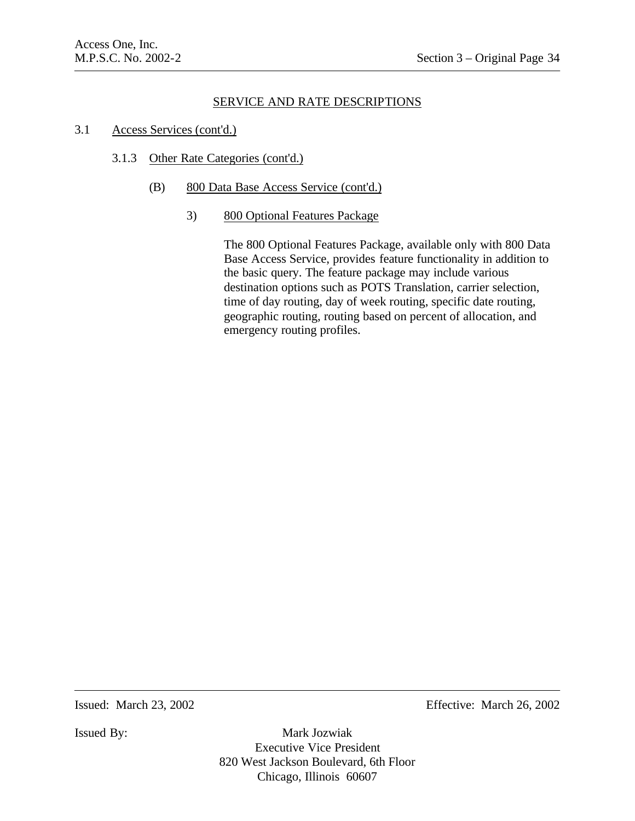## 3.1 Access Services (cont'd.)

## 3.1.3 Other Rate Categories (cont'd.)

(B) 800 Data Base Access Service (cont'd.)

### 3) 800 Optional Features Package

The 800 Optional Features Package, available only with 800 Data Base Access Service, provides feature functionality in addition to the basic query. The feature package may include various destination options such as POTS Translation, carrier selection, time of day routing, day of week routing, specific date routing, geographic routing, routing based on percent of allocation, and emergency routing profiles.

Issued: March 23, 2002 Effective: March 26, 2002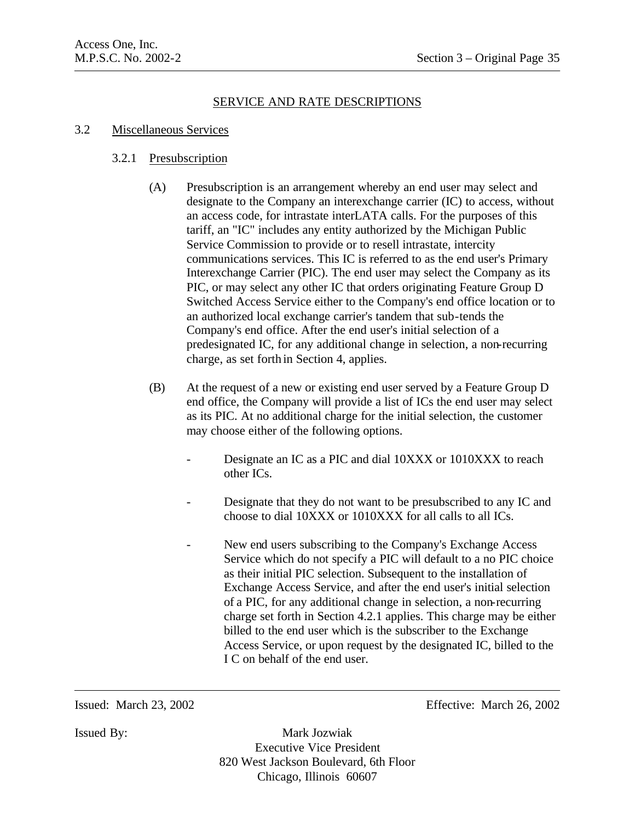## 3.2 Miscellaneous Services

## 3.2.1 Presubscription

- (A) Presubscription is an arrangement whereby an end user may select and designate to the Company an interexchange carrier (IC) to access, without an access code, for intrastate interLATA calls. For the purposes of this tariff, an "IC" includes any entity authorized by the Michigan Public Service Commission to provide or to resell intrastate, intercity communications services. This IC is referred to as the end user's Primary Interexchange Carrier (PIC). The end user may select the Company as its PIC, or may select any other IC that orders originating Feature Group D Switched Access Service either to the Company's end office location or to an authorized local exchange carrier's tandem that sub-tends the Company's end office. After the end user's initial selection of a predesignated IC, for any additional change in selection, a non-recurring charge, as set forth in Section 4, applies.
- (B) At the request of a new or existing end user served by a Feature Group D end office, the Company will provide a list of ICs the end user may select as its PIC. At no additional charge for the initial selection, the customer may choose either of the following options.
	- Designate an IC as a PIC and dial 10XXX or 1010XXX to reach other ICs.
	- Designate that they do not want to be presubscribed to any IC and choose to dial 10XXX or 1010XXX for all calls to all ICs.
		- New end users subscribing to the Company's Exchange Access Service which do not specify a PIC will default to a no PIC choice as their initial PIC selection. Subsequent to the installation of Exchange Access Service, and after the end user's initial selection of a PIC, for any additional change in selection, a non-recurring charge set forth in Section 4.2.1 applies. This charge may be either billed to the end user which is the subscriber to the Exchange Access Service, or upon request by the designated IC, billed to the I C on behalf of the end user.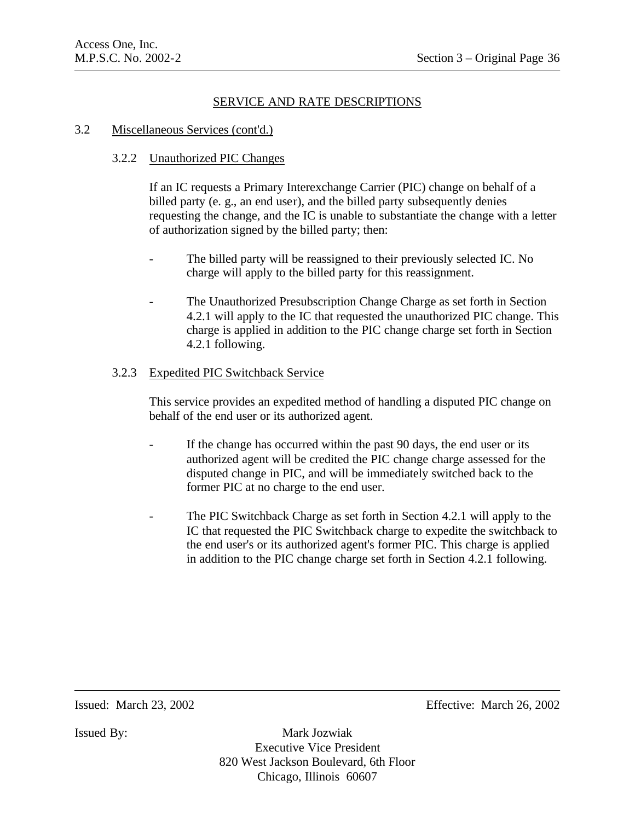#### 3.2 Miscellaneous Services (cont'd.)

## 3.2.2 Unauthorized PIC Changes

If an IC requests a Primary Interexchange Carrier (PIC) change on behalf of a billed party (e. g., an end user), and the billed party subsequently denies requesting the change, and the IC is unable to substantiate the change with a letter of authorization signed by the billed party; then:

- The billed party will be reassigned to their previously selected IC. No charge will apply to the billed party for this reassignment.
- The Unauthorized Presubscription Change Charge as set forth in Section 4.2.1 will apply to the IC that requested the unauthorized PIC change. This charge is applied in addition to the PIC change charge set forth in Section 4.2.1 following.

### 3.2.3 Expedited PIC Switchback Service

This service provides an expedited method of handling a disputed PIC change on behalf of the end user or its authorized agent.

- If the change has occurred within the past 90 days, the end user or its authorized agent will be credited the PIC change charge assessed for the disputed change in PIC, and will be immediately switched back to the former PIC at no charge to the end user.
- The PIC Switchback Charge as set forth in Section 4.2.1 will apply to the IC that requested the PIC Switchback charge to expedite the switchback to the end user's or its authorized agent's former PIC. This charge is applied in addition to the PIC change charge set forth in Section 4.2.1 following.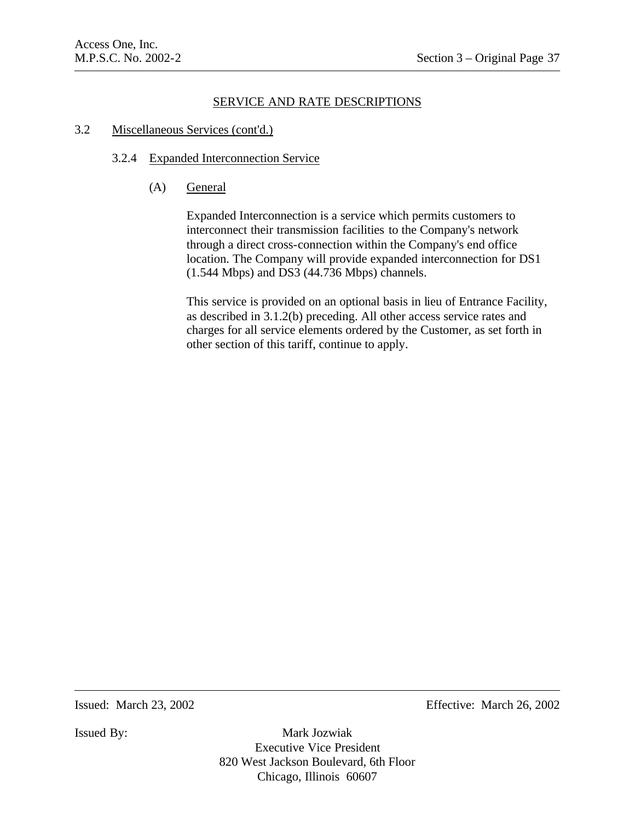#### 3.2 Miscellaneous Services (cont'd.)

### 3.2.4 Expanded Interconnection Service

(A) General

Expanded Interconnection is a service which permits customers to interconnect their transmission facilities to the Company's network through a direct cross-connection within the Company's end office location. The Company will provide expanded interconnection for DS1 (1.544 Mbps) and DS3 (44.736 Mbps) channels.

This service is provided on an optional basis in lieu of Entrance Facility, as described in 3.1.2(b) preceding. All other access service rates and charges for all service elements ordered by the Customer, as set forth in other section of this tariff, continue to apply.

Issued: March 23, 2002 Effective: March 26, 2002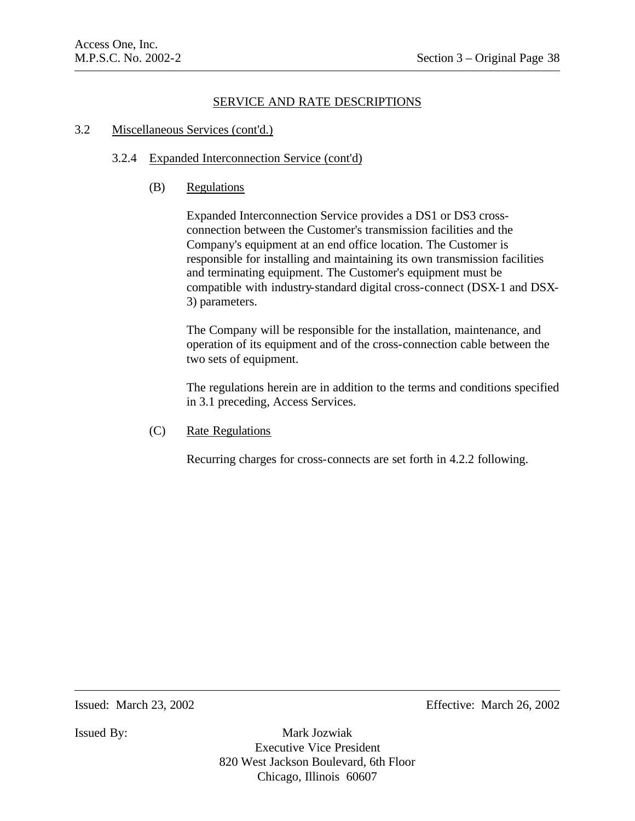# SERVICE AND RATE DESCRIPTIONS

#### 3.2 Miscellaneous Services (cont'd.)

#### 3.2.4 Expanded Interconnection Service (cont'd)

(B) Regulations

Expanded Interconnection Service provides a DS1 or DS3 crossconnection between the Customer's transmission facilities and the Company's equipment at an end office location. The Customer is responsible for installing and maintaining its own transmission facilities and terminating equipment. The Customer's equipment must be compatible with industry-standard digital cross-connect (DSX-1 and DSX-3) parameters.

The Company will be responsible for the installation, maintenance, and operation of its equipment and of the cross-connection cable between the two sets of equipment.

The regulations herein are in addition to the terms and conditions specified in 3.1 preceding, Access Services.

(C) Rate Regulations

Recurring charges for cross-connects are set forth in 4.2.2 following.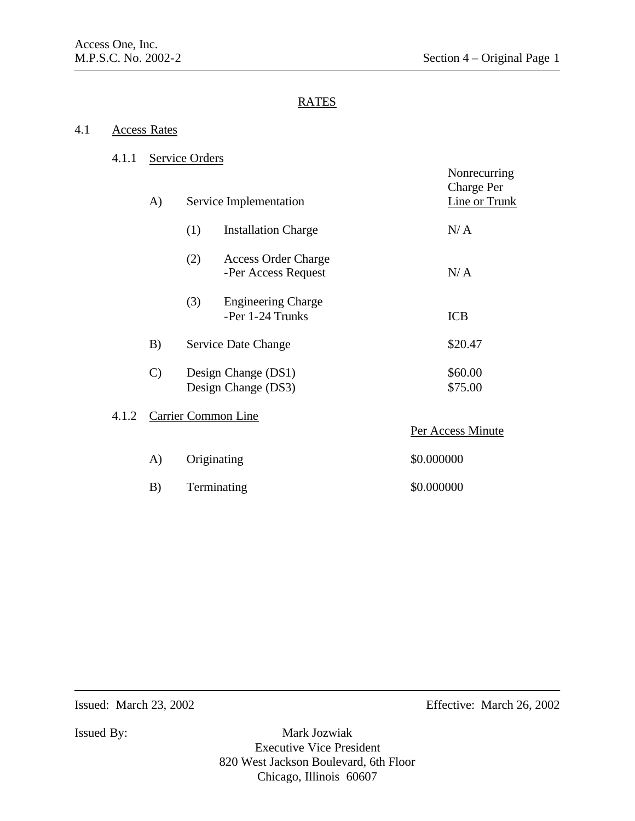### 4.1 Access Rates

# 4.1.1 Service Orders

|       | A)                  | Service Implementation                                   | Nonrecurring<br><b>Charge Per</b><br>Line or Trunk |
|-------|---------------------|----------------------------------------------------------|----------------------------------------------------|
|       |                     | (1)<br><b>Installation Charge</b>                        | N/A                                                |
|       |                     | (2)<br><b>Access Order Charge</b><br>-Per Access Request | N/A                                                |
|       |                     | (3)<br><b>Engineering Charge</b><br>-Per 1-24 Trunks     | <b>ICB</b>                                         |
|       | B)                  | Service Date Change                                      | \$20.47                                            |
|       | $\mathcal{C}$       | Design Change (DS1)<br>Design Change (DS3)               | \$60.00<br>\$75.00                                 |
| 4.1.2 | Carrier Common Line |                                                          | Per Access Minute                                  |
|       | A)                  | Originating                                              | \$0.000000                                         |
|       | B)                  | Terminating                                              | \$0.000000                                         |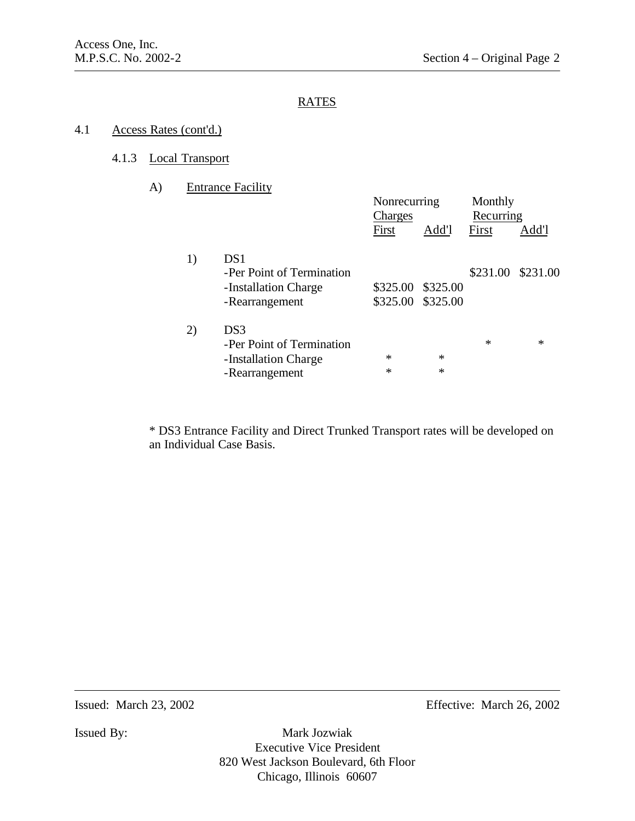## 4.1 Access Rates (cont'd.)

### 4.1.3 Local Transport

| A) | <b>Entrance Facility</b> |  |
|----|--------------------------|--|
|    |                          |  |

|    |                           | Nonrecurring |                   | Monthly   |          |
|----|---------------------------|--------------|-------------------|-----------|----------|
|    |                           | Charges      |                   | Recurring |          |
|    |                           | First        | Add'l             | First     | Add'l    |
|    |                           |              |                   |           |          |
| 1) | DS1                       |              |                   |           |          |
|    | -Per Point of Termination |              |                   | \$231.00  | \$231.00 |
|    | -Installation Charge      | \$325.00     | \$325.00          |           |          |
|    | -Rearrangement            |              | \$325.00 \$325.00 |           |          |
|    |                           |              |                   |           |          |
| 2) | DS <sub>3</sub>           |              |                   |           |          |
|    | -Per Point of Termination |              |                   | *         | $\ast$   |
|    | -Installation Charge      | $\ast$       | $\ast$            |           |          |
|    |                           | $\ast$       | $\ast$            |           |          |
|    | -Rearrangement            |              |                   |           |          |

\* DS3 Entrance Facility and Direct Trunked Transport rates will be developed on an Individual Case Basis.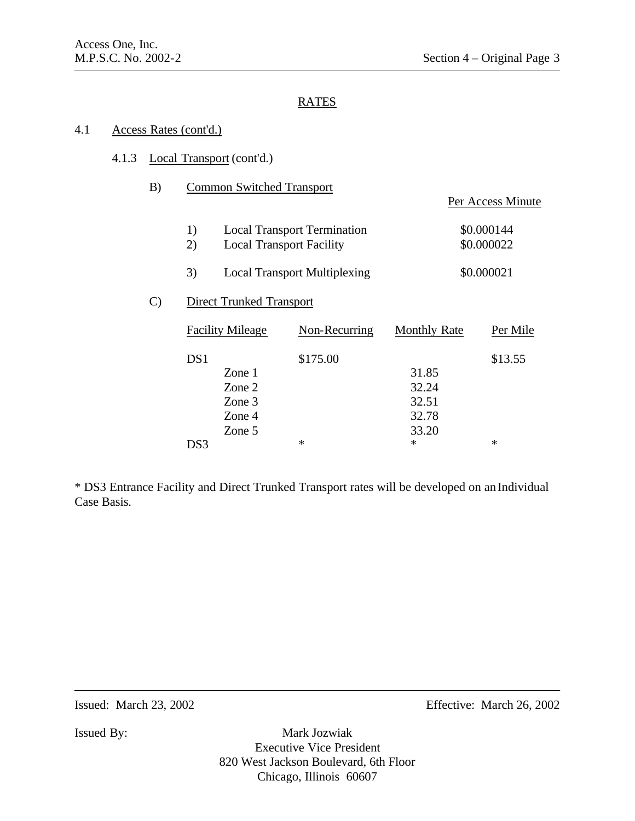### 4.1 Access Rates (cont'd.)

### 4.1.3 Local Transport (cont'd.)

B) Common Switched Transport

|               |          |                                 |                                     |                     | Per Access Minute        |
|---------------|----------|---------------------------------|-------------------------------------|---------------------|--------------------------|
|               | 1)<br>2) | <b>Local Transport Facility</b> | <b>Local Transport Termination</b>  |                     | \$0.000144<br>\$0.000022 |
|               |          |                                 |                                     |                     |                          |
|               | 3)       |                                 | <b>Local Transport Multiplexing</b> |                     | \$0.000021               |
| $\mathcal{C}$ |          | Direct Trunked Transport        |                                     |                     |                          |
|               |          | <b>Facility Mileage</b>         | Non-Recurring                       | <b>Monthly Rate</b> | Per Mile                 |
|               | DS1      |                                 | \$175.00                            |                     | \$13.55                  |
|               |          | Zone 1                          |                                     | 31.85               |                          |
|               |          | Zone 2                          |                                     | 32.24               |                          |
|               |          | Zone 3                          |                                     | 32.51               |                          |
|               |          | Zone 4                          |                                     | 32.78               |                          |
|               |          | Zone 5                          |                                     | 33.20               |                          |

 $DS3$  \* \* \* \*

\* DS3 Entrance Facility and Direct Trunked Transport rates will be developed on an Individual Case Basis.

Issued: March 23, 2002 Effective: March 26, 2002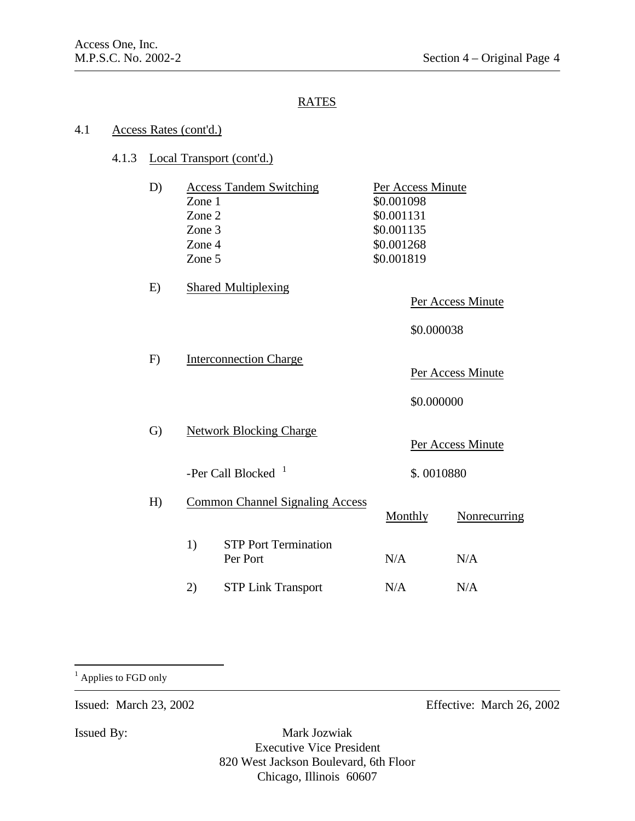#### 4.1 Access Rates (cont'd.)

#### 4.1.3 Local Transport (cont'd.)

| D | <b>Access Tandem Switching</b> | Per Access Minute |  |  |
|---|--------------------------------|-------------------|--|--|
|   | Zone 1                         | \$0.001098        |  |  |
|   | Zone 2                         | \$0.001131        |  |  |
|   | Zone 3                         | \$0.001135        |  |  |
|   | Zone 4                         | \$0.001268        |  |  |
|   | Zone 5                         | \$0.001819        |  |  |
|   |                                |                   |  |  |

E) Shared Multiplexing

Per Access Minute

\$0.000038

F) Interconnection Charge

Per Access Minute

\$0.000000

- G) Network Blocking Charge Per Access Minute -Per Call Blocked  $1$ \$. 0010880
- H) Common Channel Signaling Access Monthly Nonrecurring 1) STP Port Termination Per Port N/A N/A
	- 2) STP Link Transport N/A N/A

<sup>1</sup> Applies to FGD only

 $\overline{a}$ 

Issued: March 23, 2002 Effective: March 26, 2002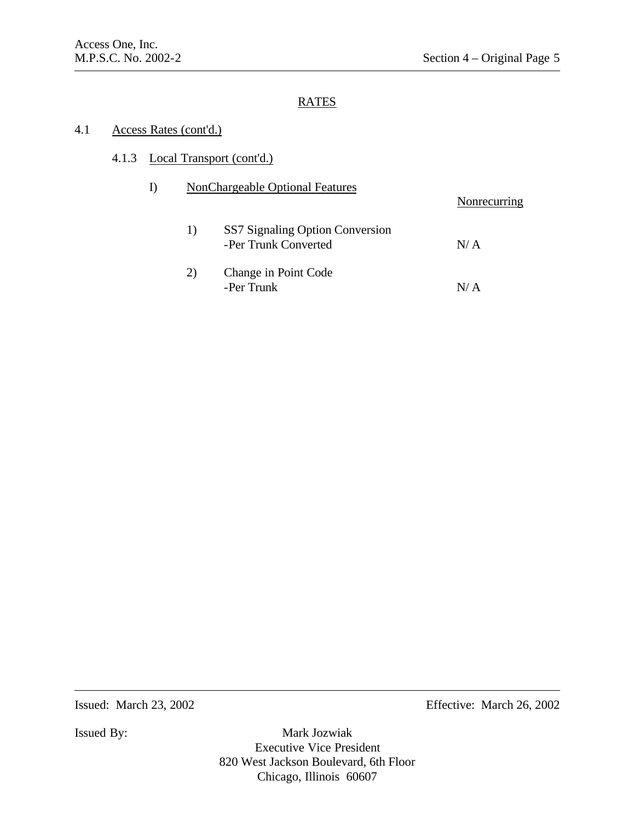### 4.1 Access Rates (cont'd.)

# 4.1.3 Local Transport (cont'd.)

|    | <b>NonChargeable Optional Features</b>                  | Nonrecurring |
|----|---------------------------------------------------------|--------------|
| 1) | SS7 Signaling Option Conversion<br>-Per Trunk Converted | N/A          |
| 2) | Change in Point Code<br>-Per Trunk                      | N/A          |

Issued: March 23, 2002 Effective: March 26, 2002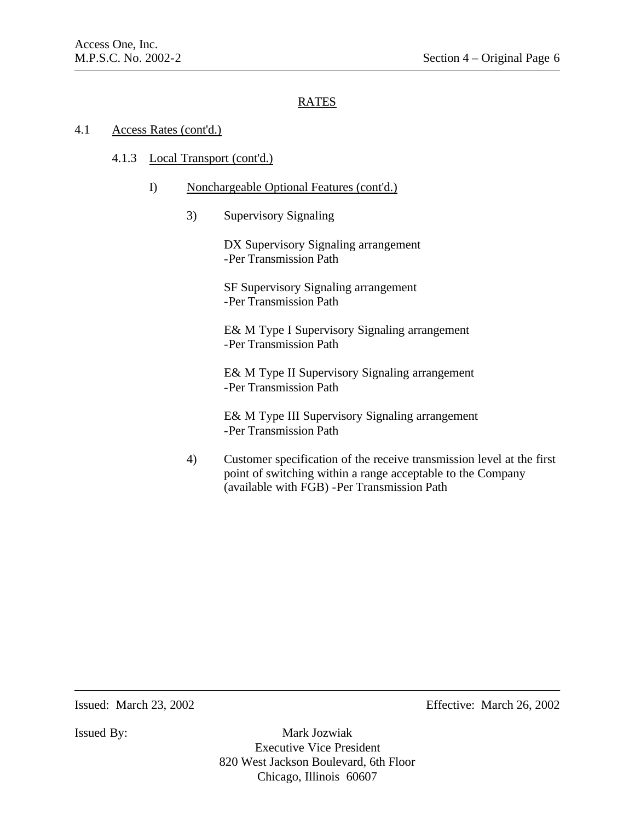### 4.1 Access Rates (cont'd.)

#### 4.1.3 Local Transport (cont'd.)

#### I) Nonchargeable Optional Features (cont'd.)

3) Supervisory Signaling

DX Supervisory Signaling arrangement -Per Transmission Path

SF Supervisory Signaling arrangement -Per Transmission Path

E& M Type I Supervisory Signaling arrangement -Per Transmission Path

E& M Type II Supervisory Signaling arrangement -Per Transmission Path

E& M Type III Supervisory Signaling arrangement -Per Transmission Path

4) Customer specification of the receive transmission level at the first point of switching within a range acceptable to the Company (available with FGB) -Per Transmission Path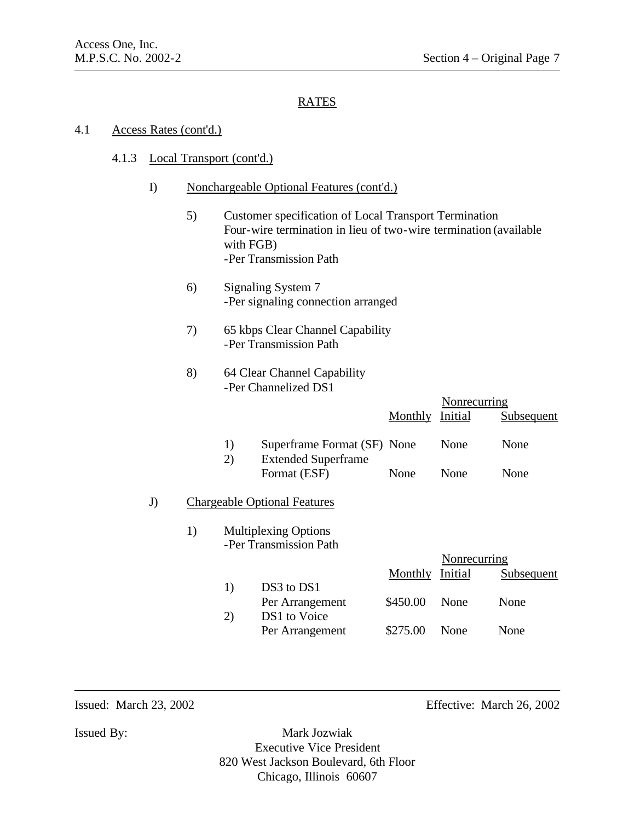#### 4.1 Access Rates (cont'd.)

#### 4.1.3 Local Transport (cont'd.)

#### I) Nonchargeable Optional Features (cont'd.)

- 5) Customer specification of Local Transport Termination Four-wire termination in lieu of two-wire termination (available with FGB) -Per Transmission Path
- 6) Signaling System 7 -Per signaling connection arranged
- 7) 65 kbps Clear Channel Capability -Per Transmission Path

### 8) 64 Clear Channel Capability -Per Channelized DS1

|    |                 |                                                                                                                                                                             | Nonrecurring                            |            |
|----|-----------------|-----------------------------------------------------------------------------------------------------------------------------------------------------------------------------|-----------------------------------------|------------|
|    |                 | Monthly                                                                                                                                                                     | Initial                                 | Subsequent |
| 1) |                 |                                                                                                                                                                             | None                                    | None       |
|    | Format (ESF)    | None                                                                                                                                                                        | None                                    | None       |
|    |                 |                                                                                                                                                                             |                                         |            |
|    |                 |                                                                                                                                                                             |                                         |            |
|    |                 |                                                                                                                                                                             | Nonrecurring                            |            |
|    |                 | Monthly                                                                                                                                                                     | Initial                                 | Subsequent |
|    |                 |                                                                                                                                                                             |                                         |            |
|    |                 |                                                                                                                                                                             |                                         | None       |
|    | Per Arrangement | \$275.00                                                                                                                                                                    | None                                    | None       |
| 1) | 2)<br>1)<br>2)  | <b>Extended Superframe</b><br><b>Chargeable Optional Features</b><br><b>Multiplexing Options</b><br>-Per Transmission Path<br>DS3 to DS1<br>Per Arrangement<br>DS1 to Voice | Superframe Format (SF) None<br>\$450.00 | None       |

Issued: March 23, 2002 Effective: March 26, 2002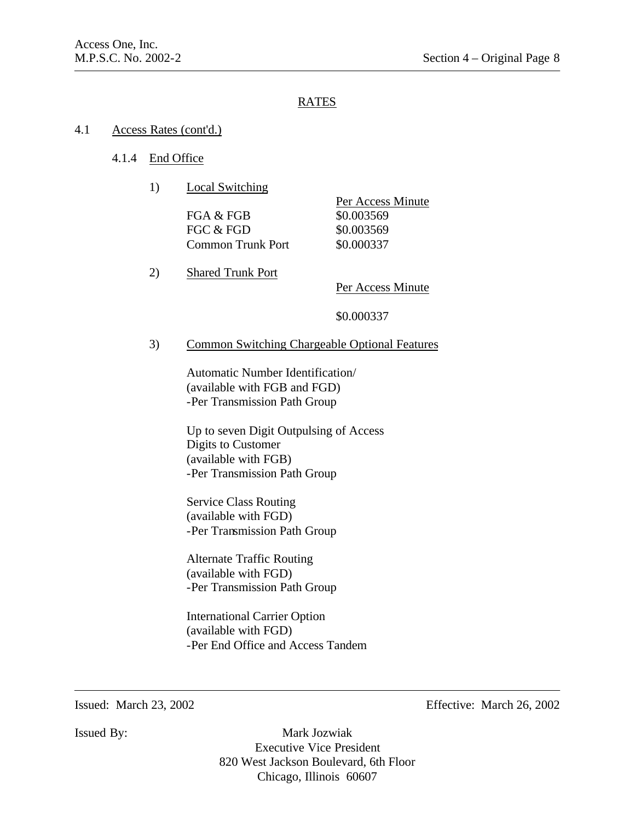#### 4.1 Access Rates (cont'd.)

### 4.1.4 End Office

1) Local Switching

FGA & FGB \$0.003569 FGC & FGD \$0.003569 Common Trunk Port \$0.000337

Per Access Minute

2) Shared Trunk Port

Per Access Minute

\$0.000337

#### 3) Common Switching Chargeable Optional Features

Automatic Number Identification/ (available with FGB and FGD) -Per Transmission Path Group

Up to seven Digit Outpulsing of Access Digits to Customer (available with FGB) -Per Transmission Path Group

Service Class Routing (available with FGD) -Per Transmission Path Group

Alternate Traffic Routing (available with FGD) -Per Transmission Path Group

International Carrier Option (available with FGD) -Per End Office and Access Tandem

Issued: March 23, 2002 Effective: March 26, 2002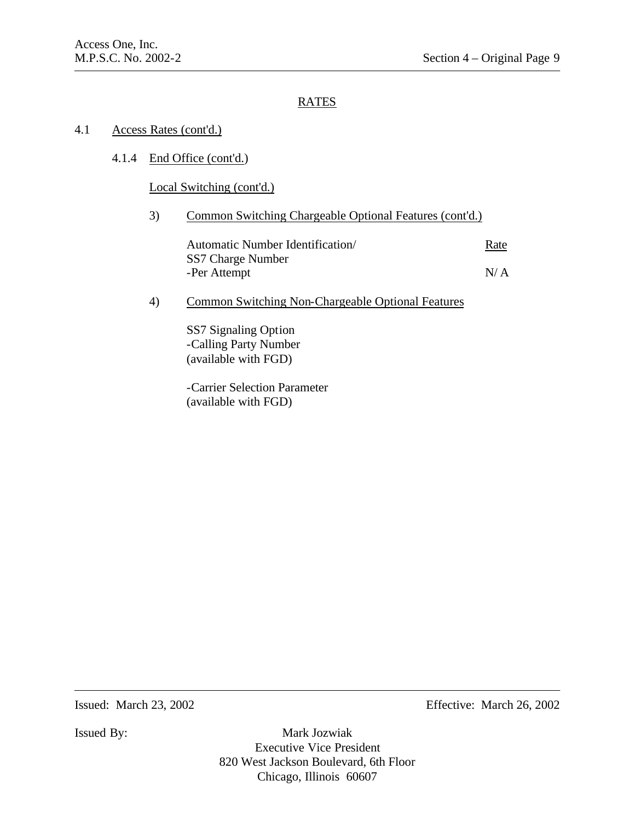### 4.1 Access Rates (cont'd.)

# 4.1.4 End Office (cont'd.)

Local Switching (cont'd.)

### 3) Common Switching Chargeable Optional Features (cont'd.)

| Automatic Number Identification/ | Rate |
|----------------------------------|------|
| SS7 Charge Number                |      |
| -Per Attempt                     | N/A  |

### 4) Common Switching Non-Chargeable Optional Features

SS7 Signaling Option -Calling Party Number (available with FGD)

-Carrier Selection Parameter (available with FGD)

Issued: March 23, 2002 Effective: March 26, 2002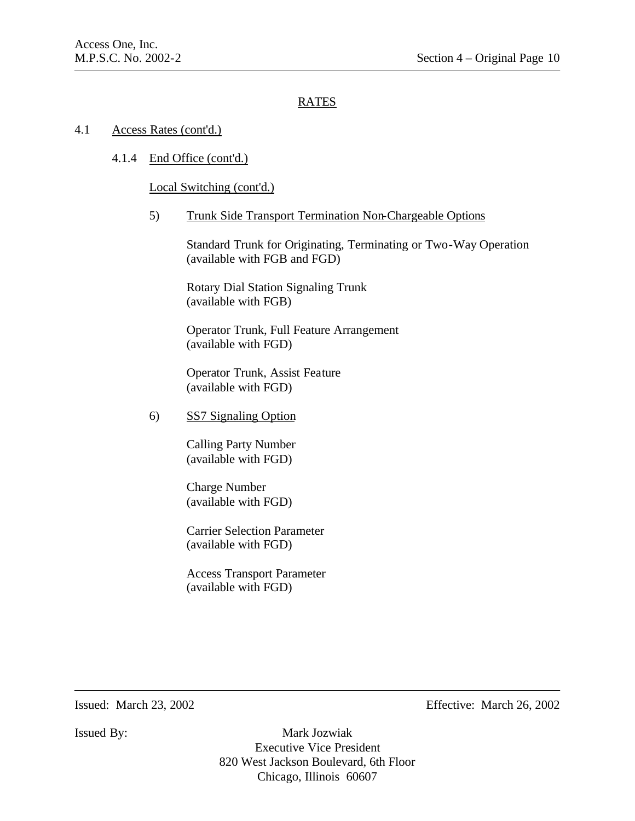### 4.1 Access Rates (cont'd.)

4.1.4 End Office (cont'd.)

Local Switching (cont'd.)

5) Trunk Side Transport Termination Non-Chargeable Options

Standard Trunk for Originating, Terminating or Two-Way Operation (available with FGB and FGD)

Rotary Dial Station Signaling Trunk (available with FGB)

Operator Trunk, Full Feature Arrangement (available with FGD)

Operator Trunk, Assist Feature (available with FGD)

6) SS7 Signaling Option

Calling Party Number (available with FGD)

Charge Number (available with FGD)

Carrier Selection Parameter (available with FGD)

Access Transport Parameter (available with FGD)

Issued: March 23, 2002 Effective: March 26, 2002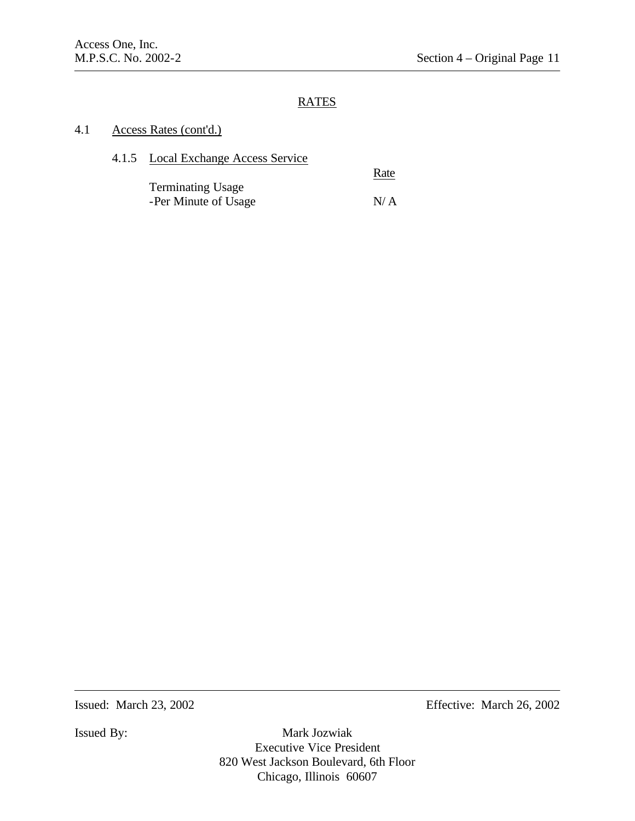### 4.1 Access Rates (cont'd.)

4.1.5 Local Exchange Access Service

**Rate** 

Terminating Usage -Per Minute of Usage N/ A

Issued: March 23, 2002 Effective: March 26, 2002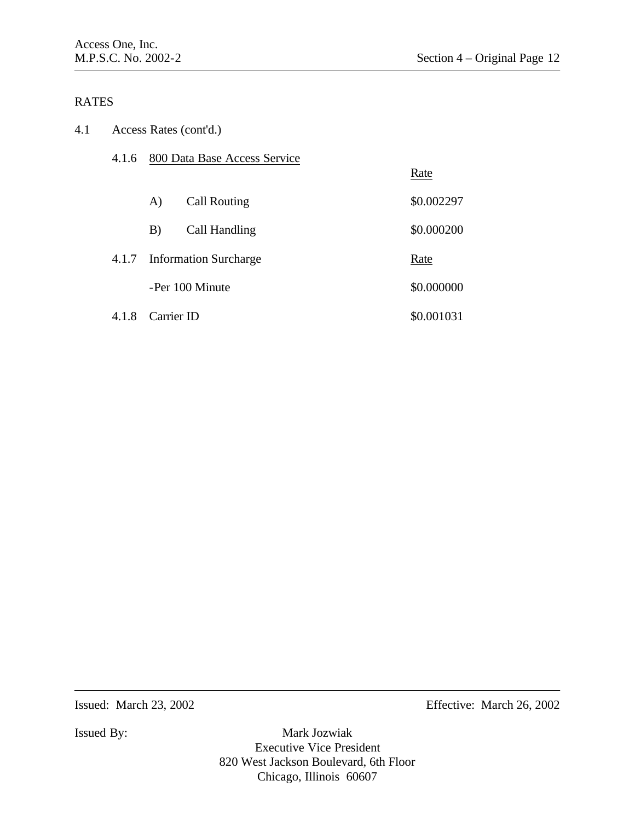| 4.1 |       | Access Rates (cont'd.) |                              |            |
|-----|-------|------------------------|------------------------------|------------|
|     | 4.1.6 |                        | 800 Data Base Access Service |            |
|     |       |                        |                              | Rate       |
|     |       | A)                     | <b>Call Routing</b>          | \$0.002297 |
|     |       | B)                     | Call Handling                | \$0.000200 |
|     | 4.1.7 |                        | <b>Information Surcharge</b> | Rate       |
|     |       |                        | -Per 100 Minute              | \$0.000000 |
|     | 4.1.8 | Carrier ID             |                              | \$0.001031 |

Issued: March 23, 2002 Effective: March 26, 2002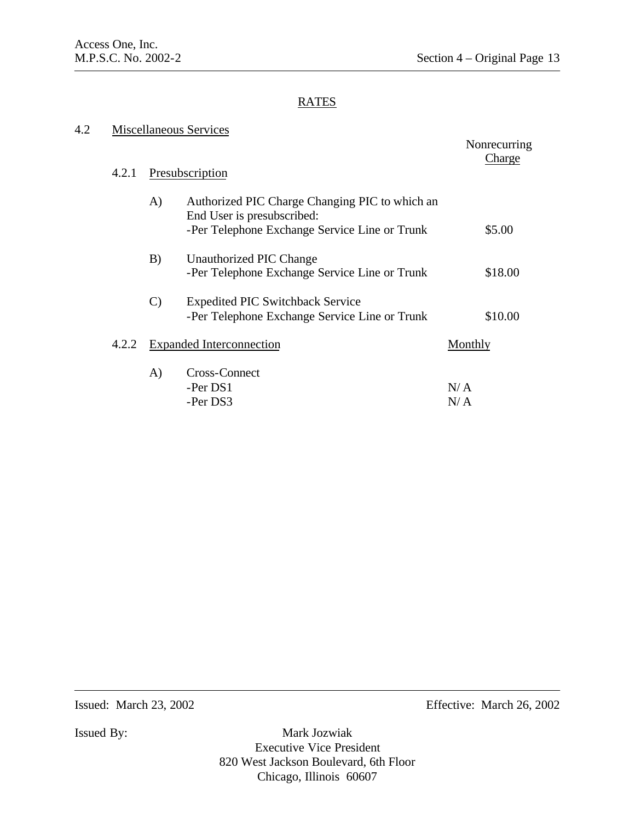| 4.2 | <b>Miscellaneous Services</b> |               |                                                                                          |            |
|-----|-------------------------------|---------------|------------------------------------------------------------------------------------------|------------|
|     |                               |               | Nonrecurring<br>Charge                                                                   |            |
|     | 4.2.1                         |               | Presubscription                                                                          |            |
|     |                               | A)            | Authorized PIC Charge Changing PIC to which an<br>End User is presubscribed:             |            |
|     |                               |               | -Per Telephone Exchange Service Line or Trunk                                            | \$5.00     |
|     |                               | B)            | Unauthorized PIC Change<br>-Per Telephone Exchange Service Line or Trunk                 | \$18.00    |
|     |                               | $\mathcal{C}$ | <b>Expedited PIC Switchback Service</b><br>-Per Telephone Exchange Service Line or Trunk | \$10.00    |
|     | 4.2.2                         |               | <b>Expanded Interconnection</b>                                                          | Monthly    |
|     |                               | A)            | Cross-Connect<br>-Per DS1<br>-Per DS3                                                    | N/A<br>N/A |